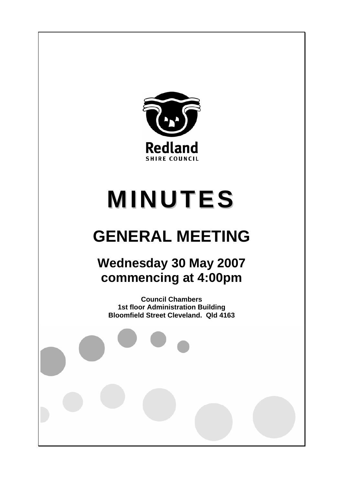

# **MINUTES**

# **GENERAL MEETING**

# **Wednesday 30 May 2007 commencing at 4:00pm**

**Council Chambers 1st floor Administration Building Bloomfield Street Cleveland. Qld 4163**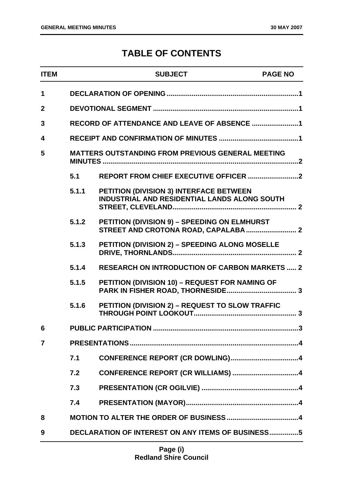# **TABLE OF CONTENTS**

| <b>ITEM</b>    |                                                          | <b>SUBJECT</b>                                                                                 | <b>PAGE NO</b> |
|----------------|----------------------------------------------------------|------------------------------------------------------------------------------------------------|----------------|
| 1              |                                                          |                                                                                                |                |
| $\overline{2}$ |                                                          |                                                                                                |                |
| 3              |                                                          | RECORD OF ATTENDANCE AND LEAVE OF ABSENCE 1                                                    |                |
| 4              |                                                          |                                                                                                |                |
| 5              | MATTERS OUTSTANDING FROM PREVIOUS GENERAL MEETING        |                                                                                                |                |
|                | 5.1                                                      |                                                                                                |                |
|                | 5.1.1                                                    | PETITION (DIVISION 3) INTERFACE BETWEEN<br><b>INDUSTRIAL AND RESIDENTIAL LANDS ALONG SOUTH</b> |                |
|                | 5.1.2                                                    | PETITION (DIVISION 9) - SPEEDING ON ELMHURST                                                   |                |
|                | 5.1.3                                                    | PETITION (DIVISION 2) - SPEEDING ALONG MOSELLE                                                 |                |
|                | 5.1.4                                                    | <b>RESEARCH ON INTRODUCTION OF CARBON MARKETS  2</b>                                           |                |
|                | 5.1.5                                                    | PETITION (DIVISION 10) - REQUEST FOR NAMING OF                                                 |                |
|                | 5.1.6                                                    | PETITION (DIVISION 2) - REQUEST TO SLOW TRAFFIC                                                |                |
| 6              |                                                          |                                                                                                |                |
| $\overline{7}$ |                                                          |                                                                                                |                |
|                | 7.1                                                      |                                                                                                |                |
|                | 7.2                                                      |                                                                                                |                |
|                | 7.3                                                      |                                                                                                |                |
|                | 7.4                                                      |                                                                                                |                |
| 8              |                                                          |                                                                                                |                |
| 9              | <b>DECLARATION OF INTEREST ON ANY ITEMS OF BUSINESS5</b> |                                                                                                |                |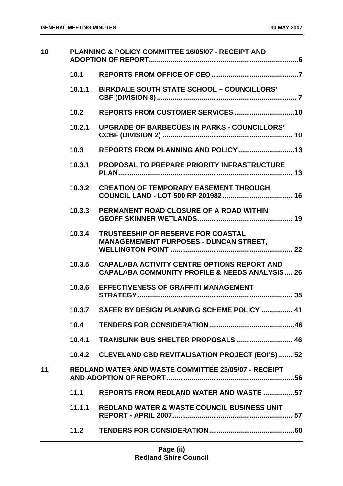| 10 |        | <b>PLANNING &amp; POLICY COMMITTEE 16/05/07 - RECEIPT AND</b>                                                   |
|----|--------|-----------------------------------------------------------------------------------------------------------------|
|    | 10.1   |                                                                                                                 |
|    | 10.1.1 | <b>BIRKDALE SOUTH STATE SCHOOL - COUNCILLORS'</b>                                                               |
|    | 10.2   |                                                                                                                 |
|    | 10.2.1 | <b>UPGRADE OF BARBECUES IN PARKS - COUNCILLORS'</b>                                                             |
|    | 10.3   |                                                                                                                 |
|    | 10.3.1 | <b>PROPOSAL TO PREPARE PRIORITY INFRASTRUCTURE</b>                                                              |
|    | 10.3.2 | <b>CREATION OF TEMPORARY EASEMENT THROUGH</b>                                                                   |
|    | 10.3.3 | PERMANENT ROAD CLOSURE OF A ROAD WITHIN                                                                         |
|    | 10.3.4 | <b>TRUSTEESHIP OF RESERVE FOR COASTAL</b><br><b>MANAGEMEMENT PURPOSES - DUNCAN STREET,</b>                      |
|    | 10.3.5 | <b>CAPALABA ACTIVITY CENTRE OPTIONS REPORT AND</b><br><b>CAPALABA COMMUNITY PROFILE &amp; NEEDS ANALYSIS 26</b> |
|    | 10.3.6 | <b>EFFECTIVENESS OF GRAFFITI MANAGEMENT</b>                                                                     |
|    |        | 10.3.7 SAFER BY DESIGN PLANNING SCHEME POLICY  41                                                               |
|    | 10.4   |                                                                                                                 |
|    | 10.4.1 |                                                                                                                 |
|    |        | 10.4.2 CLEVELAND CBD REVITALISATION PROJECT (EOI'S)  52                                                         |
| 11 |        | <b>REDLAND WATER AND WASTE COMMITTEE 23/05/07 - RECEIPT</b>                                                     |
|    | 11.1   | <b>REPORTS FROM REDLAND WATER AND WASTE 57</b>                                                                  |
|    | 11.1.1 | REDLAND WATER & WASTE COUNCIL BUSINESS UNIT                                                                     |
|    | 11.2   |                                                                                                                 |
|    |        |                                                                                                                 |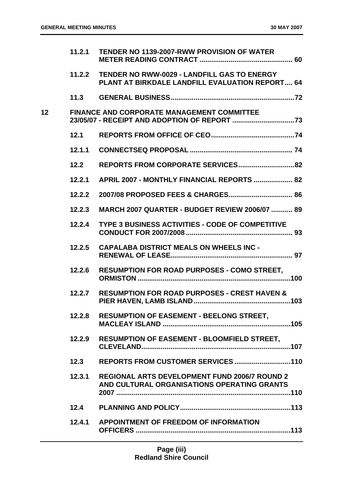|                 | 11.2.1 | <b>TENDER NO 1139-2007-RWW PROVISION OF WATER</b>                                                     |
|-----------------|--------|-------------------------------------------------------------------------------------------------------|
|                 | 11.2.2 | <b>TENDER NO RWW-0029 - LANDFILL GAS TO ENERGY</b><br>PLANT AT BIRKDALE LANDFILL EVALUATION REPORT 64 |
|                 |        |                                                                                                       |
| 12 <sub>2</sub> |        | <b>FINANCE AND CORPORATE MANAGEMENT COMMITTEE</b>                                                     |
|                 | 12.1   |                                                                                                       |
|                 | 12.1.1 |                                                                                                       |
|                 | $12.2$ |                                                                                                       |
|                 | 12.2.1 | APRIL 2007 - MONTHLY FINANCIAL REPORTS  82                                                            |
|                 | 12.2.2 |                                                                                                       |
|                 | 12.2.3 | <b>MARCH 2007 QUARTER - BUDGET REVIEW 2006/07  89</b>                                                 |
|                 | 12.2.4 | <b>TYPE 3 BUSINESS ACTIVITIES - CODE OF COMPETITIVE</b>                                               |
|                 | 12.2.5 | <b>CAPALABA DISTRICT MEALS ON WHEELS INC -</b>                                                        |
|                 | 12.2.6 | <b>RESUMPTION FOR ROAD PURPOSES - COMO STREET,</b>                                                    |
|                 | 12.2.7 | <b>RESUMPTION FOR ROAD PURPOSES - CREST HAVEN &amp;</b>                                               |
|                 |        | 12.2.8 RESUMPTION OF EASEMENT - BEELONG STREET,                                                       |
|                 | 12.2.9 | RESUMPTION OF EASEMENT - BLOOMFIELD STREET,                                                           |
|                 | 12.3   |                                                                                                       |
|                 | 12.3.1 | <b>REGIONAL ARTS DEVELOPMENT FUND 2006/7 ROUND 2</b><br>AND CULTURAL ORGANISATIONS OPERATING GRANTS   |
|                 | 12.4   |                                                                                                       |
|                 | 12.4.1 | <b>APPOINTMENT OF FREEDOM OF INFORMATION</b>                                                          |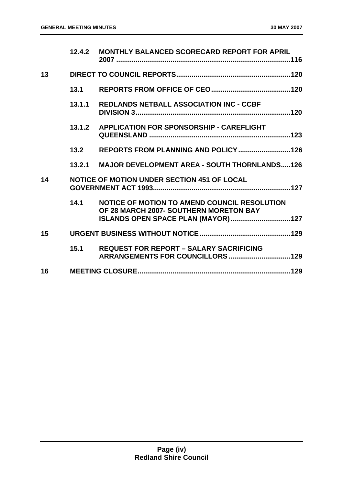|    | 12.4.2 | <b>MONTHLY BALANCED SCORECARD REPORT FOR APRIL</b>                                                                            |  |
|----|--------|-------------------------------------------------------------------------------------------------------------------------------|--|
| 13 |        |                                                                                                                               |  |
|    | 13.1   |                                                                                                                               |  |
|    | 13.1.1 | <b>REDLANDS NETBALL ASSOCIATION INC - CCBF</b>                                                                                |  |
|    | 13.1.2 | <b>APPLICATION FOR SPONSORSHIP - CAREFLIGHT</b>                                                                               |  |
|    | 13.2   |                                                                                                                               |  |
|    | 13.2.1 | <b>MAJOR DEVELOPMENT AREA - SOUTH THORNLANDS126</b>                                                                           |  |
| 14 |        | NOTICE OF MOTION UNDER SECTION 451 OF LOCAL                                                                                   |  |
|    | 14.1   | NOTICE OF MOTION TO AMEND COUNCIL RESOLUTION<br>OF 28 MARCH 2007- SOUTHERN MORETON BAY<br>ISLANDS OPEN SPACE PLAN (MAYOR) 127 |  |
| 15 |        |                                                                                                                               |  |
|    | 15.1   | <b>REQUEST FOR REPORT - SALARY SACRIFICING</b>                                                                                |  |
| 16 |        |                                                                                                                               |  |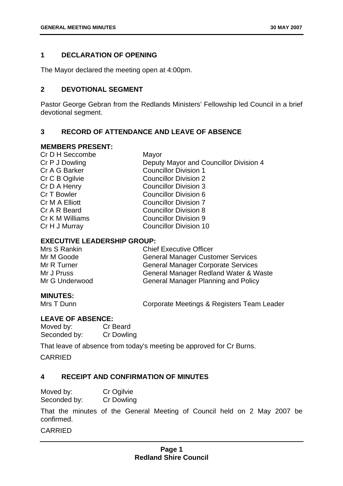# <span id="page-5-0"></span>**1 DECLARATION OF OPENING**

The Mayor declared the meeting open at 4:00pm.

# **2 DEVOTIONAL SEGMENT**

Pastor George Gebran from the Redlands Ministers' Fellowship led Council in a brief devotional segment.

# **3 RECORD OF ATTENDANCE AND LEAVE OF ABSENCE**

#### **MEMBERS PRESENT:**

| Cr D H Seccombe | Mayor                                  |
|-----------------|----------------------------------------|
| Cr P J Dowling  | Deputy Mayor and Councillor Division 4 |
| Cr A G Barker   | <b>Councillor Division 1</b>           |
| Cr C B Ogilvie  | <b>Councillor Division 2</b>           |
| Cr D A Henry    | <b>Councillor Division 3</b>           |
| Cr T Bowler     | <b>Councillor Division 6</b>           |
| Cr M A Elliott  | <b>Councillor Division 7</b>           |
| Cr A R Beard    | <b>Councillor Division 8</b>           |
| Cr K M Williams | <b>Councillor Division 9</b>           |
| Cr H J Murray   | <b>Councillor Division 10</b>          |
|                 |                                        |

# **EXECUTIVE LEADERSHIP GROUP:**

| <b>Chief Executive Officer</b>             |
|--------------------------------------------|
| <b>General Manager Customer Services</b>   |
| <b>General Manager Corporate Services</b>  |
| General Manager Redland Water & Waste      |
| <b>General Manager Planning and Policy</b> |
|                                            |

# **MINUTES:**

Mrs T Dunn **Corporate Meetings & Registers Team Leader** 

# **LEAVE OF ABSENCE:**

Moved by: Cr Beard Seconded by: Cr Dowling

That leave of absence from today's meeting be approved for Cr Burns.

CARRIED

# **4 RECEIPT AND CONFIRMATION OF MINUTES**

| Moved by:    | Cr Ogilvie        |
|--------------|-------------------|
| Seconded by: | <b>Cr Dowling</b> |

That the minutes of the General Meeting of Council held on 2 May 2007 be confirmed.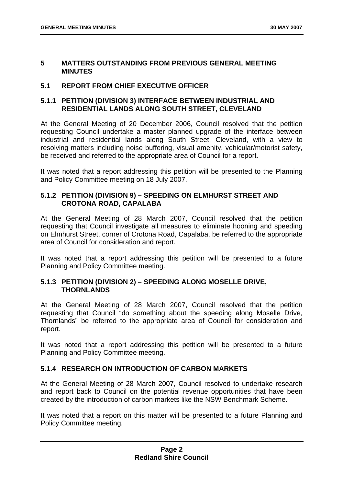#### <span id="page-6-0"></span>**5 MATTERS OUTSTANDING FROM PREVIOUS GENERAL MEETING MINUTES**

# **5.1 REPORT FROM CHIEF EXECUTIVE OFFICER**

# **5.1.1 PETITION (DIVISION 3) INTERFACE BETWEEN INDUSTRIAL AND RESIDENTIAL LANDS ALONG SOUTH STREET, CLEVELAND**

At the General Meeting of 20 December 2006, Council resolved that the petition requesting Council undertake a master planned upgrade of the interface between industrial and residential lands along South Street, Cleveland, with a view to resolving matters including noise buffering, visual amenity, vehicular/motorist safety, be received and referred to the appropriate area of Council for a report.

It was noted that a report addressing this petition will be presented to the Planning and Policy Committee meeting on 18 July 2007.

# **5.1.2 PETITION (DIVISION 9) – SPEEDING ON ELMHURST STREET AND CROTONA ROAD, CAPALABA**

At the General Meeting of 28 March 2007, Council resolved that the petition requesting that Council investigate all measures to eliminate hooning and speeding on Elmhurst Street, corner of Crotona Road, Capalaba, be referred to the appropriate area of Council for consideration and report.

It was noted that a report addressing this petition will be presented to a future Planning and Policy Committee meeting.

# **5.1.3 PETITION (DIVISION 2) – SPEEDING ALONG MOSELLE DRIVE, THORNLANDS**

At the General Meeting of 28 March 2007, Council resolved that the petition requesting that Council "do something about the speeding along Moselle Drive, Thornlands" be referred to the appropriate area of Council for consideration and report.

It was noted that a report addressing this petition will be presented to a future Planning and Policy Committee meeting.

# **5.1.4 RESEARCH ON INTRODUCTION OF CARBON MARKETS**

At the General Meeting of 28 March 2007, Council resolved to undertake research and report back to Council on the potential revenue opportunities that have been created by the introduction of carbon markets like the NSW Benchmark Scheme.

It was noted that a report on this matter will be presented to a future Planning and Policy Committee meeting.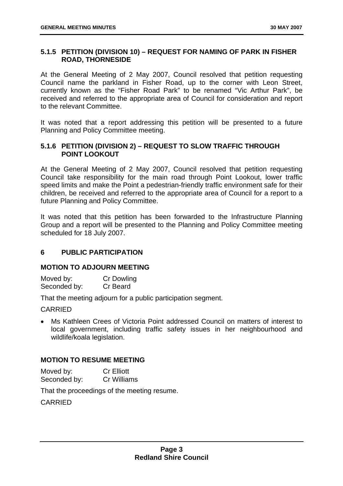# <span id="page-7-0"></span>**5.1.5 PETITION (DIVISION 10) – REQUEST FOR NAMING OF PARK IN FISHER ROAD, THORNESIDE**

At the General Meeting of 2 May 2007, Council resolved that petition requesting Council name the parkland in Fisher Road, up to the corner with Leon Street, currently known as the "Fisher Road Park" to be renamed "Vic Arthur Park", be received and referred to the appropriate area of Council for consideration and report to the relevant Committee.

It was noted that a report addressing this petition will be presented to a future Planning and Policy Committee meeting.

# **5.1.6 PETITION (DIVISION 2) – REQUEST TO SLOW TRAFFIC THROUGH POINT LOOKOUT**

At the General Meeting of 2 May 2007, Council resolved that petition requesting Council take responsibility for the main road through Point Lookout, lower traffic speed limits and make the Point a pedestrian-friendly traffic environment safe for their children, be received and referred to the appropriate area of Council for a report to a future Planning and Policy Committee.

It was noted that this petition has been forwarded to the Infrastructure Planning Group and a report will be presented to the Planning and Policy Committee meeting scheduled for 18 July 2007.

# **6 PUBLIC PARTICIPATION**

## **MOTION TO ADJOURN MEETING**

Moved by: Cr Dowling Seconded by: Cr Beard

That the meeting adjourn for a public participation segment.

**CARRIED** 

• Ms Kathleen Crees of Victoria Point addressed Council on matters of interest to local government, including traffic safety issues in her neighbourhood and wildlife/koala legislation.

## **MOTION TO RESUME MEETING**

Moved by: Cr Elliott Seconded by: Cr Williams

That the proceedings of the meeting resume.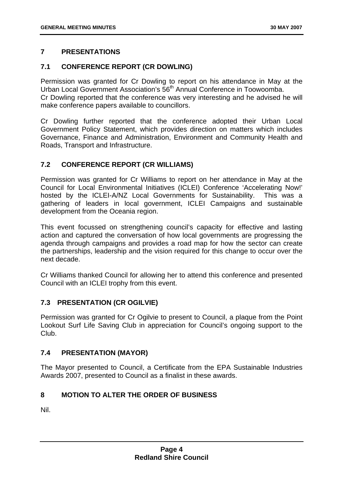# <span id="page-8-0"></span>**7 PRESENTATIONS**

# **7.1 CONFERENCE REPORT (CR DOWLING)**

Permission was granted for Cr Dowling to report on his attendance in May at the Urban Local Government Association's 56<sup>th</sup> Annual Conference in Toowoomba. Cr Dowling reported that the conference was very interesting and he advised he will make conference papers available to councillors.

Cr Dowling further reported that the conference adopted their Urban Local Government Policy Statement, which provides direction on matters which includes Governance, Finance and Administration, Environment and Community Health and Roads, Transport and Infrastructure.

# **7.2 CONFERENCE REPORT (CR WILLIAMS)**

Permission was granted for Cr Williams to report on her attendance in May at the Council for Local Environmental Initiatives (ICLEI) Conference 'Accelerating Now!' hosted by the ICLEI-A/NZ Local Governments for Sustainability. This was a gathering of leaders in local government, ICLEI Campaigns and sustainable development from the Oceania region.

This event focussed on strengthening council's capacity for effective and lasting action and captured the conversation of how local governments are progressing the agenda through campaigns and provides a road map for how the sector can create the partnerships, leadership and the vision required for this change to occur over the next decade.

Cr Williams thanked Council for allowing her to attend this conference and presented Council with an ICLEI trophy from this event.

# **7.3 PRESENTATION (CR OGILVIE)**

Permission was granted for Cr Ogilvie to present to Council, a plaque from the Point Lookout Surf Life Saving Club in appreciation for Council's ongoing support to the Club.

# **7.4 PRESENTATION (MAYOR)**

The Mayor presented to Council, a Certificate from the EPA Sustainable Industries Awards 2007, presented to Council as a finalist in these awards.

# **8 MOTION TO ALTER THE ORDER OF BUSINESS**

Nil.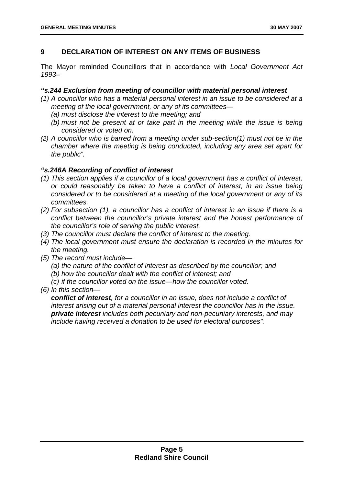# <span id="page-9-0"></span>**9 DECLARATION OF INTEREST ON ANY ITEMS OF BUSINESS**

The Mayor reminded Councillors that in accordance with *Local Government Act 1993*–

# *"s.244 Exclusion from meeting of councillor with material personal interest*

- *(1) A councillor who has a material personal interest in an issue to be considered at a meeting of the local government, or any of its committees—* 
	- *(a) must disclose the interest to the meeting; and*
	- *(b) must not be present at or take part in the meeting while the issue is being considered or voted on.*
- *(2) A councillor who is barred from a meeting under sub-section(1) must not be in the chamber where the meeting is being conducted, including any area set apart for the public".*

# *"s.246A Recording of conflict of interest*

- *(1) This section applies if a councillor of a local government has a conflict of interest, or could reasonably be taken to have a conflict of interest, in an issue being considered or to be considered at a meeting of the local government or any of its committees.*
- *(2) For subsection (1), a councillor has a conflict of interest in an issue if there is a conflict between the councillor's private interest and the honest performance of the councillor's role of serving the public interest.*
- *(3) The councillor must declare the conflict of interest to the meeting.*
- *(4) The local government must ensure the declaration is recorded in the minutes for the meeting.*
- *(5) The record must include—* 
	- *(a) the nature of the conflict of interest as described by the councillor; and*
	- *(b) how the councillor dealt with the conflict of interest; and*
	- *(c) if the councillor voted on the issue—how the councillor voted.*
- *(6) In this section—*

*conflict of interest, for a councillor in an issue, does not include a conflict of interest arising out of a material personal interest the councillor has in the issue. private interest includes both pecuniary and non-pecuniary interests, and may include having received a donation to be used for electoral purposes".*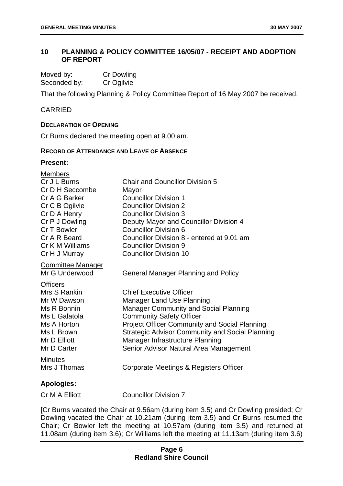# <span id="page-10-0"></span>**10 PLANNING & POLICY COMMITTEE 16/05/07 - RECEIPT AND ADOPTION OF REPORT**

| Moved by:    | Cr Dowling |
|--------------|------------|
| Seconded by: | Cr Ogilvie |

That the following Planning & Policy Committee Report of 16 May 2007 be received.

# CARRIED

#### **DECLARATION OF OPENING**

Cr Burns declared the meeting open at 9.00 am.

#### **RECORD OF ATTENDANCE AND LEAVE OF ABSENCE**

# **Present:**

| <b>Members</b><br>Cr J L Burns<br>Cr D H Seccombe<br>Cr A G Barker<br>Cr C B Ogilvie<br>Cr D A Henry<br>Cr P J Dowling<br>Cr T Bowler<br>Cr A R Beard<br>Cr K M Williams<br>Cr H J Murray | <b>Chair and Councillor Division 5</b><br>Mayor<br><b>Councillor Division 1</b><br><b>Councillor Division 2</b><br><b>Councillor Division 3</b><br>Deputy Mayor and Councillor Division 4<br><b>Councillor Division 6</b><br>Councillor Division 8 - entered at 9.01 am<br><b>Councillor Division 9</b><br><b>Councillor Division 10</b>             |
|-------------------------------------------------------------------------------------------------------------------------------------------------------------------------------------------|------------------------------------------------------------------------------------------------------------------------------------------------------------------------------------------------------------------------------------------------------------------------------------------------------------------------------------------------------|
| <b>Committee Manager</b><br>Mr G Underwood                                                                                                                                                | <b>General Manager Planning and Policy</b>                                                                                                                                                                                                                                                                                                           |
| <b>Officers</b><br>Mrs S Rankin<br>Mr W Dawson<br>Ms R Bonnin<br>Ms L Galatola<br>Ms A Horton<br>Ms L Brown<br>Mr D Elliott<br>Mr D Carter                                                | <b>Chief Executive Officer</b><br><b>Manager Land Use Planning</b><br><b>Manager Community and Social Planning</b><br><b>Community Safety Officer</b><br><b>Project Officer Community and Social Planning</b><br><b>Strategic Advisor Community and Social Planning</b><br>Manager Infrastructure Planning<br>Senior Advisor Natural Area Management |
| <b>Minutes</b><br>Mrs J Thomas                                                                                                                                                            | Corporate Meetings & Registers Officer                                                                                                                                                                                                                                                                                                               |
| <b>Apologies:</b>                                                                                                                                                                         |                                                                                                                                                                                                                                                                                                                                                      |
| Cr M A Elliott                                                                                                                                                                            | <b>Councillor Division 7</b>                                                                                                                                                                                                                                                                                                                         |

[Cr Burns vacated the Chair at 9.56am (during item 3.5) and Cr Dowling presided; Cr Dowling vacated the Chair at 10.21am (during item 3.5) and Cr Burns resumed the Chair; Cr Bowler left the meeting at 10.57am (during item 3.5) and returned at 11.08am (during item 3.6); Cr Williams left the meeting at 11.13am (during item 3.6)

# **Page 6 Redland Shire Council**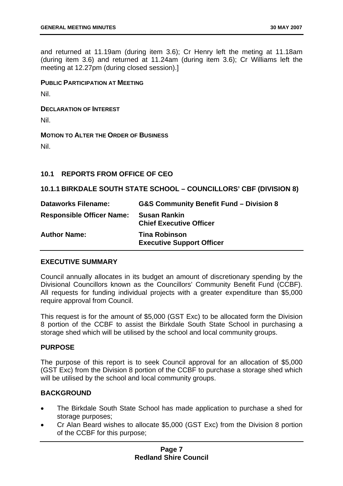<span id="page-11-0"></span>and returned at 11.19am (during item 3.6); Cr Henry left the meting at 11.18am (during item 3.6) and returned at 11.24am (during item 3.6); Cr Williams left the meeting at 12.27pm (during closed session).]

**PUBLIC PARTICIPATION AT MEETING**

Nil.

**DECLARATION OF INTEREST**

Nil.

**MOTION TO ALTER THE ORDER OF BUSINESS**

Nil.

# **10.1 REPORTS FROM OFFICE OF CEO**

## **10.1.1 BIRKDALE SOUTH STATE SCHOOL – COUNCILLORS' CBF (DIVISION 8)**

| <b>Dataworks Filename:</b>       | <b>G&amp;S Community Benefit Fund - Division 8</b>       |
|----------------------------------|----------------------------------------------------------|
| <b>Responsible Officer Name:</b> | <b>Susan Rankin</b><br><b>Chief Executive Officer</b>    |
| <b>Author Name:</b>              | <b>Tina Robinson</b><br><b>Executive Support Officer</b> |

## **EXECUTIVE SUMMARY**

Council annually allocates in its budget an amount of discretionary spending by the Divisional Councillors known as the Councillors' Community Benefit Fund (CCBF). All requests for funding individual projects with a greater expenditure than \$5,000 require approval from Council.

This request is for the amount of \$5,000 (GST Exc) to be allocated form the Division 8 portion of the CCBF to assist the Birkdale South State School in purchasing a storage shed which will be utilised by the school and local community groups.

## **PURPOSE**

The purpose of this report is to seek Council approval for an allocation of \$5,000 (GST Exc) from the Division 8 portion of the CCBF to purchase a storage shed which will be utilised by the school and local community groups.

## **BACKGROUND**

- The Birkdale South State School has made application to purchase a shed for storage purposes;
- Cr Alan Beard wishes to allocate \$5,000 (GST Exc) from the Division 8 portion of the CCBF for this purpose;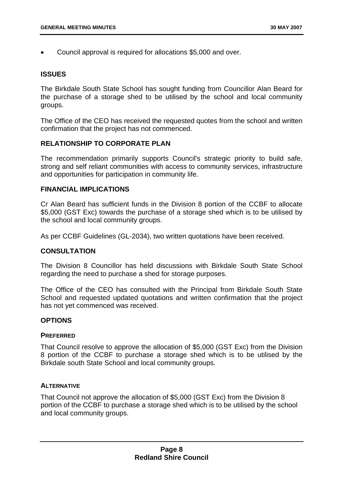• Council approval is required for allocations \$5,000 and over.

#### **ISSUES**

The Birkdale South State School has sought funding from Councillor Alan Beard for the purchase of a storage shed to be utilised by the school and local community groups.

The Office of the CEO has received the requested quotes from the school and written confirmation that the project has not commenced.

## **RELATIONSHIP TO CORPORATE PLAN**

The recommendation primarily supports Council's strategic priority to build safe, strong and self reliant communities with access to community services, infrastructure and opportunities for participation in community life.

#### **FINANCIAL IMPLICATIONS**

Cr Alan Beard has sufficient funds in the Division 8 portion of the CCBF to allocate \$5,000 (GST Exc) towards the purchase of a storage shed which is to be utilised by the school and local community groups.

As per CCBF Guidelines (GL-2034), two written quotations have been received.

# **CONSULTATION**

The Division 8 Councillor has held discussions with Birkdale South State School regarding the need to purchase a shed for storage purposes.

The Office of the CEO has consulted with the Principal from Birkdale South State School and requested updated quotations and written confirmation that the project has not yet commenced was received.

## **OPTIONS**

#### **PREFERRED**

That Council resolve to approve the allocation of \$5,000 (GST Exc) from the Division 8 portion of the CCBF to purchase a storage shed which is to be utilised by the Birkdale south State School and local community groups.

#### **ALTERNATIVE**

That Council not approve the allocation of \$5,000 (GST Exc) from the Division 8 portion of the CCBF to purchase a storage shed which is to be utilised by the school and local community groups.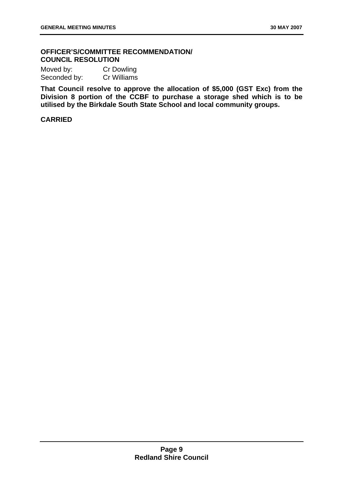# **OFFICER'S/COMMITTEE RECOMMENDATION/ COUNCIL RESOLUTION**

| Moved by:    | Cr Dowling  |
|--------------|-------------|
| Seconded by: | Cr Williams |

**That Council resolve to approve the allocation of \$5,000 (GST Exc) from the Division 8 portion of the CCBF to purchase a storage shed which is to be utilised by the Birkdale South State School and local community groups.**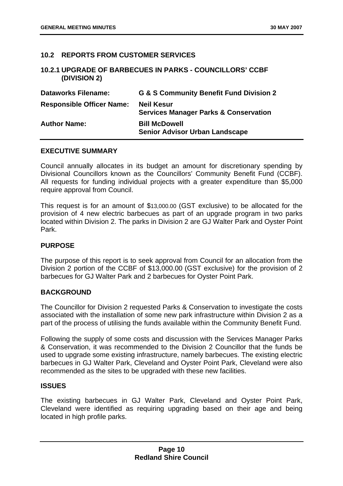# <span id="page-14-0"></span>**10.2 REPORTS FROM CUSTOMER SERVICES**

# **10.2.1 UPGRADE OF BARBECUES IN PARKS - COUNCILLORS' CCBF (DIVISION 2)**

| <b>Dataworks Filename:</b>       | G & S Community Benefit Fund Division 2                               |
|----------------------------------|-----------------------------------------------------------------------|
| <b>Responsible Officer Name:</b> | <b>Neil Kesur</b><br><b>Services Manager Parks &amp; Conservation</b> |
| <b>Author Name:</b>              | <b>Bill McDowell</b><br><b>Senior Advisor Urban Landscape</b>         |

## **EXECUTIVE SUMMARY**

Council annually allocates in its budget an amount for discretionary spending by Divisional Councillors known as the Councillors' Community Benefit Fund (CCBF). All requests for funding individual projects with a greater expenditure than \$5,000 require approval from Council.

This request is for an amount of \$13,000.00 (GST exclusive) to be allocated for the provision of 4 new electric barbecues as part of an upgrade program in two parks located within Division 2. The parks in Division 2 are GJ Walter Park and Oyster Point Park.

#### **PURPOSE**

The purpose of this report is to seek approval from Council for an allocation from the Division 2 portion of the CCBF of \$13,000.00 (GST exclusive) for the provision of 2 barbecues for GJ Walter Park and 2 barbecues for Oyster Point Park.

# **BACKGROUND**

The Councillor for Division 2 requested Parks & Conservation to investigate the costs associated with the installation of some new park infrastructure within Division 2 as a part of the process of utilising the funds available within the Community Benefit Fund.

Following the supply of some costs and discussion with the Services Manager Parks & Conservation, it was recommended to the Division 2 Councillor that the funds be used to upgrade some existing infrastructure, namely barbecues. The existing electric barbecues in GJ Walter Park, Cleveland and Oyster Point Park, Cleveland were also recommended as the sites to be upgraded with these new facilities.

## **ISSUES**

The existing barbecues in GJ Walter Park, Cleveland and Oyster Point Park, Cleveland were identified as requiring upgrading based on their age and being located in high profile parks.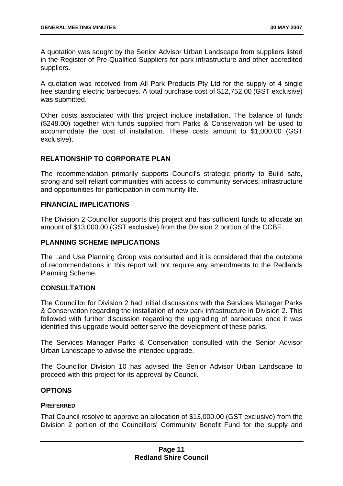A quotation was sought by the Senior Advisor Urban Landscape from suppliers listed in the Register of Pre-Qualified Suppliers for park infrastructure and other accredited suppliers.

A quotation was received from All Park Products Pty Ltd for the supply of 4 single free standing electric barbecues. A total purchase cost of \$12,752.00 (GST exclusive) was submitted.

Other costs associated with this project include installation. The balance of funds (\$248.00) together with funds supplied from Parks & Conservation will be used to accommodate the cost of installation. These costs amount to \$1,000.00 (GST exclusive).

# **RELATIONSHIP TO CORPORATE PLAN**

The recommendation primarily supports Council's strategic priority to Build safe, strong and self reliant communities with access to community services, infrastructure and opportunities for participation in community life.

## **FINANCIAL IMPLICATIONS**

The Division 2 Councillor supports this project and has sufficient funds to allocate an amount of \$13,000.00 (GST exclusive) from the Division 2 portion of the CCBF.

# **PLANNING SCHEME IMPLICATIONS**

The Land Use Planning Group was consulted and it is considered that the outcome of recommendations in this report will not require any amendments to the Redlands Planning Scheme.

## **CONSULTATION**

The Councillor for Division 2 had initial discussions with the Services Manager Parks & Conservation regarding the installation of new park infrastructure in Division 2. This followed with further discussion regarding the upgrading of barbecues once it was identified this upgrade would better serve the development of these parks.

The Services Manager Parks & Conservation consulted with the Senior Advisor Urban Landscape to advise the intended upgrade.

The Councillor Division 10 has advised the Senior Advisor Urban Landscape to proceed with this project for its approval by Council.

# **OPTIONS**

#### **PREFERRED**

That Council resolve to approve an allocation of \$13,000.00 (GST exclusive) from the Division 2 portion of the Councillors' Community Benefit Fund for the supply and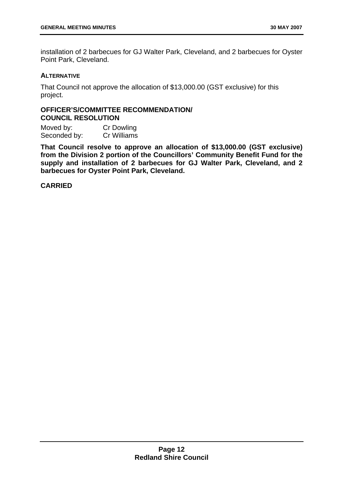installation of 2 barbecues for GJ Walter Park, Cleveland, and 2 barbecues for Oyster Point Park, Cleveland.

# **ALTERNATIVE**

That Council not approve the allocation of \$13,000.00 (GST exclusive) for this project.

# **OFFICER'S/COMMITTEE RECOMMENDATION/ COUNCIL RESOLUTION**

Moved by: Cr Dowling Seconded by: Cr Williams

**That Council resolve to approve an allocation of \$13,000.00 (GST exclusive) from the Division 2 portion of the Councillors' Community Benefit Fund for the supply and installation of 2 barbecues for GJ Walter Park, Cleveland, and 2 barbecues for Oyster Point Park, Cleveland.**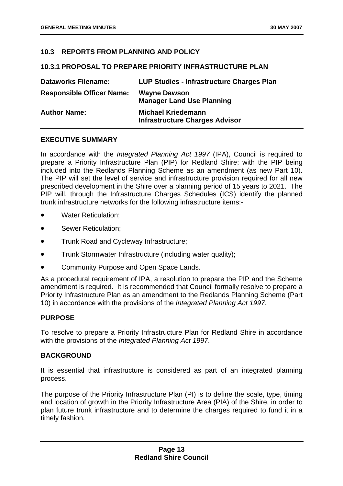# <span id="page-17-0"></span>**10.3 REPORTS FROM PLANNING AND POLICY**

## **10.3.1 PROPOSAL TO PREPARE PRIORITY INFRASTRUCTURE PLAN**

| <b>Dataworks Filename:</b>       | LUP Studies - Infrastructure Charges Plan                          |
|----------------------------------|--------------------------------------------------------------------|
| <b>Responsible Officer Name:</b> | <b>Wayne Dawson</b><br><b>Manager Land Use Planning</b>            |
| <b>Author Name:</b>              | <b>Michael Kriedemann</b><br><b>Infrastructure Charges Advisor</b> |

#### **EXECUTIVE SUMMARY**

In accordance with the *Integrated Planning Act 1997* (IPA), Council is required to prepare a Priority Infrastructure Plan (PIP) for Redland Shire; with the PIP being included into the Redlands Planning Scheme as an amendment (as new Part 10). The PIP will set the level of service and infrastructure provision required for all new prescribed development in the Shire over a planning period of 15 years to 2021. The PIP will, through the Infrastructure Charges Schedules (ICS) identify the planned trunk infrastructure networks for the following infrastructure items:-

- Water Reticulation;
- Sewer Reticulation;
- Trunk Road and Cycleway Infrastructure;
- Trunk Stormwater Infrastructure (including water quality);
- Community Purpose and Open Space Lands.

As a procedural requirement of IPA, a resolution to prepare the PIP and the Scheme amendment is required. It is recommended that Council formally resolve to prepare a Priority Infrastructure Plan as an amendment to the Redlands Planning Scheme (Part 10) in accordance with the provisions of the *Integrated Planning Act 1997.*

## **PURPOSE**

To resolve to prepare a Priority Infrastructure Plan for Redland Shire in accordance with the provisions of the *Integrated Planning Act 1997*.

## **BACKGROUND**

It is essential that infrastructure is considered as part of an integrated planning process.

The purpose of the Priority Infrastructure Plan (PI) is to define the scale, type, timing and location of growth in the Priority Infrastructure Area (PIA) of the Shire, in order to plan future trunk infrastructure and to determine the charges required to fund it in a timely fashion.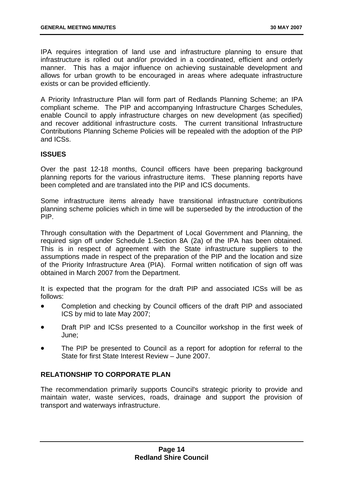IPA requires integration of land use and infrastructure planning to ensure that infrastructure is rolled out and/or provided in a coordinated, efficient and orderly manner. This has a major influence on achieving sustainable development and allows for urban growth to be encouraged in areas where adequate infrastructure exists or can be provided efficiently.

A Priority Infrastructure Plan will form part of Redlands Planning Scheme; an IPA compliant scheme. The PIP and accompanying Infrastructure Charges Schedules, enable Council to apply infrastructure charges on new development (as specified) and recover additional infrastructure costs. The current transitional Infrastructure Contributions Planning Scheme Policies will be repealed with the adoption of the PIP and ICSs.

# **ISSUES**

Over the past 12-18 months, Council officers have been preparing background planning reports for the various infrastructure items. These planning reports have been completed and are translated into the PIP and ICS documents.

Some infrastructure items already have transitional infrastructure contributions planning scheme policies which in time will be superseded by the introduction of the PIP.

Through consultation with the Department of Local Government and Planning, the required sign off under Schedule 1.Section 8A (2a) of the IPA has been obtained. This is in respect of agreement with the State infrastructure suppliers to the assumptions made in respect of the preparation of the PIP and the location and size of the Priority Infrastructure Area (PIA). Formal written notification of sign off was obtained in March 2007 from the Department.

It is expected that the program for the draft PIP and associated ICSs will be as follows:

- Completion and checking by Council officers of the draft PIP and associated ICS by mid to late May 2007;
- Draft PIP and ICSs presented to a Councillor workshop in the first week of June;
- The PIP be presented to Council as a report for adoption for referral to the State for first State Interest Review – June 2007.

# **RELATIONSHIP TO CORPORATE PLAN**

The recommendation primarily supports Council's strategic priority to provide and maintain water, waste services, roads, drainage and support the provision of transport and waterways infrastructure.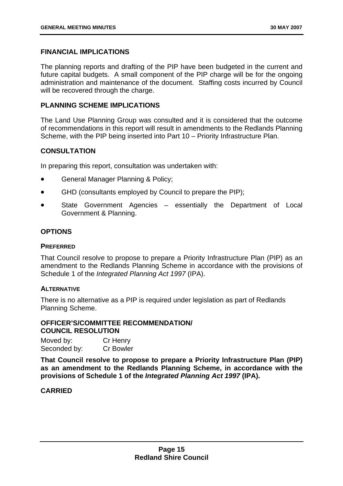#### **FINANCIAL IMPLICATIONS**

The planning reports and drafting of the PIP have been budgeted in the current and future capital budgets. A small component of the PIP charge will be for the ongoing administration and maintenance of the document. Staffing costs incurred by Council will be recovered through the charge.

#### **PLANNING SCHEME IMPLICATIONS**

The Land Use Planning Group was consulted and it is considered that the outcome of recommendations in this report will result in amendments to the Redlands Planning Scheme, with the PIP being inserted into Part 10 – Priority Infrastructure Plan.

## **CONSULTATION**

In preparing this report, consultation was undertaken with:

- General Manager Planning & Policy;
- GHD (consultants employed by Council to prepare the PIP);
- State Government Agencies – essentially the Department of Local Government & Planning.

# **OPTIONS**

#### **PREFERRED**

That Council resolve to propose to prepare a Priority Infrastructure Plan (PIP) as an amendment to the Redlands Planning Scheme in accordance with the provisions of Schedule 1 of the *Integrated Planning Act 1997* (IPA).

#### **ALTERNATIVE**

There is no alternative as a PIP is required under legislation as part of Redlands Planning Scheme.

# **OFFICER'S/COMMITTEE RECOMMENDATION/ COUNCIL RESOLUTION**

Moved by: Cr Henry Seconded by: Cr Bowler

**That Council resolve to propose to prepare a Priority Infrastructure Plan (PIP) as an amendment to the Redlands Planning Scheme, in accordance with the provisions of Schedule 1 of the** *Integrated Planning Act 1997* **(IPA).**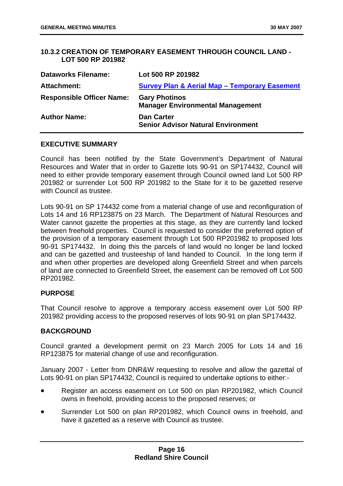# <span id="page-20-0"></span>**10.3.2 CREATION OF TEMPORARY EASEMENT THROUGH COUNCIL LAND - LOT 500 RP 201982**

| <b>Dataworks Filename:</b>       | Lot 500 RP 201982                                               |
|----------------------------------|-----------------------------------------------------------------|
| Attachment:                      | <b>Survey Plan &amp; Aerial Map - Temporary Easement</b>        |
| <b>Responsible Officer Name:</b> | <b>Gary Photinos</b><br><b>Manager Environmental Management</b> |
| <b>Author Name:</b>              | <b>Dan Carter</b><br><b>Senior Advisor Natural Environment</b>  |

# **EXECUTIVE SUMMARY**

Council has been notified by the State Government's Department of Natural Resources and Water that in order to Gazette lots 90-91 on SP174432, Council will need to either provide temporary easement through Council owned land Lot 500 RP 201982 or surrender Lot 500 RP 201982 to the State for it to be gazetted reserve with Council as trustee.

Lots 90-91 on SP 174432 come from a material change of use and reconfiguration of Lots 14 and 16 RP123875 on 23 March. The Department of Natural Resources and Water cannot gazette the properties at this stage, as they are currently land locked between freehold properties. Council is requested to consider the preferred option of the provision of a temporary easement through Lot 500 RP201982 to proposed lots 90-91 SP174432. In doing this the parcels of land would no longer be land locked and can be gazetted and trusteeship of land handed to Council. In the long term if and when other properties are developed along Greenfield Street and when parcels of land are connected to Greenfield Street, the easement can be removed off Lot 500 RP201982.

## **PURPOSE**

That Council resolve to approve a temporary access easement over Lot 500 RP 201982 providing access to the proposed reserves of lots 90-91 on plan SP174432.

## **BACKGROUND**

Council granted a development permit on 23 March 2005 for Lots 14 and 16 RP123875 for material change of use and reconfiguration.

January 2007 - Letter from DNR&W requesting to resolve and allow the gazettal of Lots 90-91 on plan SP174432, Council is required to undertake options to either:-

- Register an access easement on Lot 500 on plan RP201982, which Council owns in freehold, providing access to the proposed reserves; or
- Surrender Lot 500 on plan RP201982, which Council owns in freehold, and have it gazetted as a reserve with Council as trustee.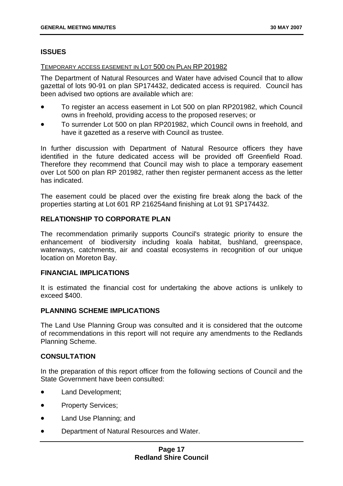# **ISSUES**

# TEMPORARY ACCESS EASEMENT IN LOT 500 ON PLAN RP 201982

The Department of Natural Resources and Water have advised Council that to allow gazettal of lots 90-91 on plan SP174432, dedicated access is required. Council has been advised two options are available which are:

- To register an access easement in Lot 500 on plan RP201982, which Council owns in freehold, providing access to the proposed reserves; or
- To surrender Lot 500 on plan RP201982, which Council owns in freehold, and have it gazetted as a reserve with Council as trustee.

In further discussion with Department of Natural Resource officers they have identified in the future dedicated access will be provided off Greenfield Road. Therefore they recommend that Council may wish to place a temporary easement over Lot 500 on plan RP 201982, rather then register permanent access as the letter has indicated.

The easement could be placed over the existing fire break along the back of the properties starting at Lot 601 RP 216254and finishing at Lot 91 SP174432.

# **RELATIONSHIP TO CORPORATE PLAN**

The recommendation primarily supports Council's strategic priority to ensure the enhancement of biodiversity including koala habitat, bushland, greenspace, waterways, catchments, air and coastal ecosystems in recognition of our unique location on Moreton Bay.

## **FINANCIAL IMPLICATIONS**

It is estimated the financial cost for undertaking the above actions is unlikely to exceed \$400.

# **PLANNING SCHEME IMPLICATIONS**

The Land Use Planning Group was consulted and it is considered that the outcome of recommendations in this report will not require any amendments to the Redlands Planning Scheme.

# **CONSULTATION**

In the preparation of this report officer from the following sections of Council and the State Government have been consulted:

- Land Development;
- Property Services;
- Land Use Planning; and
- Department of Natural Resources and Water.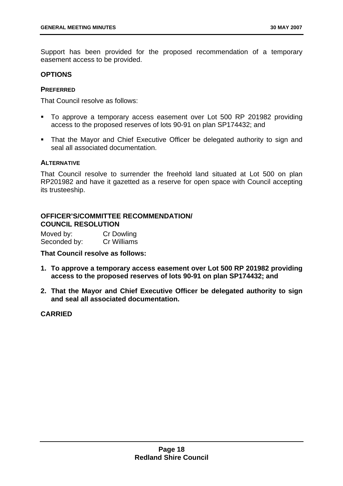Support has been provided for the proposed recommendation of a temporary easement access to be provided.

#### **OPTIONS**

#### **PREFERRED**

That Council resolve as follows:

- To approve a temporary access easement over Lot 500 RP 201982 providing access to the proposed reserves of lots 90-91 on plan SP174432; and
- That the Mayor and Chief Executive Officer be delegated authority to sign and seal all associated documentation.

#### **ALTERNATIVE**

That Council resolve to surrender the freehold land situated at Lot 500 on plan RP201982 and have it gazetted as a reserve for open space with Council accepting its trusteeship.

# **OFFICER'S/COMMITTEE RECOMMENDATION/ COUNCIL RESOLUTION**

Moved by: Cr Dowling Seconded by: Cr Williams

**That Council resolve as follows:** 

- **1. To approve a temporary access easement over Lot 500 RP 201982 providing access to the proposed reserves of lots 90-91 on plan SP174432; and**
- **2. That the Mayor and Chief Executive Officer be delegated authority to sign and seal all associated documentation.**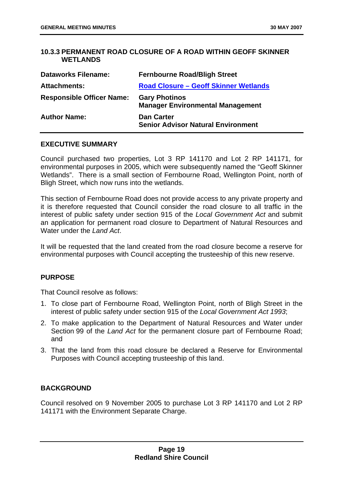# <span id="page-23-0"></span>**10.3.3 PERMANENT ROAD CLOSURE OF A ROAD WITHIN GEOFF SKINNER WETLANDS**

| <b>Dataworks Filename:</b>       | <b>Fernbourne Road/Bligh Street</b>                             |
|----------------------------------|-----------------------------------------------------------------|
| <b>Attachments:</b>              | <b>Road Closure - Geoff Skinner Wetlands</b>                    |
| <b>Responsible Officer Name:</b> | <b>Gary Photinos</b><br><b>Manager Environmental Management</b> |
| <b>Author Name:</b>              | <b>Dan Carter</b><br><b>Senior Advisor Natural Environment</b>  |

# **EXECUTIVE SUMMARY**

Council purchased two properties, Lot 3 RP 141170 and Lot 2 RP 141171, for environmental purposes in 2005, which were subsequently named the "Geoff Skinner Wetlands". There is a small section of Fernbourne Road, Wellington Point, north of Bligh Street, which now runs into the wetlands.

This section of Fernbourne Road does not provide access to any private property and it is therefore requested that Council consider the road closure to all traffic in the interest of public safety under section 915 of the *Local Government Act* and submit an application for permanent road closure to Department of Natural Resources and Water under the *Land Act*.

It will be requested that the land created from the road closure become a reserve for environmental purposes with Council accepting the trusteeship of this new reserve.

## **PURPOSE**

That Council resolve as follows:

- 1. To close part of Fernbourne Road, Wellington Point, north of Bligh Street in the interest of public safety under section 915 of the *Local Government Act 1993*;
- 2. To make application to the Department of Natural Resources and Water under Section 99 of the *Land Act* for the permanent closure part of Fernbourne Road; and
- 3. That the land from this road closure be declared a Reserve for Environmental Purposes with Council accepting trusteeship of this land.

## **BACKGROUND**

Council resolved on 9 November 2005 to purchase Lot 3 RP 141170 and Lot 2 RP 141171 with the Environment Separate Charge.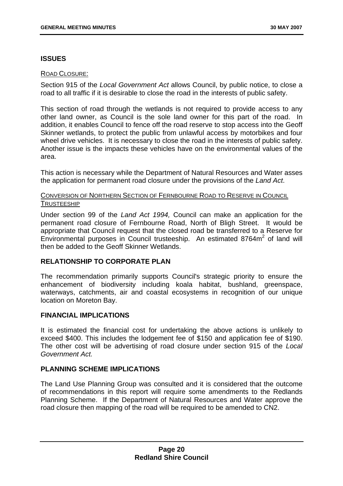# **ISSUES**

# ROAD CLOSURE:

Section 915 of the *Local Government Act* allows Council, by public notice, to close a road to all traffic if it is desirable to close the road in the interests of public safety.

This section of road through the wetlands is not required to provide access to any other land owner, as Council is the sole land owner for this part of the road. In addition, it enables Council to fence off the road reserve to stop access into the Geoff Skinner wetlands, to protect the public from unlawful access by motorbikes and four wheel drive vehicles. It is necessary to close the road in the interests of public safety. Another issue is the impacts these vehicles have on the environmental values of the area.

This action is necessary while the Department of Natural Resources and Water asses the application for permanent road closure under the provisions of the *Land Act*.

# CONVERSION OF NORTHERN SECTION OF FERNBOURNE ROAD TO RESERVE IN COUNCIL TRUSTEESHIP

Under section 99 of the *Land Act 1994,* Council can make an application for the permanent road closure of Fernbourne Road, North of Bligh Street. It would be appropriate that Council request that the closed road be transferred to a Reserve for Environmental purposes in Council trusteeship. An estimated  $8764m<sup>2</sup>$  of land will then be added to the Geoff Skinner Wetlands.

# **RELATIONSHIP TO CORPORATE PLAN**

The recommendation primarily supports Council's strategic priority to ensure the enhancement of biodiversity including koala habitat, bushland, greenspace, waterways, catchments, air and coastal ecosystems in recognition of our unique location on Moreton Bay.

## **FINANCIAL IMPLICATIONS**

It is estimated the financial cost for undertaking the above actions is unlikely to exceed \$400. This includes the lodgement fee of \$150 and application fee of \$190. The other cost will be advertising of road closure under section 915 of the *Local Government Act.*

# **PLANNING SCHEME IMPLICATIONS**

The Land Use Planning Group was consulted and it is considered that the outcome of recommendations in this report will require some amendments to the Redlands Planning Scheme. If the Department of Natural Resources and Water approve the road closure then mapping of the road will be required to be amended to CN2.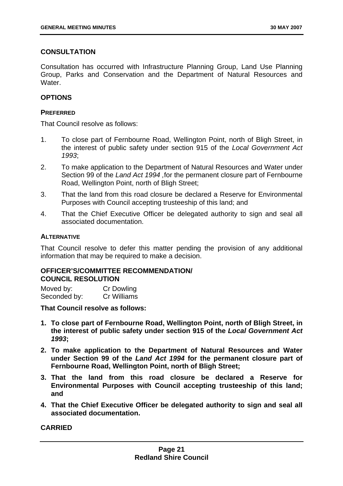# **CONSULTATION**

Consultation has occurred with Infrastructure Planning Group, Land Use Planning Group, Parks and Conservation and the Department of Natural Resources and Water.

# **OPTIONS**

# **PREFERRED**

That Council resolve as follows:

- 1. To close part of Fernbourne Road, Wellington Point, north of Bligh Street, in the interest of public safety under section 915 of the *Local Government Act 1993*;
- 2. To make application to the Department of Natural Resources and Water under Section 99 of the *Land Act 1994 ,*for the permanent closure part of Fernbourne Road, Wellington Point, north of Bligh Street;
- 3. That the land from this road closure be declared a Reserve for Environmental Purposes with Council accepting trusteeship of this land; and
- 4. That the Chief Executive Officer be delegated authority to sign and seal all associated documentation.

# **ALTERNATIVE**

That Council resolve to defer this matter pending the provision of any additional information that may be required to make a decision.

# **OFFICER'S/COMMITTEE RECOMMENDATION/ COUNCIL RESOLUTION**

| Moved by:    | Cr Dowling  |
|--------------|-------------|
| Seconded by: | Cr Williams |

**That Council resolve as follows:** 

- **1. To close part of Fernbourne Road, Wellington Point, north of Bligh Street, in the interest of public safety under section 915 of the** *Local Government Act 1993***;**
- **2. To make application to the Department of Natural Resources and Water under Section 99 of the** *Land Act 1994* **for the permanent closure part of Fernbourne Road, Wellington Point, north of Bligh Street;**
- **3. That the land from this road closure be declared a Reserve for Environmental Purposes with Council accepting trusteeship of this land; and**
- **4. That the Chief Executive Officer be delegated authority to sign and seal all associated documentation.**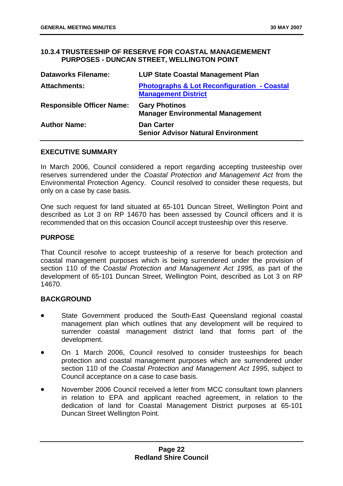## **10.3.4 TRUSTEESHIP OF RESERVE FOR COASTAL MANAGEMEMENT PURPOSES - DUNCAN STREET, WELLINGTON POINT**

| <b>Dataworks Filename:</b>       | <b>LUP State Coastal Management Plan</b>                                             |
|----------------------------------|--------------------------------------------------------------------------------------|
| <b>Attachments:</b>              | <b>Photographs &amp; Lot Reconfiguration - Coastal</b><br><b>Management District</b> |
| <b>Responsible Officer Name:</b> | <b>Gary Photinos</b><br><b>Manager Environmental Management</b>                      |
| <b>Author Name:</b>              | <b>Dan Carter</b><br><b>Senior Advisor Natural Environment</b>                       |

#### **EXECUTIVE SUMMARY**

In March 2006, Council considered a report regarding accepting trusteeship over reserves surrendered under the *Coastal Protection and Management Act* from the Environmental Protection Agency. Council resolved to consider these requests, but only on a case by case basis.

One such request for land situated at 65-101 Duncan Street, Wellington Point and described as Lot 3 on RP 14670 has been assessed by Council officers and it is recommended that on this occasion Council accept trusteeship over this reserve.

# **PURPOSE**

That Council resolve to accept trusteeship of a reserve for beach protection and coastal management purposes which is being surrendered under the provision of section 110 of the *Coastal Protection and Management Act 1995,* as part of the development of 65-101 Duncan Street, Wellington Point, described as Lot 3 on RP 14670.

## **BACKGROUND**

- State Government produced the South-East Queensland regional coastal management plan which outlines that any development will be required to surrender coastal management district land that forms part of the development.
- On 1 March 2006, Council resolved to consider trusteeships for beach protection and coastal management purposes which are surrendered under section 110 of the *Coastal Protection and Management Act 1995*, subject to Council acceptance on a case to case basis.
- November 2006 Council received a letter from MCC consultant town planners in relation to EPA and applicant reached agreement, in relation to the dedication of land for Coastal Management District purposes at 65-101 Duncan Street Wellington Point.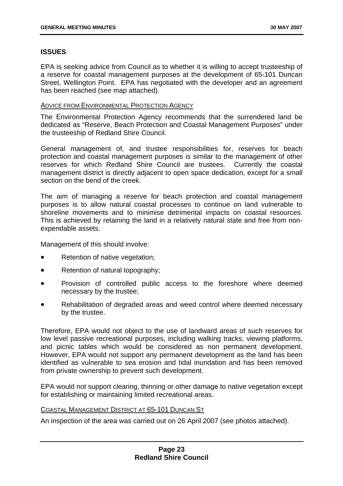# <span id="page-27-0"></span>**ISSUES**

EPA is seeking advice from Council as to whether it is willing to accept trusteeship of a reserve for coastal management purposes at the development of 65-101 Duncan Street, Wellington Point. EPA has negotiated with the developer and an agreement has been reached (see map attached).

## ADVICE FROM ENVIRONMENTAL PROTECTION AGENCY

The Environmental Protection Agency recommends that the surrendered land be dedicated as "Reserve, Beach Protection and Coastal Management Purposes" under the trusteeship of Redland Shire Council.

General management of, and trustee responsibilities for, reserves for beach protection and coastal management purposes is similar to the management of other reserves for which Redland Shire Council are trustees. Currently the coastal management district is directly adjacent to open space dedication, except for a small section on the bend of the creek.

The aim of managing a reserve for beach protection and coastal management purposes is to allow natural coastal processes to continue on land vulnerable to shoreline movements and to minimise detrimental impacts on coastal resources. This is achieved by retaining the land in a relatively natural state and free from nonexpendable assets.

Management of this should involve:

- Retention of native vegetation;
- Retention of natural topography;
- Provision of controlled public access to the foreshore where deemed necessary by the trustee;
- Rehabilitation of degraded areas and weed control where deemed necessary by the trustee.

Therefore, EPA would not object to the use of landward areas of such reserves for low level passive recreational purposes, including walking tracks, viewing platforms, and picnic tables which would be considered as non permanent development. However, EPA would not support any permanent development as the land has been identified as vulnerable to sea erosion and tidal inundation and has been removed from private ownership to prevent such development.

EPA would not support clearing, thinning or other damage to native vegetation except for establishing or maintaining limited recreational areas.

## COASTAL MANAGEMENT DISTRICT AT 65-101 DUNCAN ST

An inspection of the area was carried out on 26 April 2007 (see photos attached).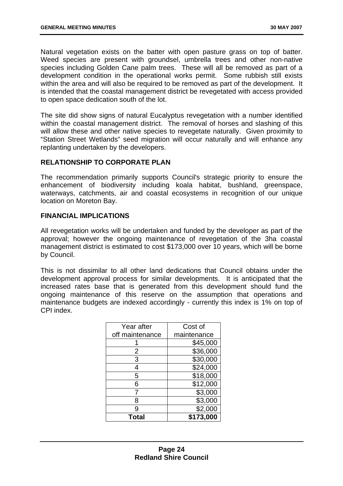Natural vegetation exists on the batter with open pasture grass on top of batter. Weed species are present with groundsel, umbrella trees and other non-native species including Golden Cane palm trees. These will all be removed as part of a development condition in the operational works permit. Some rubbish still exists within the area and will also be required to be removed as part of the development. It is intended that the coastal management district be revegetated with access provided to open space dedication south of the lot.

The site did show signs of natural Eucalyptus revegetation with a number identified within the coastal management district. The removal of horses and slashing of this will allow these and other native species to revegetate naturally. Given proximity to "Station Street Wetlands" seed migration will occur naturally and will enhance any replanting undertaken by the developers.

# **RELATIONSHIP TO CORPORATE PLAN**

The recommendation primarily supports Council's strategic priority to ensure the enhancement of biodiversity including koala habitat, bushland, greenspace, waterways, catchments, air and coastal ecosystems in recognition of our unique location on Moreton Bay.

## **FINANCIAL IMPLICATIONS**

All revegetation works will be undertaken and funded by the developer as part of the approval; however the ongoing maintenance of revegetation of the 3ha coastal management district is estimated to cost \$173,000 over 10 years, which will be borne by Council.

This is not dissimilar to all other land dedications that Council obtains under the development approval process for similar developments. It is anticipated that the increased rates base that is generated from this development should fund the ongoing maintenance of this reserve on the assumption that operations and maintenance budgets are indexed accordingly - currently this index is 1% on top of CPI index.

| Year after      | Cost of     |
|-----------------|-------------|
| off maintenance | maintenance |
|                 | \$45,000    |
| 2               | \$36,000    |
| 3               | \$30,000    |
| 4               | \$24,000    |
| 5               | \$18,000    |
| 6               | \$12,000    |
|                 | \$3,000     |
| 8               | \$3,000     |
| 9               | \$2,000     |
| Total           | \$173,000   |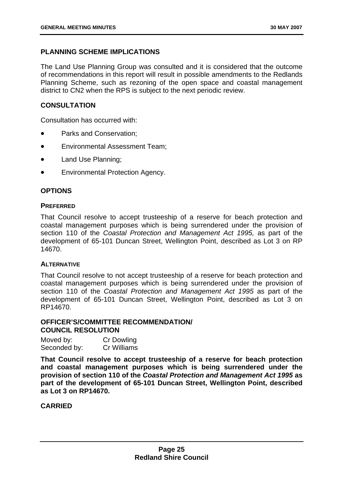# **PLANNING SCHEME IMPLICATIONS**

The Land Use Planning Group was consulted and it is considered that the outcome of recommendations in this report will result in possible amendments to the Redlands Planning Scheme, such as rezoning of the open space and coastal management district to CN2 when the RPS is subject to the next periodic review.

# **CONSULTATION**

Consultation has occurred with:

- Parks and Conservation;
- Environmental Assessment Team;
- Land Use Planning;
- Environmental Protection Agency.

# **OPTIONS**

## **PREFERRED**

That Council resolve to accept trusteeship of a reserve for beach protection and coastal management purposes which is being surrendered under the provision of section 110 of the *Coastal Protection and Management Act 1995,* as part of the development of 65-101 Duncan Street, Wellington Point, described as Lot 3 on RP 14670.

## **ALTERNATIVE**

That Council resolve to not accept trusteeship of a reserve for beach protection and coastal management purposes which is being surrendered under the provision of section 110 of the *Coastal Protection and Management Act 1995* as part of the development of 65-101 Duncan Street, Wellington Point, described as Lot 3 on RP14670.

## **OFFICER'S/COMMITTEE RECOMMENDATION/ COUNCIL RESOLUTION**

| Moved by:    | <b>Cr Dowling</b> |
|--------------|-------------------|
| Seconded by: | Cr Williams       |

**That Council resolve to accept trusteeship of a reserve for beach protection and coastal management purposes which is being surrendered under the provision of section 110 of the** *Coastal Protection and Management Act 1995* **as part of the development of 65-101 Duncan Street, Wellington Point, described as Lot 3 on RP14670.**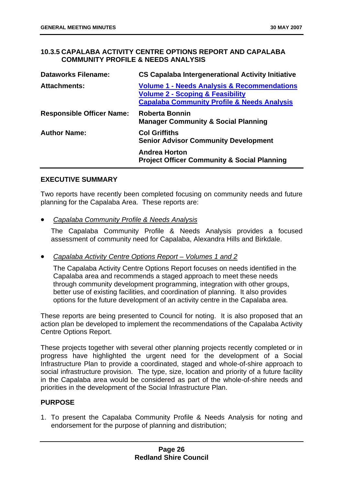# **10.3.5 CAPALABA ACTIVITY CENTRE OPTIONS REPORT AND CAPALABA COMMUNITY PROFILE & NEEDS ANALYSIS**

| <b>Dataworks Filename:</b>       | <b>CS Capalaba Intergenerational Activity Initiative</b>                                                                                                        |
|----------------------------------|-----------------------------------------------------------------------------------------------------------------------------------------------------------------|
| <b>Attachments:</b>              | <b>Volume 1 - Needs Analysis &amp; Recommendations</b><br><b>Volume 2 - Scoping &amp; Feasibility</b><br><b>Capalaba Community Profile &amp; Needs Analysis</b> |
| <b>Responsible Officer Name:</b> | <b>Roberta Bonnin</b><br><b>Manager Community &amp; Social Planning</b>                                                                                         |
| <b>Author Name:</b>              | <b>Col Griffiths</b><br><b>Senior Advisor Community Development</b>                                                                                             |
|                                  | <b>Andrea Horton</b><br><b>Project Officer Community &amp; Social Planning</b>                                                                                  |

# **EXECUTIVE SUMMARY**

Two reports have recently been completed focusing on community needs and future planning for the Capalaba Area. These reports are:

• *Capalaba Community Profile & Needs Analysis*

The Capalaba Community Profile & Needs Analysis provides a focused assessment of community need for Capalaba, Alexandra Hills and Birkdale.

# • *Capalaba Activity Centre Options Report – Volumes 1 and 2*

The Capalaba Activity Centre Options Report focuses on needs identified in the Capalaba area and recommends a staged approach to meet these needs through community development programming, integration with other groups, better use of existing facilities, and coordination of planning. It also provides options for the future development of an activity centre in the Capalaba area.

These reports are being presented to Council for noting. It is also proposed that an action plan be developed to implement the recommendations of the Capalaba Activity Centre Options Report.

These projects together with several other planning projects recently completed or in progress have highlighted the urgent need for the development of a Social Infrastructure Plan to provide a coordinated, staged and whole-of-shire approach to social infrastructure provision. The type, size, location and priority of a future facility in the Capalaba area would be considered as part of the whole-of-shire needs and priorities in the development of the Social Infrastructure Plan.

## **PURPOSE**

1. To present the Capalaba Community Profile & Needs Analysis for noting and endorsement for the purpose of planning and distribution;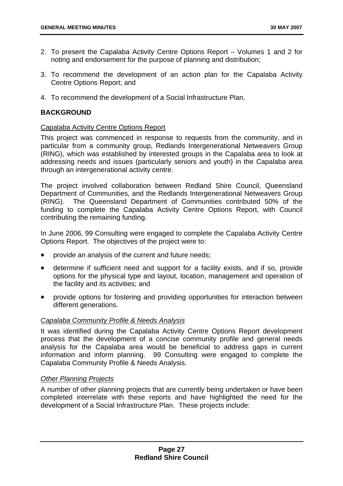- <span id="page-31-0"></span>2. To present the Capalaba Activity Centre Options Report – Volumes 1 and 2 for noting and endorsement for the purpose of planning and distribution;
- 3. To recommend the development of an action plan for the Capalaba Activity Centre Options Report; and
- 4. To recommend the development of a Social Infrastructure Plan.

# **BACKGROUND**

## Capalaba Activity Centre Options Report

This project was commenced in response to requests from the community, and in particular from a community group, Redlands Intergenerational Netweavers Group (RING), which was established by interested groups in the Capalaba area to look at addressing needs and issues (particularly seniors and youth) in the Capalaba area through an intergenerational activity centre.

The project involved collaboration between Redland Shire Council, Queensland Department of Communities, and the Redlands Intergenerational Netweavers Group (RING). The Queensland Department of Communities contributed 50% of the funding to complete the Capalaba Activity Centre Options Report, with Council contributing the remaining funding.

In June 2006, 99 Consulting were engaged to complete the Capalaba Activity Centre Options Report. The objectives of the project were to:

- provide an analysis of the current and future needs;
- determine if sufficient need and support for a facility exists, and if so, provide options for the physical type and layout, location, management and operation of the facility and its activities; and
- provide options for fostering and providing opportunities for interaction between different generations.

# *Capalaba Community Profile & Needs Analysis*

It was identified during the Capalaba Activity Centre Options Report development process that the development of a concise community profile and general needs analysis for the Capalaba area would be beneficial to address gaps in current information and inform planning. 99 Consulting were engaged to complete the Capalaba Community Profile & Needs Analysis.

## *Other Planning Projects*

A number of other planning projects that are currently being undertaken or have been completed interrelate with these reports and have highlighted the need for the development of a Social Infrastructure Plan. These projects include: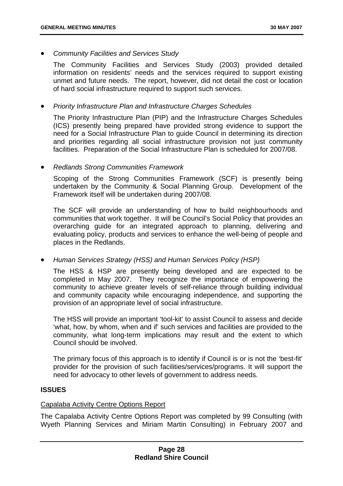• *Community Facilities and Services Study* 

The Community Facilities and Services Study (2003) provided detailed information on residents' needs and the services required to support existing unmet and future needs. The report, however, did not detail the cost or location of hard social infrastructure required to support such services.

• *Priority Infrastructure Plan and Infrastructure Charges Schedules* 

The Priority Infrastructure Plan (PIP) and the Infrastructure Charges Schedules (ICS) presently being prepared have provided strong evidence to support the need for a Social Infrastructure Plan to guide Council in determining its direction and priorities regarding all social infrastructure provision not just community facilities. Preparation of the Social Infrastructure Plan is scheduled for 2007/08.

• *Redlands Strong Communities Framework* 

Scoping of the Strong Communities Framework (SCF) is presently being undertaken by the Community & Social Planning Group. Development of the Framework itself will be undertaken during 2007/08.

The SCF will provide an understanding of how to build neighbourhoods and communities that work together. It will be Council's Social Policy that provides an overarching guide for an integrated approach to planning, delivering and evaluating policy, products and services to enhance the well-being of people and places in the Redlands.

• *Human Services Strategy (HSS) and Human Services Policy (HSP)* 

The HSS & HSP are presently being developed and are expected to be completed in May 2007. They recognize the importance of empowering the community to achieve greater levels of self-reliance through building individual and community capacity while encouraging independence, and supporting the provision of an appropriate level of social infrastructure.

The HSS will provide an important 'tool-kit' to assist Council to assess and decide 'what, how, by whom, when and if' such services and facilities are provided to the community, what long-term implications may result and the extent to which Council should be involved.

The primary focus of this approach is to identify if Council is or is not the 'best-fit' provider for the provision of such facilities/services/programs. It will support the need for advocacy to other levels of government to address needs.

## **ISSUES**

#### Capalaba Activity Centre Options Report

The Capalaba Activity Centre Options Report was completed by 99 Consulting (with Wyeth Planning Services and Miriam Martin Consulting) in February 2007 and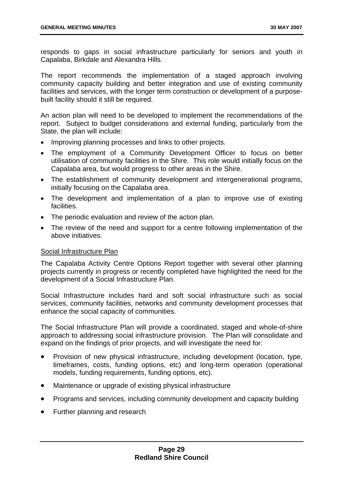responds to gaps in social infrastructure particularly for seniors and youth in Capalaba, Birkdale and Alexandra Hills.

The report recommends the implementation of a staged approach involving community capacity building and better integration and use of existing community facilities and services, with the longer term construction or development of a purposebuilt facility should it still be required.

An action plan will need to be developed to implement the recommendations of the report. Subject to budget considerations and external funding, particularly from the State, the plan will include:

- Improving planning processes and links to other projects.
- The employment of a Community Development Officer to focus on better utilisation of community facilities in the Shire. This role would initially focus on the Capalaba area, but would progress to other areas in the Shire.
- The establishment of community development and intergenerational programs, initially focusing on the Capalaba area.
- The development and implementation of a plan to improve use of existing facilities.
- The periodic evaluation and review of the action plan.
- The review of the need and support for a centre following implementation of the above initiatives.

## Social Infrastructure Plan

The Capalaba Activity Centre Options Report together with several other planning projects currently in progress or recently completed have highlighted the need for the development of a Social Infrastructure Plan.

Social Infrastructure includes hard and soft social infrastructure such as social services, community facilities, networks and community development processes that enhance the social capacity of communities.

The Social Infrastructure Plan will provide a coordinated, staged and whole-of-shire approach to addressing social infrastructure provision. The Plan will consolidate and expand on the findings of prior projects, and will investigate the need for:

- Provision of new physical infrastructure, including development (location, type, timeframes, costs, funding options, etc) and long-term operation (operational models, funding requirements, funding options, etc).
- Maintenance or upgrade of existing physical infrastructure
- $\bullet$ Programs and services, including community development and capacity building
- $\bullet$ Further planning and research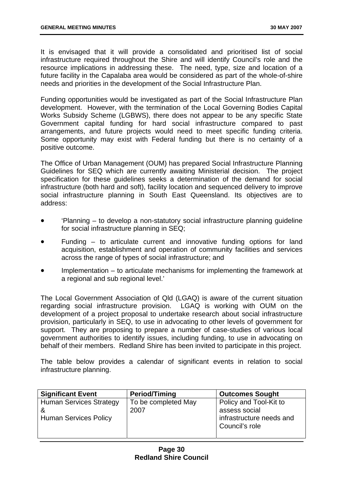It is envisaged that it will provide a consolidated and prioritised list of social infrastructure required throughout the Shire and will identify Council's role and the resource implications in addressing these. The need, type, size and location of a future facility in the Capalaba area would be considered as part of the whole-of-shire needs and priorities in the development of the Social Infrastructure Plan.

Funding opportunities would be investigated as part of the Social Infrastructure Plan development. However, with the termination of the Local Governing Bodies Capital Works Subsidy Scheme (LGBWS), there does not appear to be any specific State Government capital funding for hard social infrastructure compared to past arrangements, and future projects would need to meet specific funding criteria. Some opportunity may exist with Federal funding but there is no certainty of a positive outcome.

The Office of Urban Management (OUM) has prepared Social Infrastructure Planning Guidelines for SEQ which are currently awaiting Ministerial decision. The project specification for these guidelines seeks a determination of the demand for social infrastructure (both hard and soft), facility location and sequenced delivery to improve social infrastructure planning in South East Queensland. Its objectives are to address:

- 'Planning – to develop a non-statutory social infrastructure planning guideline for social infrastructure planning in SEQ;
- Funding – to articulate current and innovative funding options for land acquisition, establishment and operation of community facilities and services across the range of types of social infrastructure; and
- Implementation – to articulate mechanisms for implementing the framework at a regional and sub regional level.'

The Local Government Association of Qld (LGAQ) is aware of the current situation regarding social infrastructure provision. LGAQ is working with OUM on the development of a project proposal to undertake research about social infrastructure provision, particularly in SEQ, to use in advocating to other levels of government for support. They are proposing to prepare a number of case-studies of various local government authorities to identify issues, including funding, to use in advocating on behalf of their members. Redland Shire has been invited to participate in this project.

The table below provides a calendar of significant events in relation to social infrastructure planning.

| <b>Significant Event</b>       | <b>Period/Timing</b> | <b>Outcomes Sought</b>   |
|--------------------------------|----------------------|--------------------------|
| <b>Human Services Strategy</b> | To be completed May  | Policy and Tool-Kit to   |
| &                              | 2007                 | assess social            |
| <b>Human Services Policy</b>   |                      | infrastructure needs and |
|                                |                      | Council's role           |
|                                |                      |                          |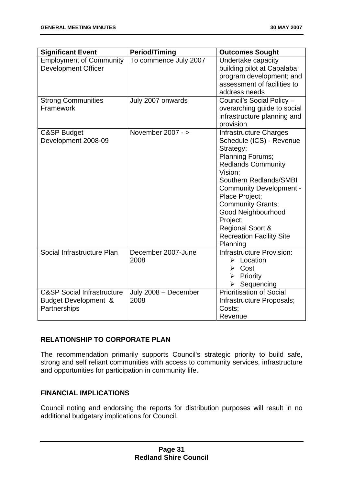| <b>Significant Event</b>                                                      | <b>Period/Timing</b>         | <b>Outcomes Sought</b>                                                                                                                                                                                                                                                                                                                                       |
|-------------------------------------------------------------------------------|------------------------------|--------------------------------------------------------------------------------------------------------------------------------------------------------------------------------------------------------------------------------------------------------------------------------------------------------------------------------------------------------------|
| <b>Employment of Community</b><br><b>Development Officer</b>                  | To commence July 2007        | Undertake capacity<br>building pilot at Capalaba;<br>program development; and<br>assessment of facilities to<br>address needs                                                                                                                                                                                                                                |
| <b>Strong Communities</b><br>Framework                                        | July 2007 onwards            | Council's Social Policy -<br>overarching guide to social<br>infrastructure planning and<br>provision                                                                                                                                                                                                                                                         |
| C&SP Budget<br>Development 2008-09                                            | November $2007 - y$          | Infrastructure Charges<br>Schedule (ICS) - Revenue<br>Strategy;<br><b>Planning Forums;</b><br><b>Redlands Community</b><br>Vision;<br>Southern Redlands/SMBI<br><b>Community Development -</b><br>Place Project;<br><b>Community Grants;</b><br>Good Neighbourhood<br>Project;<br><b>Regional Sport &amp;</b><br><b>Recreation Facility Site</b><br>Planning |
| Social Infrastructure Plan                                                    | December 2007-June<br>2008   | Infrastructure Provision:<br>$\triangleright$ Location<br>$\triangleright$ Cost<br>$\triangleright$ Priority<br>Sequencing                                                                                                                                                                                                                                   |
| <b>C&amp;SP Social Infrastructure</b><br>Budget Development &<br>Partnerships | July 2008 - December<br>2008 | <b>Prioritisation of Social</b><br>Infrastructure Proposals;<br>Costs;<br>Revenue                                                                                                                                                                                                                                                                            |

# **RELATIONSHIP TO CORPORATE PLAN**

The recommendation primarily supports Council's strategic priority to build safe, strong and self reliant communities with access to community services, infrastructure and opportunities for participation in community life.

# **FINANCIAL IMPLICATIONS**

Council noting and endorsing the reports for distribution purposes will result in no additional budgetary implications for Council.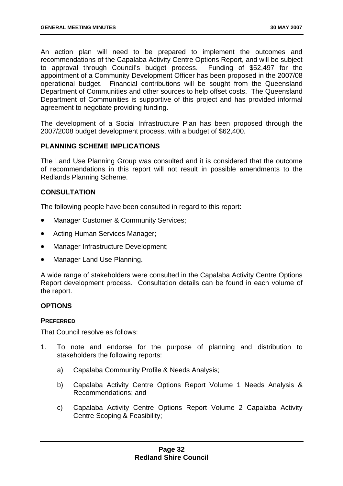An action plan will need to be prepared to implement the outcomes and recommendations of the Capalaba Activity Centre Options Report, and will be subject to approval through Council's budget process. Funding of \$52,497 for the appointment of a Community Development Officer has been proposed in the 2007/08 operational budget. Financial contributions will be sought from the Queensland Department of Communities and other sources to help offset costs. The Queensland Department of Communities is supportive of this project and has provided informal agreement to negotiate providing funding.

The development of a Social Infrastructure Plan has been proposed through the 2007/2008 budget development process, with a budget of \$62,400.

## **PLANNING SCHEME IMPLICATIONS**

The Land Use Planning Group was consulted and it is considered that the outcome of recommendations in this report will not result in possible amendments to the Redlands Planning Scheme.

## **CONSULTATION**

The following people have been consulted in regard to this report:

- Manager Customer & Community Services;
- Acting Human Services Manager;
- Manager Infrastructure Development;
- Manager Land Use Planning.

A wide range of stakeholders were consulted in the Capalaba Activity Centre Options Report development process. Consultation details can be found in each volume of the report.

## **OPTIONS**

## **PREFERRED**

That Council resolve as follows:

- 1. To note and endorse for the purpose of planning and distribution to stakeholders the following reports:
	- a) Capalaba Community Profile & Needs Analysis;
	- b) Capalaba Activity Centre Options Report Volume 1 Needs Analysis & Recommendations; and
	- c) Capalaba Activity Centre Options Report Volume 2 Capalaba Activity Centre Scoping & Feasibility;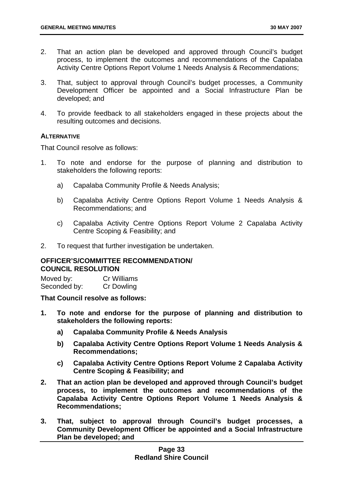- 2. That an action plan be developed and approved through Council's budget process, to implement the outcomes and recommendations of the Capalaba Activity Centre Options Report Volume 1 Needs Analysis & Recommendations;
- 3. That, subject to approval through Council's budget processes, a Community Development Officer be appointed and a Social Infrastructure Plan be developed; and
- 4. To provide feedback to all stakeholders engaged in these projects about the resulting outcomes and decisions.

## **ALTERNATIVE**

That Council resolve as follows:

- 1. To note and endorse for the purpose of planning and distribution to stakeholders the following reports:
	- a) Capalaba Community Profile & Needs Analysis;
	- b) Capalaba Activity Centre Options Report Volume 1 Needs Analysis & Recommendations; and
	- c) Capalaba Activity Centre Options Report Volume 2 Capalaba Activity Centre Scoping & Feasibility; and
- 2. To request that further investigation be undertaken.

# **OFFICER'S/COMMITTEE RECOMMENDATION/ COUNCIL RESOLUTION**

Moved by: Cr Williams Seconded by: Cr Dowling

**That Council resolve as follows:** 

- **1. To note and endorse for the purpose of planning and distribution to stakeholders the following reports:** 
	- **a) Capalaba Community Profile & Needs Analysis**
	- **b) Capalaba Activity Centre Options Report Volume 1 Needs Analysis & Recommendations;**
	- **c) Capalaba Activity Centre Options Report Volume 2 Capalaba Activity Centre Scoping & Feasibility; and**
- **2. That an action plan be developed and approved through Council's budget process, to implement the outcomes and recommendations of the Capalaba Activity Centre Options Report Volume 1 Needs Analysis & Recommendations;**
- **3. That, subject to approval through Council's budget processes, a Community Development Officer be appointed and a Social Infrastructure Plan be developed; and**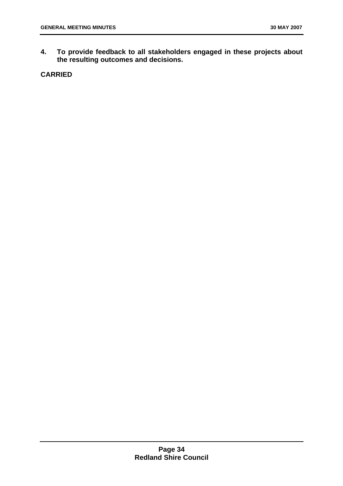**4. To provide feedback to all stakeholders engaged in these projects about the resulting outcomes and decisions.** 

# **CARRIED**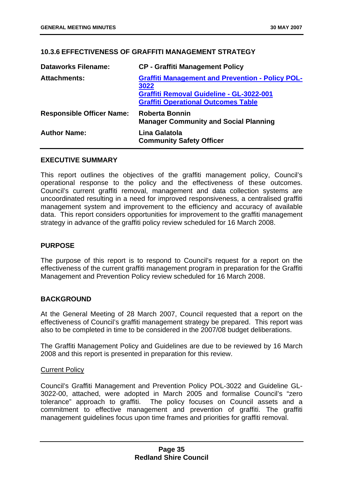## **10.3.6 EFFECTIVENESS OF GRAFFITI MANAGEMENT STRATEGY**

| <b>Dataworks Filename:</b>       | <b>CP - Graffiti Management Policy</b>                                                                                                                           |
|----------------------------------|------------------------------------------------------------------------------------------------------------------------------------------------------------------|
| <b>Attachments:</b>              | <b>Graffiti Management and Prevention - Policy POL-</b><br>3022<br><b>Graffiti Removal Guideline - GL-3022-001</b><br><b>Graffiti Operational Outcomes Table</b> |
| <b>Responsible Officer Name:</b> | <b>Roberta Bonnin</b><br><b>Manager Community and Social Planning</b>                                                                                            |
| <b>Author Name:</b>              | Lina Galatola<br><b>Community Safety Officer</b>                                                                                                                 |

#### **EXECUTIVE SUMMARY**

This report outlines the objectives of the graffiti management policy, Council's operational response to the policy and the effectiveness of these outcomes. Council's current graffiti removal, management and data collection systems are uncoordinated resulting in a need for improved responsiveness, a centralised graffiti management system and improvement to the efficiency and accuracy of available data. This report considers opportunities for improvement to the graffiti management strategy in advance of the graffiti policy review scheduled for 16 March 2008.

## **PURPOSE**

The purpose of this report is to respond to Council's request for a report on the effectiveness of the current graffiti management program in preparation for the Graffiti Management and Prevention Policy review scheduled for 16 March 2008.

## **BACKGROUND**

At the General Meeting of 28 March 2007, Council requested that a report on the effectiveness of Council's graffiti management strategy be prepared. This report was also to be completed in time to be considered in the 2007/08 budget deliberations.

The Graffiti Management Policy and Guidelines are due to be reviewed by 16 March 2008 and this report is presented in preparation for this review.

## Current Policy

Council's Graffiti Management and Prevention Policy POL-3022 and Guideline GL-3022-00, attached, were adopted in March 2005 and formalise Council's "zero tolerance" approach to graffiti. The policy focuses on Council assets and a commitment to effective management and prevention of graffiti. The graffiti management guidelines focus upon time frames and priorities for graffiti removal.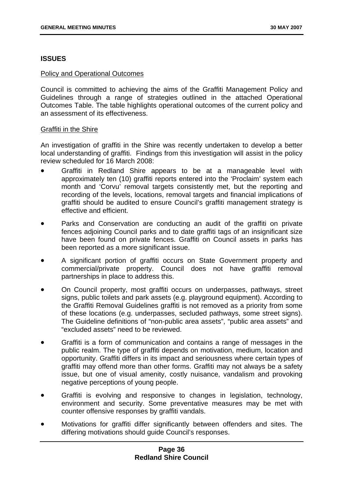## **ISSUES**

#### Policy and Operational Outcomes

Council is committed to achieving the aims of the Graffiti Management Policy and Guidelines through a range of strategies outlined in the attached Operational Outcomes Table. The table highlights operational outcomes of the current policy and an assessment of its effectiveness.

## Graffiti in the Shire

An investigation of graffiti in the Shire was recently undertaken to develop a better local understanding of graffiti. Findings from this investigation will assist in the policy review scheduled for 16 March 2008:

- Graffiti in Redland Shire appears to be at a manageable level with approximately ten (10) graffiti reports entered into the 'Proclaim' system each month and 'Corvu' removal targets consistently met, but the reporting and recording of the levels, locations, removal targets and financial implications of graffiti should be audited to ensure Council's graffiti management strategy is effective and efficient.
- Parks and Conservation are conducting an audit of the graffiti on private fences adjoining Council parks and to date graffiti tags of an insignificant size have been found on private fences. Graffiti on Council assets in parks has been reported as a more significant issue.
- A significant portion of graffiti occurs on State Government property and commercial/private property. Council does not have graffiti removal partnerships in place to address this.
- On Council property, most graffiti occurs on underpasses, pathways, street signs, public toilets and park assets (e.g. playground equipment). According to the Graffiti Removal Guidelines graffiti is not removed as a priority from some of these locations (e.g. underpasses, secluded pathways, some street signs). The Guideline definitions of "non-public area assets", "public area assets" and "excluded assets" need to be reviewed.
- Graffiti is a form of communication and contains a range of messages in the public realm. The type of graffiti depends on motivation, medium, location and opportunity. Graffiti differs in its impact and seriousness where certain types of graffiti may offend more than other forms. Graffiti may not always be a safety issue, but one of visual amenity, costly nuisance, vandalism and provoking negative perceptions of young people.
- Graffiti is evolving and responsive to changes in legislation, technology, environment and security. Some preventative measures may be met with counter offensive responses by graffiti vandals.
- Motivations for graffiti differ significantly between offenders and sites. The differing motivations should guide Council's responses.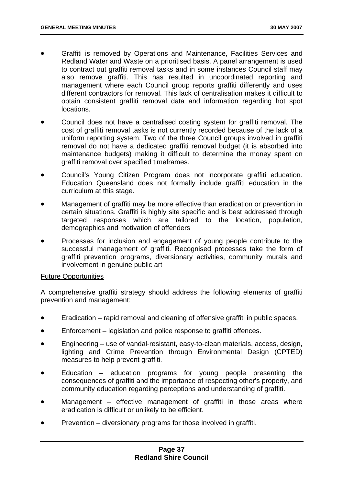- Graffiti is removed by Operations and Maintenance, Facilities Services and Redland Water and Waste on a prioritised basis. A panel arrangement is used to contract out graffiti removal tasks and in some instances Council staff may also remove graffiti. This has resulted in uncoordinated reporting and management where each Council group reports graffiti differently and uses different contractors for removal. This lack of centralisation makes it difficult to obtain consistent graffiti removal data and information regarding hot spot locations.
- Council does not have a centralised costing system for graffiti removal. The cost of graffiti removal tasks is not currently recorded because of the lack of a uniform reporting system. Two of the three Council groups involved in graffiti removal do not have a dedicated graffiti removal budget (it is absorbed into maintenance budgets) making it difficult to determine the money spent on graffiti removal over specified timeframes.
- Council's Young Citizen Program does not incorporate graffiti education. Education Queensland does not formally include graffiti education in the curriculum at this stage.
- Management of graffiti may be more effective than eradication or prevention in certain situations. Graffiti is highly site specific and is best addressed through targeted responses which are tailored to the location, population, demographics and motivation of offenders
- Processes for inclusion and engagement of young people contribute to the successful management of graffiti. Recognised processes take the form of graffiti prevention programs, diversionary activities, community murals and involvement in genuine public art

## Future Opportunities

A comprehensive graffiti strategy should address the following elements of graffiti prevention and management:

- Eradication – rapid removal and cleaning of offensive graffiti in public spaces.
- Enforcement – legislation and police response to graffiti offences.
- Engineering – use of vandal-resistant, easy-to-clean materials, access, design, lighting and Crime Prevention through Environmental Design (CPTED) measures to help prevent graffiti.
- Education – education programs for young people presenting the consequences of graffiti and the importance of respecting other's property, and community education regarding perceptions and understanding of graffiti.
- Management – effective management of graffiti in those areas where eradication is difficult or unlikely to be efficient.
- Prevention – diversionary programs for those involved in graffiti.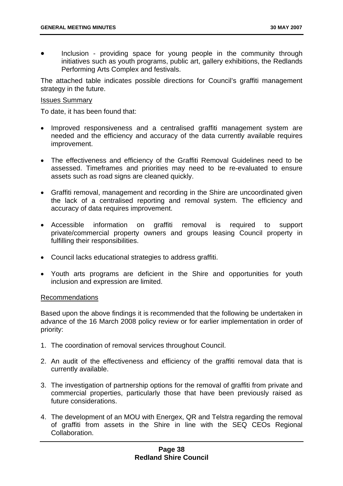• Inclusion - providing space for young people in the community through initiatives such as youth programs, public art, gallery exhibitions, the Redlands Performing Arts Complex and festivals.

The attached table indicates possible directions for Council's graffiti management strategy in the future.

#### Issues Summary

To date, it has been found that:

- Improved responsiveness and a centralised graffiti management system are needed and the efficiency and accuracy of the data currently available requires improvement.
- The effectiveness and efficiency of the Graffiti Removal Guidelines need to be assessed. Timeframes and priorities may need to be re-evaluated to ensure assets such as road signs are cleaned quickly.
- Graffiti removal, management and recording in the Shire are uncoordinated given the lack of a centralised reporting and removal system. The efficiency and accuracy of data requires improvement.
- Accessible information on graffiti removal is required to support private/commercial property owners and groups leasing Council property in fulfilling their responsibilities.
- Council lacks educational strategies to address graffiti.
- Youth arts programs are deficient in the Shire and opportunities for youth inclusion and expression are limited.

## Recommendations

Based upon the above findings it is recommended that the following be undertaken in advance of the 16 March 2008 policy review or for earlier implementation in order of priority:

- 1. The coordination of removal services throughout Council.
- 2. An audit of the effectiveness and efficiency of the graffiti removal data that is currently available.
- 3. The investigation of partnership options for the removal of graffiti from private and commercial properties, particularly those that have been previously raised as future considerations.
- 4. The development of an MOU with Energex, QR and Telstra regarding the removal of graffiti from assets in the Shire in line with the SEQ CEOs Regional Collaboration.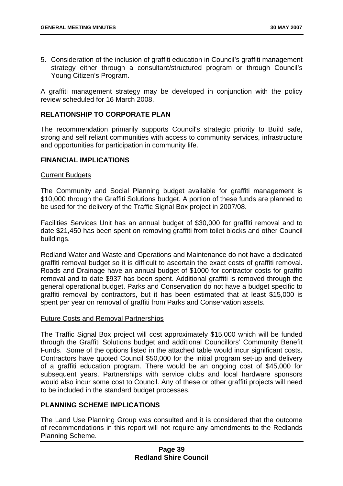5. Consideration of the inclusion of graffiti education in Council's graffiti management strategy either through a consultant/structured program or through Council's Young Citizen's Program.

A graffiti management strategy may be developed in conjunction with the policy review scheduled for 16 March 2008.

## **RELATIONSHIP TO CORPORATE PLAN**

The recommendation primarily supports Council's strategic priority to Build safe, strong and self reliant communities with access to community services, infrastructure and opportunities for participation in community life.

#### **FINANCIAL IMPLICATIONS**

#### Current Budgets

The Community and Social Planning budget available for graffiti management is \$10,000 through the Graffiti Solutions budget. A portion of these funds are planned to be used for the delivery of the Traffic Signal Box project in 2007/08.

Facilities Services Unit has an annual budget of \$30,000 for graffiti removal and to date \$21,450 has been spent on removing graffiti from toilet blocks and other Council buildings.

Redland Water and Waste and Operations and Maintenance do not have a dedicated graffiti removal budget so it is difficult to ascertain the exact costs of graffiti removal. Roads and Drainage have an annual budget of \$1000 for contractor costs for graffiti removal and to date \$937 has been spent. Additional graffiti is removed through the general operational budget. Parks and Conservation do not have a budget specific to graffiti removal by contractors, but it has been estimated that at least \$15,000 is spent per year on removal of graffiti from Parks and Conservation assets.

## Future Costs and Removal Partnerships

The Traffic Signal Box project will cost approximately \$15,000 which will be funded through the Graffiti Solutions budget and additional Councillors' Community Benefit Funds. Some of the options listed in the attached table would incur significant costs. Contractors have quoted Council \$50,000 for the initial program set-up and delivery of a graffiti education program. There would be an ongoing cost of \$45,000 for subsequent years. Partnerships with service clubs and local hardware sponsors would also incur some cost to Council. Any of these or other graffiti projects will need to be included in the standard budget processes.

# **PLANNING SCHEME IMPLICATIONS**

The Land Use Planning Group was consulted and it is considered that the outcome of recommendations in this report will not require any amendments to the Redlands Planning Scheme.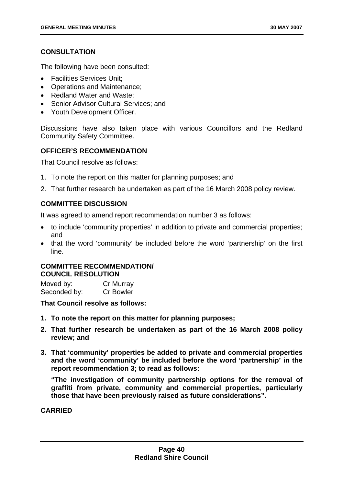# **CONSULTATION**

The following have been consulted:

- Facilities Services Unit;
- Operations and Maintenance;
- Redland Water and Waste;
- Senior Advisor Cultural Services; and
- Youth Development Officer.

Discussions have also taken place with various Councillors and the Redland Community Safety Committee.

## **OFFICER'S RECOMMENDATION**

That Council resolve as follows:

- 1. To note the report on this matter for planning purposes; and
- 2. That further research be undertaken as part of the 16 March 2008 policy review.

## **COMMITTEE DISCUSSION**

It was agreed to amend report recommendation number 3 as follows:

- to include 'community properties' in addition to private and commercial properties; and
- that the word 'community' be included before the word 'partnership' on the first line.

## **COMMITTEE RECOMMENDATION/ COUNCIL RESOLUTION**

Moved by: Cr Murray Seconded by: Cr Bowler

**That Council resolve as follows:** 

- **1. To note the report on this matter for planning purposes;**
- **2. That further research be undertaken as part of the 16 March 2008 policy review; and**
- **3. That 'community' properties be added to private and commercial properties and the word 'community' be included before the word 'partnership' in the report recommendation 3; to read as follows:**

**"The investigation of community partnership options for the removal of graffiti from private, community and commercial properties, particularly those that have been previously raised as future considerations".** 

**CARRIED**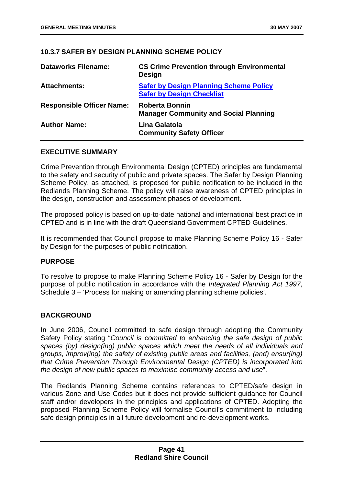# **10.3.7 SAFER BY DESIGN PLANNING SCHEME POLICY**

| <b>Dataworks Filename:</b>       | <b>CS Crime Prevention through Environmental</b><br><b>Design</b>                 |
|----------------------------------|-----------------------------------------------------------------------------------|
| <b>Attachments:</b>              | <b>Safer by Design Planning Scheme Policy</b><br><b>Safer by Design Checklist</b> |
| <b>Responsible Officer Name:</b> | <b>Roberta Bonnin</b><br><b>Manager Community and Social Planning</b>             |
| <b>Author Name:</b>              | Lina Galatola<br><b>Community Safety Officer</b>                                  |

## **EXECUTIVE SUMMARY**

Crime Prevention through Environmental Design (CPTED) principles are fundamental to the safety and security of public and private spaces. The Safer by Design Planning Scheme Policy, as attached, is proposed for public notification to be included in the Redlands Planning Scheme. The policy will raise awareness of CPTED principles in the design, construction and assessment phases of development.

The proposed policy is based on up-to-date national and international best practice in CPTED and is in line with the draft Queensland Government CPTED Guidelines.

It is recommended that Council propose to make Planning Scheme Policy 16 - Safer by Design for the purposes of public notification.

# **PURPOSE**

To resolve to propose to make Planning Scheme Policy 16 - Safer by Design for the purpose of public notification in accordance with the *Integrated Planning Act 1997*, Schedule 3 – 'Process for making or amending planning scheme policies'.

## **BACKGROUND**

In June 2006, Council committed to safe design through adopting the Community Safety Policy stating "*Council is committed to enhancing the safe design of public spaces (by) design(ing) public spaces which meet the needs of all individuals and groups, improv(ing) the safety of existing public areas and facilities, (and) ensur(ing) that Crime Prevention Through Environmental Design (CPTED) is incorporated into the design of new public spaces to maximise community access and use*".

The Redlands Planning Scheme contains references to CPTED/safe design in various Zone and Use Codes but it does not provide sufficient guidance for Council staff and/or developers in the principles and applications of CPTED. Adopting the proposed Planning Scheme Policy will formalise Council's commitment to including safe design principles in all future development and re-development works.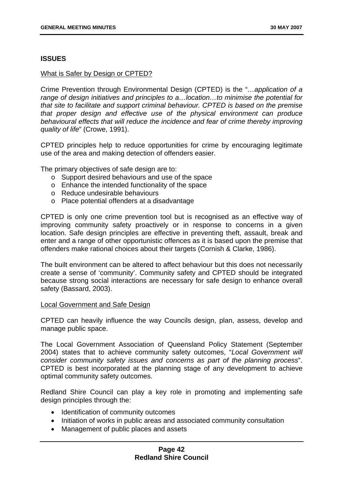## **ISSUES**

## What is Safer by Design or CPTED?

Crime Prevention through Environmental Design (CPTED) is the "*…application of a range of design initiatives and principles to a…location…to minimise the potential for that site to facilitate and support criminal behaviour. CPTED is based on the premise that proper design and effective use of the physical environment can produce behavioural effects that will reduce the incidence and fear of crime thereby improving quality of life*" (Crowe, 1991).

CPTED principles help to reduce opportunities for crime by encouraging legitimate use of the area and making detection of offenders easier.

The primary objectives of safe design are to:

- o Support desired behaviours and use of the space
- o Enhance the intended functionality of the space
- o Reduce undesirable behaviours
- o Place potential offenders at a disadvantage

CPTED is only one crime prevention tool but is recognised as an effective way of improving community safety proactively or in response to concerns in a given location. Safe design principles are effective in preventing theft, assault, break and enter and a range of other opportunistic offences as it is based upon the premise that offenders make rational choices about their targets (Cornish & Clarke, 1986).

The built environment can be altered to affect behaviour but this does not necessarily create a sense of 'community'. Community safety and CPTED should be integrated because strong social interactions are necessary for safe design to enhance overall safety (Bassard, 2003).

#### Local Government and Safe Design

CPTED can heavily influence the way Councils design, plan, assess, develop and manage public space.

The Local Government Association of Queensland Policy Statement (September 2004) states that to achieve community safety outcomes, "*Local Government will consider community safety issues and concerns as part of the planning process*". CPTED is best incorporated at the planning stage of any development to achieve optimal community safety outcomes.

Redland Shire Council can play a key role in promoting and implementing safe design principles through the:

- Identification of community outcomes
- Initiation of works in public areas and associated community consultation
- Management of public places and assets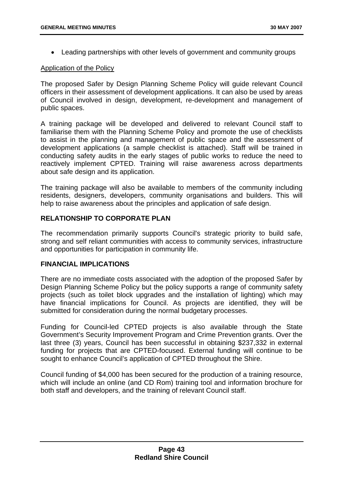• Leading partnerships with other levels of government and community groups

## Application of the Policy

The proposed Safer by Design Planning Scheme Policy will guide relevant Council officers in their assessment of development applications. It can also be used by areas of Council involved in design, development, re-development and management of public spaces.

A training package will be developed and delivered to relevant Council staff to familiarise them with the Planning Scheme Policy and promote the use of checklists to assist in the planning and management of public space and the assessment of development applications (a sample checklist is attached). Staff will be trained in conducting safety audits in the early stages of public works to reduce the need to reactively implement CPTED. Training will raise awareness across departments about safe design and its application.

The training package will also be available to members of the community including residents, designers, developers, community organisations and builders. This will help to raise awareness about the principles and application of safe design.

# **RELATIONSHIP TO CORPORATE PLAN**

The recommendation primarily supports Council's strategic priority to build safe, strong and self reliant communities with access to community services, infrastructure and opportunities for participation in community life.

## **FINANCIAL IMPLICATIONS**

There are no immediate costs associated with the adoption of the proposed Safer by Design Planning Scheme Policy but the policy supports a range of community safety projects (such as toilet block upgrades and the installation of lighting) which may have financial implications for Council. As projects are identified, they will be submitted for consideration during the normal budgetary processes.

Funding for Council-led CPTED projects is also available through the State Government's Security Improvement Program and Crime Prevention grants. Over the last three (3) years, Council has been successful in obtaining \$237,332 in external funding for projects that are CPTED-focused. External funding will continue to be sought to enhance Council's application of CPTED throughout the Shire.

Council funding of \$4,000 has been secured for the production of a training resource, which will include an online (and CD Rom) training tool and information brochure for both staff and developers, and the training of relevant Council staff.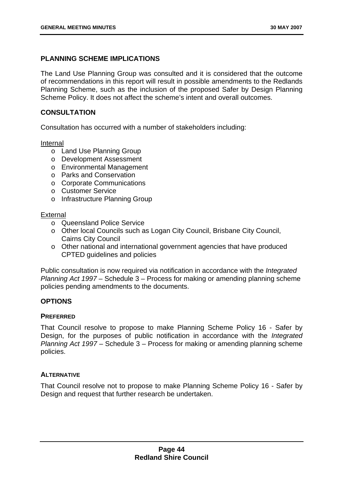# **PLANNING SCHEME IMPLICATIONS**

The Land Use Planning Group was consulted and it is considered that the outcome of recommendations in this report will result in possible amendments to the Redlands Planning Scheme, such as the inclusion of the proposed Safer by Design Planning Scheme Policy. It does not affect the scheme's intent and overall outcomes.

# **CONSULTATION**

Consultation has occurred with a number of stakeholders including:

## Internal

- o Land Use Planning Group
- o Development Assessment
- o Environmental Management
- o Parks and Conservation
- o Corporate Communications
- o Customer Service
- o Infrastructure Planning Group

## **External**

- o Queensland Police Service
- o Other local Councils such as Logan City Council, Brisbane City Council, Cairns City Council
- o Other national and international government agencies that have produced CPTED guidelines and policies

Public consultation is now required via notification in accordance with the *Integrated Planning Act 1997* – Schedule 3 – Process for making or amending planning scheme policies pending amendments to the documents.

# **OPTIONS**

## **PREFERRED**

That Council resolve to propose to make Planning Scheme Policy 16 - Safer by Design, for the purposes of public notification in accordance with the *Integrated Planning Act 1997* – Schedule 3 – Process for making or amending planning scheme policies.

# **ALTERNATIVE**

That Council resolve not to propose to make Planning Scheme Policy 16 - Safer by Design and request that further research be undertaken.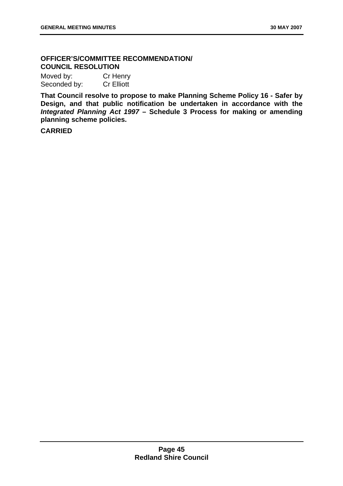# **OFFICER'S/COMMITTEE RECOMMENDATION/ COUNCIL RESOLUTION**

Moved by: Cr Henry Seconded by: Cr Elliott

**That Council resolve to propose to make Planning Scheme Policy 16 - Safer by Design, and that public notification be undertaken in accordance with the** *Integrated Planning Act 1997* **– Schedule 3 Process for making or amending planning scheme policies.** 

**CARRIED**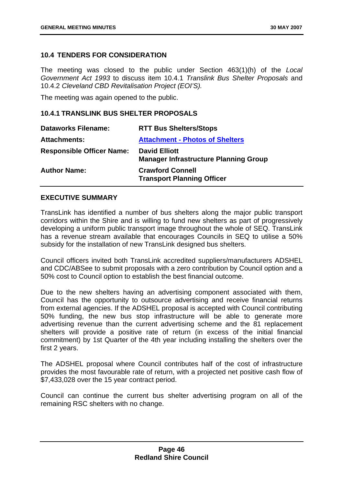## **10.4 TENDERS FOR CONSIDERATION**

The meeting was closed to the public under Section 463(1)(h) of the *Local Government Act 1993* to discuss item 10.4.1 *Translink Bus Shelter Proposals* and 10.4.2 *Cleveland CBD Revitalisation Project (EOI'S).*

The meeting was again opened to the public.

#### **10.4.1 TRANSLINK BUS SHELTER PROPOSALS**

| <b>Dataworks Filename:</b>       | <b>RTT Bus Shelters/Stops</b>                                        |
|----------------------------------|----------------------------------------------------------------------|
| <b>Attachments:</b>              | <b>Attachment - Photos of Shelters</b>                               |
| <b>Responsible Officer Name:</b> | <b>David Elliott</b><br><b>Manager Infrastructure Planning Group</b> |
| <b>Author Name:</b>              | <b>Crawford Connell</b><br><b>Transport Planning Officer</b>         |

## **EXECUTIVE SUMMARY**

TransLink has identified a number of bus shelters along the major public transport corridors within the Shire and is willing to fund new shelters as part of progressively developing a uniform public transport image throughout the whole of SEQ. TransLink has a revenue stream available that encourages Councils in SEQ to utilise a 50% subsidy for the installation of new TransLink designed bus shelters.

Council officers invited both TransLink accredited suppliers/manufacturers ADSHEL and CDC/ABSee to submit proposals with a zero contribution by Council option and a 50% cost to Council option to establish the best financial outcome.

Due to the new shelters having an advertising component associated with them, Council has the opportunity to outsource advertising and receive financial returns from external agencies. If the ADSHEL proposal is accepted with Council contributing 50% funding, the new bus stop infrastructure will be able to generate more advertising revenue than the current advertising scheme and the 81 replacement shelters will provide a positive rate of return (in excess of the initial financial commitment) by 1st Quarter of the 4th year including installing the shelters over the first 2 years.

The ADSHEL proposal where Council contributes half of the cost of infrastructure provides the most favourable rate of return, with a projected net positive cash flow of \$7,433,028 over the 15 year contract period.

Council can continue the current bus shelter advertising program on all of the remaining RSC shelters with no change.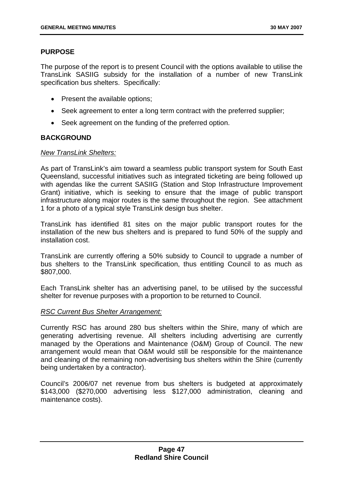## **PURPOSE**

The purpose of the report is to present Council with the options available to utilise the TransLink SASIIG subsidy for the installation of a number of new TransLink specification bus shelters. Specifically:

- Present the available options;
- Seek agreement to enter a long term contract with the preferred supplier;
- Seek agreement on the funding of the preferred option.

## **BACKGROUND**

## *New TransLink Shelters:*

As part of TransLink's aim toward a seamless public transport system for South East Queensland, successful initiatives such as integrated ticketing are being followed up with agendas like the current SASIIG (Station and Stop Infrastructure Improvement Grant) initiative, which is seeking to ensure that the image of public transport infrastructure along major routes is the same throughout the region. See attachment 1 for a photo of a typical style TransLink design bus shelter.

TransLink has identified 81 sites on the major public transport routes for the installation of the new bus shelters and is prepared to fund 50% of the supply and installation cost.

TransLink are currently offering a 50% subsidy to Council to upgrade a number of bus shelters to the TransLink specification, thus entitling Council to as much as \$807,000.

Each TransLink shelter has an advertising panel, to be utilised by the successful shelter for revenue purposes with a proportion to be returned to Council.

## *RSC Current Bus Shelter Arrangement:*

Currently RSC has around 280 bus shelters within the Shire, many of which are generating advertising revenue. All shelters including advertising are currently managed by the Operations and Maintenance (O&M) Group of Council. The new arrangement would mean that O&M would still be responsible for the maintenance and cleaning of the remaining non-advertising bus shelters within the Shire (currently being undertaken by a contractor).

Council's 2006/07 net revenue from bus shelters is budgeted at approximately \$143,000 (\$270,000 advertising less \$127,000 administration, cleaning and maintenance costs).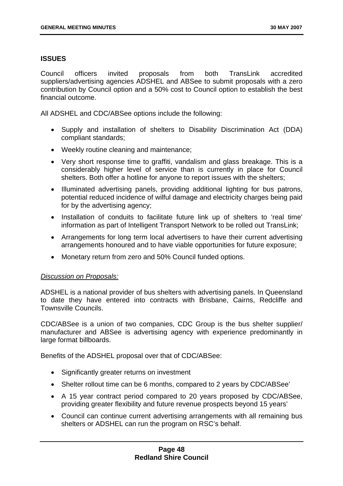## **ISSUES**

Council officers invited proposals from both TransLink accredited suppliers/advertising agencies ADSHEL and ABSee to submit proposals with a zero contribution by Council option and a 50% cost to Council option to establish the best financial outcome.

All ADSHEL and CDC/ABSee options include the following:

- Supply and installation of shelters to Disability Discrimination Act (DDA) compliant standards;
- Weekly routine cleaning and maintenance;
- Very short response time to graffiti, vandalism and glass breakage. This is a considerably higher level of service than is currently in place for Council shelters. Both offer a hotline for anyone to report issues with the shelters;
- Illuminated advertising panels, providing additional lighting for bus patrons, potential reduced incidence of wilful damage and electricity charges being paid for by the advertising agency;
- Installation of conduits to facilitate future link up of shelters to 'real time' information as part of Intelligent Transport Network to be rolled out TransLink;
- Arrangements for long term local advertisers to have their current advertising arrangements honoured and to have viable opportunities for future exposure;
- Monetary return from zero and 50% Council funded options.

## *Discussion on Proposals:*

ADSHEL is a national provider of bus shelters with advertising panels. In Queensland to date they have entered into contracts with Brisbane, Cairns, Redcliffe and Townsville Councils.

CDC/ABSee is a union of two companies, CDC Group is the bus shelter supplier/ manufacturer and ABSee is advertising agency with experience predominantly in large format billboards.

Benefits of the ADSHEL proposal over that of CDC/ABSee:

- Significantly greater returns on investment
- Shelter rollout time can be 6 months, compared to 2 years by CDC/ABSee'
- A 15 year contract period compared to 20 years proposed by CDC/ABSee, providing greater flexibility and future revenue prospects beyond 15 years'
- Council can continue current advertising arrangements with all remaining bus shelters or ADSHEL can run the program on RSC's behalf.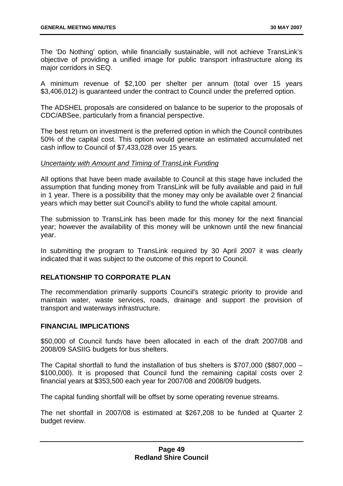The 'Do Nothing' option, while financially sustainable, will not achieve TransLink's objective of providing a unified image for public transport infrastructure along its major corridors in SEQ.

A minimum revenue of \$2,100 per shelter per annum (total over 15 years \$3,406,012) is guaranteed under the contract to Council under the preferred option.

The ADSHEL proposals are considered on balance to be superior to the proposals of CDC/ABSee, particularly from a financial perspective.

The best return on investment is the preferred option in which the Council contributes 50% of the capital cost. This option would generate an estimated accumulated net cash inflow to Council of \$7,433,028 over 15 years.

#### *Uncertainty with Amount and Timing of TransLink Funding*

All options that have been made available to Council at this stage have included the assumption that funding money from TransLink will be fully available and paid in full in 1 year. There is a possibility that the money may only be available over 2 financial years which may better suit Council's ability to fund the whole capital amount.

The submission to TransLink has been made for this money for the next financial year; however the availability of this money will be unknown until the new financial year.

In submitting the program to TransLink required by 30 April 2007 it was clearly indicated that it was subject to the outcome of this report to Council.

## **RELATIONSHIP TO CORPORATE PLAN**

The recommendation primarily supports Council's strategic priority to provide and maintain water, waste services, roads, drainage and support the provision of transport and waterways infrastructure.

## **FINANCIAL IMPLICATIONS**

\$50,000 of Council funds have been allocated in each of the draft 2007/08 and 2008/09 SASIIG budgets for bus shelters.

The Capital shortfall to fund the installation of bus shelters is \$707,000 (\$807,000 – \$100,000). It is proposed that Council fund the remaining capital costs over 2 financial years at \$353,500 each year for 2007/08 and 2008/09 budgets.

The capital funding shortfall will be offset by some operating revenue streams.

The net shortfall in 2007/08 is estimated at \$267,208 to be funded at Quarter 2 budget review.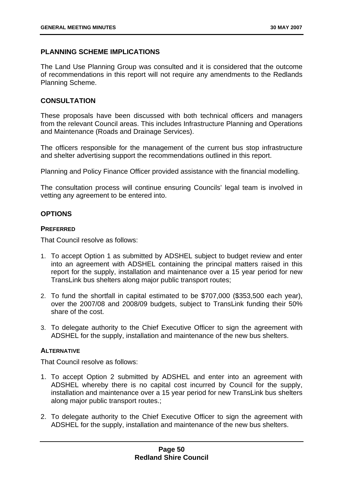# **PLANNING SCHEME IMPLICATIONS**

The Land Use Planning Group was consulted and it is considered that the outcome of recommendations in this report will not require any amendments to the Redlands Planning Scheme.

# **CONSULTATION**

These proposals have been discussed with both technical officers and managers from the relevant Council areas. This includes Infrastructure Planning and Operations and Maintenance (Roads and Drainage Services).

The officers responsible for the management of the current bus stop infrastructure and shelter advertising support the recommendations outlined in this report.

Planning and Policy Finance Officer provided assistance with the financial modelling.

The consultation process will continue ensuring Councils' legal team is involved in vetting any agreement to be entered into.

# **OPTIONS**

## **PREFERRED**

That Council resolve as follows:

- 1. To accept Option 1 as submitted by ADSHEL subject to budget review and enter into an agreement with ADSHEL containing the principal matters raised in this report for the supply, installation and maintenance over a 15 year period for new TransLink bus shelters along major public transport routes;
- 2. To fund the shortfall in capital estimated to be \$707,000 (\$353,500 each year), over the 2007/08 and 2008/09 budgets, subject to TransLink funding their 50% share of the cost.
- 3. To delegate authority to the Chief Executive Officer to sign the agreement with ADSHEL for the supply, installation and maintenance of the new bus shelters.

# **ALTERNATIVE**

That Council resolve as follows:

- 1. To accept Option 2 submitted by ADSHEL and enter into an agreement with ADSHEL whereby there is no capital cost incurred by Council for the supply, installation and maintenance over a 15 year period for new TransLink bus shelters along major public transport routes.;
- 2. To delegate authority to the Chief Executive Officer to sign the agreement with ADSHEL for the supply, installation and maintenance of the new bus shelters.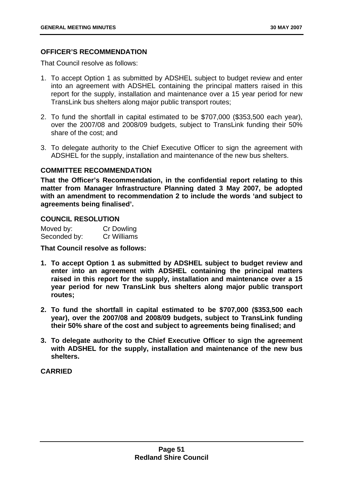# **OFFICER'S RECOMMENDATION**

That Council resolve as follows:

- 1. To accept Option 1 as submitted by ADSHEL subject to budget review and enter into an agreement with ADSHEL containing the principal matters raised in this report for the supply, installation and maintenance over a 15 year period for new TransLink bus shelters along major public transport routes;
- 2. To fund the shortfall in capital estimated to be \$707,000 (\$353,500 each year), over the 2007/08 and 2008/09 budgets, subject to TransLink funding their 50% share of the cost; and
- 3. To delegate authority to the Chief Executive Officer to sign the agreement with ADSHEL for the supply, installation and maintenance of the new bus shelters.

## **COMMITTEE RECOMMENDATION**

**That the Officer's Recommendation, in the confidential report relating to this matter from Manager Infrastructure Planning dated 3 May 2007, be adopted with an amendment to recommendation 2 to include the words 'and subject to agreements being finalised'.** 

## **COUNCIL RESOLUTION**

| Moved by:    | <b>Cr Dowling</b> |
|--------------|-------------------|
| Seconded by: | Cr Williams       |

**That Council resolve as follows:** 

- **1. To accept Option 1 as submitted by ADSHEL subject to budget review and enter into an agreement with ADSHEL containing the principal matters raised in this report for the supply, installation and maintenance over a 15 year period for new TransLink bus shelters along major public transport routes;**
- **2. To fund the shortfall in capital estimated to be \$707,000 (\$353,500 each year), over the 2007/08 and 2008/09 budgets, subject to TransLink funding their 50% share of the cost and subject to agreements being finalised; and**
- **3. To delegate authority to the Chief Executive Officer to sign the agreement with ADSHEL for the supply, installation and maintenance of the new bus shelters.**

## **CARRIED**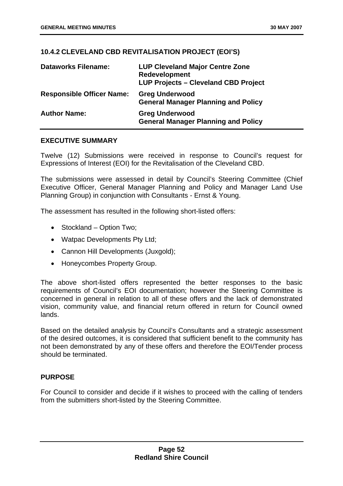# **10.4.2 CLEVELAND CBD REVITALISATION PROJECT (EOI'S)**

| <b>Dataworks Filename:</b>       | <b>LUP Cleveland Major Centre Zone</b><br>Redevelopment<br><b>LUP Projects - Cleveland CBD Project</b> |
|----------------------------------|--------------------------------------------------------------------------------------------------------|
| <b>Responsible Officer Name:</b> | <b>Greg Underwood</b><br><b>General Manager Planning and Policy</b>                                    |
| <b>Author Name:</b>              | <b>Greg Underwood</b><br><b>General Manager Planning and Policy</b>                                    |

## **EXECUTIVE SUMMARY**

Twelve (12) Submissions were received in response to Council's request for Expressions of Interest (EOI) for the Revitalisation of the Cleveland CBD.

The submissions were assessed in detail by Council's Steering Committee (Chief Executive Officer, General Manager Planning and Policy and Manager Land Use Planning Group) in conjunction with Consultants - Ernst & Young.

The assessment has resulted in the following short-listed offers:

- Stockland Option Two;
- Watpac Developments Pty Ltd:
- Cannon Hill Developments (Juxgold):
- Honeycombes Property Group.

The above short-listed offers represented the better responses to the basic requirements of Council's EOI documentation; however the Steering Committee is concerned in general in relation to all of these offers and the lack of demonstrated vision, community value, and financial return offered in return for Council owned lands.

Based on the detailed analysis by Council's Consultants and a strategic assessment of the desired outcomes, it is considered that sufficient benefit to the community has not been demonstrated by any of these offers and therefore the EOI/Tender process should be terminated.

# **PURPOSE**

For Council to consider and decide if it wishes to proceed with the calling of tenders from the submitters short-listed by the Steering Committee.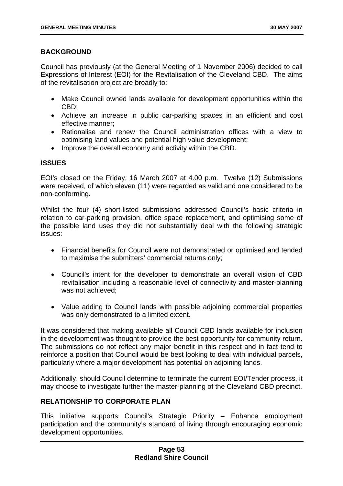# **BACKGROUND**

Council has previously (at the General Meeting of 1 November 2006) decided to call Expressions of Interest (EOI) for the Revitalisation of the Cleveland CBD. The aims of the revitalisation project are broadly to:

- Make Council owned lands available for development opportunities within the CBD;
- Achieve an increase in public car-parking spaces in an efficient and cost effective manner;
- Rationalise and renew the Council administration offices with a view to optimising land values and potential high value development;
- Improve the overall economy and activity within the CBD.

# **ISSUES**

EOI's closed on the Friday, 16 March 2007 at 4.00 p.m. Twelve (12) Submissions were received, of which eleven (11) were regarded as valid and one considered to be non-conforming.

Whilst the four (4) short-listed submissions addressed Council's basic criteria in relation to car-parking provision, office space replacement, and optimising some of the possible land uses they did not substantially deal with the following strategic issues:

- Financial benefits for Council were not demonstrated or optimised and tended to maximise the submitters' commercial returns only;
- Council's intent for the developer to demonstrate an overall vision of CBD revitalisation including a reasonable level of connectivity and master-planning was not achieved;
- Value adding to Council lands with possible adjoining commercial properties was only demonstrated to a limited extent.

It was considered that making available all Council CBD lands available for inclusion in the development was thought to provide the best opportunity for community return. The submissions do not reflect any major benefit in this respect and in fact tend to reinforce a position that Council would be best looking to deal with individual parcels, particularly where a major development has potential on adjoining lands.

Additionally, should Council determine to terminate the current EOI/Tender process, it may choose to investigate further the master-planning of the Cleveland CBD precinct.

# **RELATIONSHIP TO CORPORATE PLAN**

This initiative supports Council's Strategic Priority – Enhance employment participation and the community's standard of living through encouraging economic development opportunities.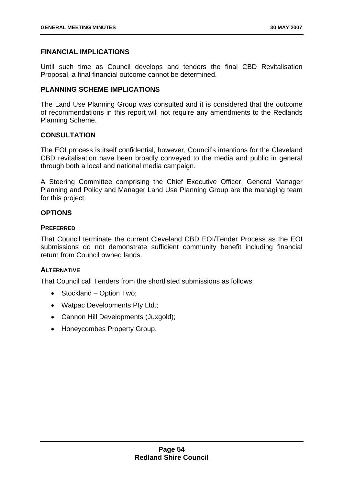## **FINANCIAL IMPLICATIONS**

Until such time as Council develops and tenders the final CBD Revitalisation Proposal, a final financial outcome cannot be determined.

## **PLANNING SCHEME IMPLICATIONS**

The Land Use Planning Group was consulted and it is considered that the outcome of recommendations in this report will not require any amendments to the Redlands Planning Scheme.

## **CONSULTATION**

The EOI process is itself confidential, however, Council's intentions for the Cleveland CBD revitalisation have been broadly conveyed to the media and public in general through both a local and national media campaign.

A Steering Committee comprising the Chief Executive Officer, General Manager Planning and Policy and Manager Land Use Planning Group are the managing team for this project.

## **OPTIONS**

## **PREFERRED**

That Council terminate the current Cleveland CBD EOI/Tender Process as the EOI submissions do not demonstrate sufficient community benefit including financial return from Council owned lands.

## **ALTERNATIVE**

That Council call Tenders from the shortlisted submissions as follows:

- Stockland Option Two;
- Watpac Developments Pty Ltd.;
- Cannon Hill Developments (Juxgold);
- Honeycombes Property Group.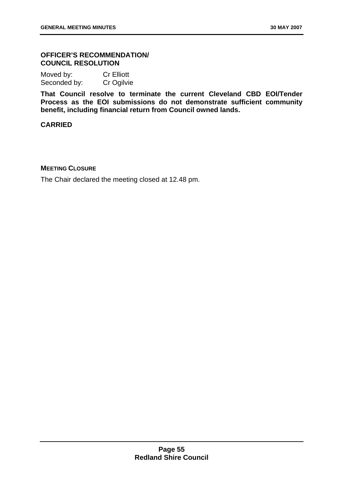# **OFFICER'S RECOMMENDATION/ COUNCIL RESOLUTION**

Moved by: Cr Elliott Seconded by: Cr Ogilvie

**That Council resolve to terminate the current Cleveland CBD EOI/Tender Process as the EOI submissions do not demonstrate sufficient community benefit, including financial return from Council owned lands.** 

# **CARRIED**

## **MEETING CLOSURE**

The Chair declared the meeting closed at 12.48 pm.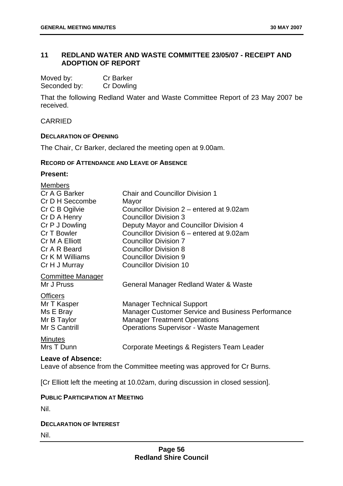# **11 REDLAND WATER AND WASTE COMMITTEE 23/05/07 - RECEIPT AND ADOPTION OF REPORT**

| Moved by:    | <b>Cr Barker</b> |
|--------------|------------------|
| Seconded by: | Cr Dowling       |

That the following Redland Water and Waste Committee Report of 23 May 2007 be received.

# CARRIED

## **DECLARATION OF OPENING**

The Chair, Cr Barker, declared the meeting open at 9.00am.

## **RECORD OF ATTENDANCE AND LEAVE OF ABSENCE**

# **Present:**

| <b>Members</b>           |                                                   |
|--------------------------|---------------------------------------------------|
| Cr A G Barker            | <b>Chair and Councillor Division 1</b>            |
| Cr D H Seccombe          | Mayor                                             |
| Cr C B Ogilvie           | Councillor Division 2 – entered at 9.02am         |
| Cr D A Henry             | <b>Councillor Division 3</b>                      |
| Cr P J Dowling           | Deputy Mayor and Councillor Division 4            |
| Cr T Bowler              | Councillor Division 6 – entered at 9.02am         |
| Cr M A Elliott           | <b>Councillor Division 7</b>                      |
| Cr A R Beard             | <b>Councillor Division 8</b>                      |
| Cr K M Williams          | <b>Councillor Division 9</b>                      |
| Cr H J Murray            | <b>Councillor Division 10</b>                     |
| <b>Committee Manager</b> |                                                   |
| Mr J Pruss               | General Manager Redland Water & Waste             |
| <b>Officers</b>          |                                                   |
| Mr T Kasper              | <b>Manager Technical Support</b>                  |
| Ms E Bray                | Manager Customer Service and Business Performance |
| Mr B Taylor              | <b>Manager Treatment Operations</b>               |
| Mr S Cantrill            | <b>Operations Supervisor - Waste Management</b>   |
| <b>Minutes</b>           |                                                   |
| Mrs T Dunn               | Corporate Meetings & Registers Team Leader        |
|                          |                                                   |

#### **Leave of Absence:**

Leave of absence from the Committee meeting was approved for Cr Burns.

[Cr Elliott left the meeting at 10.02am, during discussion in closed session].

#### **PUBLIC PARTICIPATION AT MEETING**

Nil.

## **DECLARATION OF INTEREST**

Nil.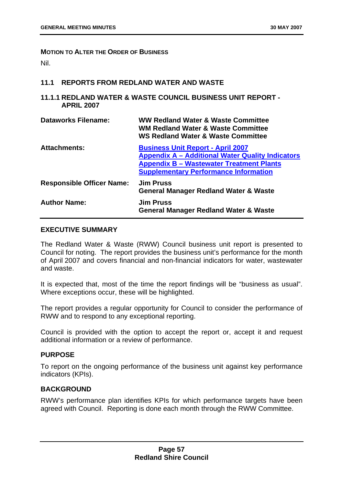#### **MOTION TO ALTER THE ORDER OF BUSINESS**

Nil.

#### **11.1 REPORTS FROM REDLAND WATER AND WASTE**

**11.1.1 REDLAND WATER & WASTE COUNCIL BUSINESS UNIT REPORT - APRIL 2007** 

| Dataworks Filename:              | WW Redland Water & Waste Committee<br><b>WM Redland Water &amp; Waste Committee</b><br><b>WS Redland Water &amp; Waste Committee</b>                                                                   |
|----------------------------------|--------------------------------------------------------------------------------------------------------------------------------------------------------------------------------------------------------|
| <b>Attachments:</b>              | <b>Business Unit Report - April 2007</b><br><b>Appendix A – Additional Water Quality Indicators</b><br><b>Appendix B - Wastewater Treatment Plants</b><br><b>Supplementary Performance Information</b> |
| <b>Responsible Officer Name:</b> | <b>Jim Pruss</b><br><b>General Manager Redland Water &amp; Waste</b>                                                                                                                                   |
| <b>Author Name:</b>              | <b>Jim Pruss</b><br><b>General Manager Redland Water &amp; Waste</b>                                                                                                                                   |

#### **EXECUTIVE SUMMARY**

The Redland Water & Waste (RWW) Council business unit report is presented to Council for noting. The report provides the business unit's performance for the month of April 2007 and covers financial and non-financial indicators for water, wastewater and waste.

It is expected that, most of the time the report findings will be "business as usual". Where exceptions occur, these will be highlighted.

The report provides a regular opportunity for Council to consider the performance of RWW and to respond to any exceptional reporting.

Council is provided with the option to accept the report or, accept it and request additional information or a review of performance.

#### **PURPOSE**

To report on the ongoing performance of the business unit against key performance indicators (KPIs).

## **BACKGROUND**

RWW's performance plan identifies KPIs for which performance targets have been agreed with Council. Reporting is done each month through the RWW Committee.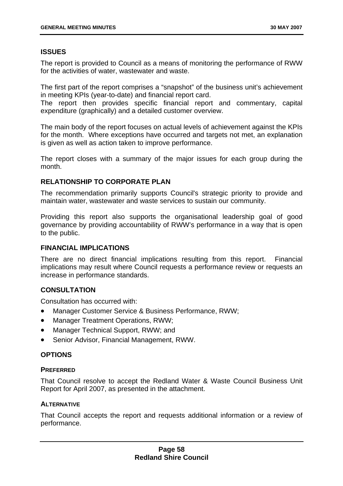# **ISSUES**

The report is provided to Council as a means of monitoring the performance of RWW for the activities of water, wastewater and waste.

The first part of the report comprises a "snapshot" of the business unit's achievement in meeting KPIs (year-to-date) and financial report card.

The report then provides specific financial report and commentary, capital expenditure (graphically) and a detailed customer overview.

The main body of the report focuses on actual levels of achievement against the KPIs for the month. Where exceptions have occurred and targets not met, an explanation is given as well as action taken to improve performance.

The report closes with a summary of the major issues for each group during the month.

# **RELATIONSHIP TO CORPORATE PLAN**

The recommendation primarily supports Council's strategic priority to provide and maintain water, wastewater and waste services to sustain our community.

Providing this report also supports the organisational leadership goal of good governance by providing accountability of RWW's performance in a way that is open to the public.

## **FINANCIAL IMPLICATIONS**

There are no direct financial implications resulting from this report. Financial implications may result where Council requests a performance review or requests an increase in performance standards.

# **CONSULTATION**

Consultation has occurred with:

- Manager Customer Service & Business Performance, RWW;
- Manager Treatment Operations, RWW;
- Manager Technical Support, RWW; and
- Senior Advisor, Financial Management, RWW.

## **OPTIONS**

## **PREFERRED**

That Council resolve to accept the Redland Water & Waste Council Business Unit Report for April 2007, as presented in the attachment.

## **ALTERNATIVE**

That Council accepts the report and requests additional information or a review of performance.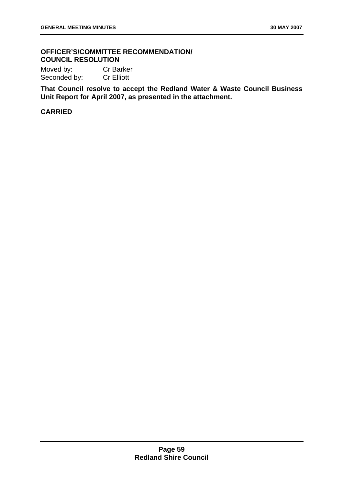# **OFFICER'S/COMMITTEE RECOMMENDATION/ COUNCIL RESOLUTION**

Moved by: Cr Barker Seconded by: Cr Elliott

**That Council resolve to accept the Redland Water & Waste Council Business Unit Report for April 2007, as presented in the attachment.** 

# **CARRIED**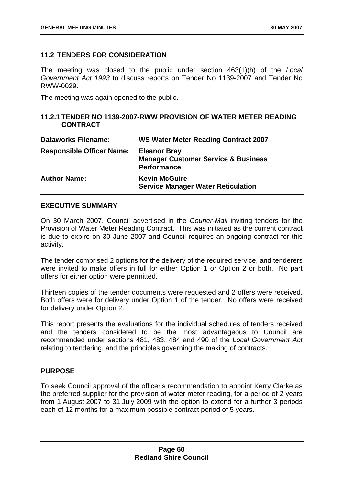## **11.2 TENDERS FOR CONSIDERATION**

The meeting was closed to the public under section 463(1)(h) of the *Local Government Act 1993* to discuss reports on Tender No 1139-2007 and Tender No RWW-0029.

The meeting was again opened to the public.

## **11.2.1 TENDER NO 1139-2007-RWW PROVISION OF WATER METER READING CONTRACT**

| <b>Dataworks Filename:</b>       | <b>WS Water Meter Reading Contract 2007</b>                                                 |
|----------------------------------|---------------------------------------------------------------------------------------------|
| <b>Responsible Officer Name:</b> | <b>Eleanor Bray</b><br><b>Manager Customer Service &amp; Business</b><br><b>Performance</b> |
| <b>Author Name:</b>              | <b>Kevin McGuire</b><br><b>Service Manager Water Reticulation</b>                           |

## **EXECUTIVE SUMMARY**

On 30 March 2007, Council advertised in the *Courier-Mail* inviting tenders for the Provision of Water Meter Reading Contract. This was initiated as the current contract is due to expire on 30 June 2007 and Council requires an ongoing contract for this activity.

The tender comprised 2 options for the delivery of the required service, and tenderers were invited to make offers in full for either Option 1 or Option 2 or both. No part offers for either option were permitted.

Thirteen copies of the tender documents were requested and 2 offers were received. Both offers were for delivery under Option 1 of the tender. No offers were received for delivery under Option 2.

This report presents the evaluations for the individual schedules of tenders received and the tenders considered to be the most advantageous to Council are recommended under sections 481, 483, 484 and 490 of the *Local Government Act* relating to tendering, and the principles governing the making of contracts.

# **PURPOSE**

To seek Council approval of the officer's recommendation to appoint Kerry Clarke as the preferred supplier for the provision of water meter reading, for a period of 2 years from 1 August 2007 to 31 July 2009 with the option to extend for a further 3 periods each of 12 months for a maximum possible contract period of 5 years.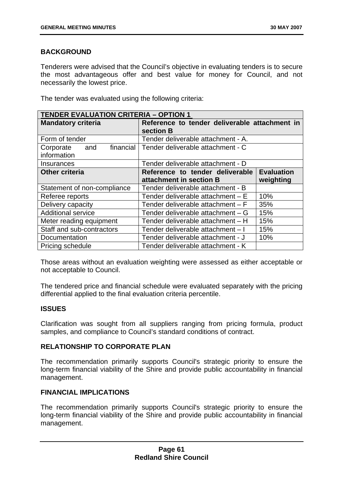# **BACKGROUND**

Tenderers were advised that the Council's objective in evaluating tenders is to secure the most advantageous offer and best value for money for Council, and not necessarily the lowest price.

The tender was evaluated using the following criteria:

| <b>TENDER EVALUATION CRITERIA - OPTION 1</b> |                                               |                   |
|----------------------------------------------|-----------------------------------------------|-------------------|
| <b>Mandatory criteria</b>                    | Reference to tender deliverable attachment in |                   |
|                                              | section B                                     |                   |
| Form of tender                               | Tender deliverable attachment - A.            |                   |
| financial<br>Corporate<br>and                | Tender deliverable attachment - C             |                   |
| information                                  |                                               |                   |
| Insurances                                   | Tender deliverable attachment - D             |                   |
| <b>Other criteria</b>                        | Reference to tender deliverable               | <b>Evaluation</b> |
|                                              | attachment in section B                       | weighting         |
| Statement of non-compliance                  | Tender deliverable attachment - B             |                   |
| Referee reports                              | Tender deliverable attachment - E             | 10%               |
| Delivery capacity                            | Tender deliverable attachment - F             | 35%               |
| <b>Additional service</b>                    | Tender deliverable attachment - G             | 15%               |
| Meter reading equipment                      | Tender deliverable attachment - H             | 15%               |
| Staff and sub-contractors                    | Tender deliverable attachment - I             | 15%               |
| Documentation                                | Tender deliverable attachment - J             | 10%               |
| Pricing schedule                             | Tender deliverable attachment - K             |                   |

Those areas without an evaluation weighting were assessed as either acceptable or not acceptable to Council.

The tendered price and financial schedule were evaluated separately with the pricing differential applied to the final evaluation criteria percentile.

## **ISSUES**

Clarification was sought from all suppliers ranging from pricing formula, product samples, and compliance to Council's standard conditions of contract.

## **RELATIONSHIP TO CORPORATE PLAN**

The recommendation primarily supports Council's strategic priority to ensure the long-term financial viability of the Shire and provide public accountability in financial management.

# **FINANCIAL IMPLICATIONS**

The recommendation primarily supports Council's strategic priority to ensure the long-term financial viability of the Shire and provide public accountability in financial management.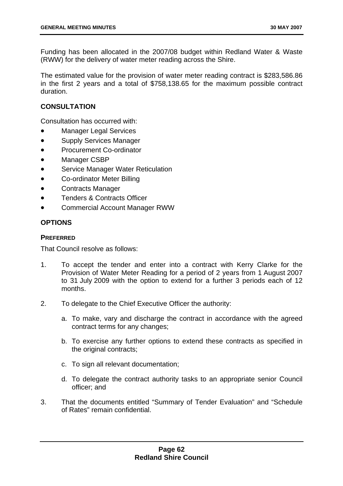Funding has been allocated in the 2007/08 budget within Redland Water & Waste (RWW) for the delivery of water meter reading across the Shire.

The estimated value for the provision of water meter reading contract is \$283,586.86 in the first 2 years and a total of \$758,138.65 for the maximum possible contract duration.

# **CONSULTATION**

Consultation has occurred with:

- Manager Legal Services
- Supply Services Manager
- Procurement Co-ordinator
- Manager CSBP
- Service Manager Water Reticulation
- Co-ordinator Meter Billing
- Contracts Manager
- Tenders & Contracts Officer
- Commercial Account Manager RWW

# **OPTIONS**

## **PREFERRED**

That Council resolve as follows:

- 1. To accept the tender and enter into a contract with Kerry Clarke for the Provision of Water Meter Reading for a period of 2 years from 1 August 2007 to 31 July 2009 with the option to extend for a further 3 periods each of 12 months.
- 2. To delegate to the Chief Executive Officer the authority:
	- a. To make, vary and discharge the contract in accordance with the agreed contract terms for any changes;
	- b. To exercise any further options to extend these contracts as specified in the original contracts;
	- c. To sign all relevant documentation;
	- d. To delegate the contract authority tasks to an appropriate senior Council officer; and
- 3. That the documents entitled "Summary of Tender Evaluation" and "Schedule of Rates" remain confidential.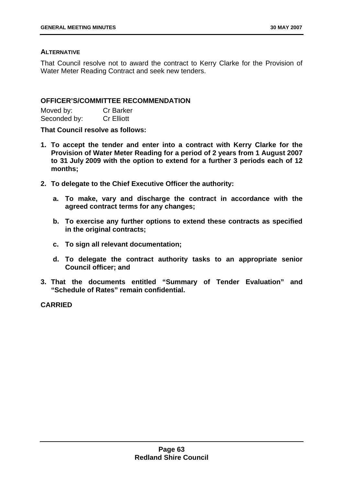## **ALTERNATIVE**

That Council resolve not to award the contract to Kerry Clarke for the Provision of Water Meter Reading Contract and seek new tenders.

## **OFFICER'S/COMMITTEE RECOMMENDATION**

| Moved by:    | <b>Cr Barker</b>  |
|--------------|-------------------|
| Seconded by: | <b>Cr Elliott</b> |

**That Council resolve as follows:** 

- **1. To accept the tender and enter into a contract with Kerry Clarke for the Provision of Water Meter Reading for a period of 2 years from 1 August 2007 to 31 July 2009 with the option to extend for a further 3 periods each of 12 months;**
- **2. To delegate to the Chief Executive Officer the authority:** 
	- **a. To make, vary and discharge the contract in accordance with the agreed contract terms for any changes;**
	- **b. To exercise any further options to extend these contracts as specified in the original contracts;**
	- **c. To sign all relevant documentation;**
	- **d. To delegate the contract authority tasks to an appropriate senior Council officer; and**
- **3. That the documents entitled "Summary of Tender Evaluation" and "Schedule of Rates" remain confidential.**

**CARRIED**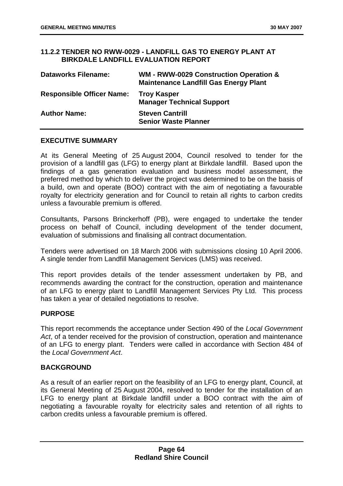## **11.2.2 TENDER NO RWW-0029 - LANDFILL GAS TO ENERGY PLANT AT BIRKDALE LANDFILL EVALUATION REPORT**

| <b>Dataworks Filename:</b>       | WM - RWW-0029 Construction Operation &<br><b>Maintenance Landfill Gas Energy Plant</b> |
|----------------------------------|----------------------------------------------------------------------------------------|
| <b>Responsible Officer Name:</b> | <b>Troy Kasper</b><br><b>Manager Technical Support</b>                                 |
| <b>Author Name:</b>              | <b>Steven Cantrill</b><br><b>Senior Waste Planner</b>                                  |

## **EXECUTIVE SUMMARY**

At its General Meeting of 25 August 2004, Council resolved to tender for the provision of a landfill gas (LFG) to energy plant at Birkdale landfill. Based upon the findings of a gas generation evaluation and business model assessment, the preferred method by which to deliver the project was determined to be on the basis of a build, own and operate (BOO) contract with the aim of negotiating a favourable royalty for electricity generation and for Council to retain all rights to carbon credits unless a favourable premium is offered.

Consultants, Parsons Brinckerhoff (PB), were engaged to undertake the tender process on behalf of Council, including development of the tender document, evaluation of submissions and finalising all contract documentation.

Tenders were advertised on 18 March 2006 with submissions closing 10 April 2006. A single tender from Landfill Management Services (LMS) was received.

This report provides details of the tender assessment undertaken by PB, and recommends awarding the contract for the construction, operation and maintenance of an LFG to energy plant to Landfill Management Services Pty Ltd. This process has taken a year of detailed negotiations to resolve.

## **PURPOSE**

This report recommends the acceptance under Section 490 of the *Local Government Act*, of a tender received for the provision of construction, operation and maintenance of an LFG to energy plant. Tenders were called in accordance with Section 484 of the *Local Government Act*.

## **BACKGROUND**

As a result of an earlier report on the feasibility of an LFG to energy plant, Council, at its General Meeting of 25 August 2004, resolved to tender for the installation of an LFG to energy plant at Birkdale landfill under a BOO contract with the aim of negotiating a favourable royalty for electricity sales and retention of all rights to carbon credits unless a favourable premium is offered.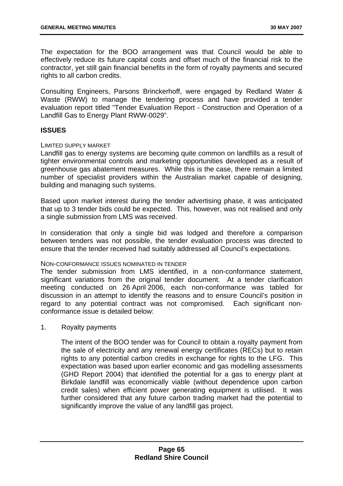The expectation for the BOO arrangement was that Council would be able to effectively reduce its future capital costs and offset much of the financial risk to the contractor, yet still gain financial benefits in the form of royalty payments and secured rights to all carbon credits.

Consulting Engineers, Parsons Brinckerhoff, were engaged by Redland Water & Waste (RWW) to manage the tendering process and have provided a tender evaluation report titled "Tender Evaluation Report - Construction and Operation of a Landfill Gas to Energy Plant RWW-0029".

## **ISSUES**

#### LIMITED SUPPLY MARKET

Landfill gas to energy systems are becoming quite common on landfills as a result of tighter environmental controls and marketing opportunities developed as a result of greenhouse gas abatement measures. While this is the case, there remain a limited number of specialist providers within the Australian market capable of designing, building and managing such systems.

Based upon market interest during the tender advertising phase, it was anticipated that up to 3 tender bids could be expected. This, however, was not realised and only a single submission from LMS was received.

In consideration that only a single bid was lodged and therefore a comparison between tenders was not possible, the tender evaluation process was directed to ensure that the tender received had suitably addressed all Council's expectations.

## NON-CONFORMANCE ISSUES NOMINATED IN TENDER

The tender submission from LMS identified, in a non-conformance statement, significant variations from the original tender document. At a tender clarification meeting conducted on 26 April 2006, each non-conformance was tabled for discussion in an attempt to identify the reasons and to ensure Council's position in regard to any potential contract was not compromised. Each significant nonconformance issue is detailed below:

1. Royalty payments

The intent of the BOO tender was for Council to obtain a royalty payment from the sale of electricity and any renewal energy certificates (RECs) but to retain rights to any potential carbon credits in exchange for rights to the LFG. This expectation was based upon earlier economic and gas modelling assessments (GHD Report 2004) that identified the potential for a gas to energy plant at Birkdale landfill was economically viable (without dependence upon carbon credit sales) when efficient power generating equipment is utilised. It was further considered that any future carbon trading market had the potential to significantly improve the value of any landfill gas project.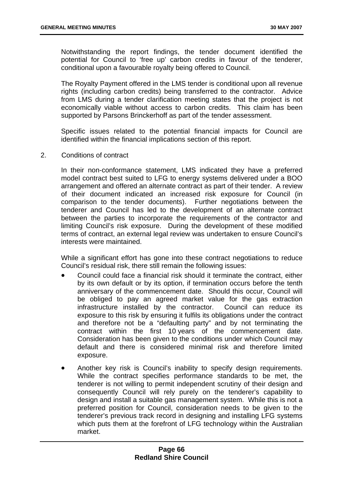Notwithstanding the report findings, the tender document identified the potential for Council to 'free up' carbon credits in favour of the tenderer, conditional upon a favourable royalty being offered to Council.

The Royalty Payment offered in the LMS tender is conditional upon all revenue rights (including carbon credits) being transferred to the contractor. Advice from LMS during a tender clarification meeting states that the project is not economically viable without access to carbon credits. This claim has been supported by Parsons Brinckerhoff as part of the tender assessment.

Specific issues related to the potential financial impacts for Council are identified within the financial implications section of this report.

2. Conditions of contract

In their non-conformance statement, LMS indicated they have a preferred model contract best suited to LFG to energy systems delivered under a BOO arrangement and offered an alternate contract as part of their tender. A review of their document indicated an increased risk exposure for Council (in comparison to the tender documents). Further negotiations between the tenderer and Council has led to the development of an alternate contract between the parties to incorporate the requirements of the contractor and limiting Council's risk exposure. During the development of these modified terms of contract, an external legal review was undertaken to ensure Council's interests were maintained.

While a significant effort has gone into these contract negotiations to reduce Council's residual risk, there still remain the following issues:

- Council could face a financial risk should it terminate the contract, either by its own default or by its option, if termination occurs before the tenth anniversary of the commencement date. Should this occur, Council will be obliged to pay an agreed market value for the gas extraction infrastructure installed by the contractor. Council can reduce its exposure to this risk by ensuring it fulfils its obligations under the contract and therefore not be a "defaulting party" and by not terminating the contract within the first 10 years of the commencement date. Consideration has been given to the conditions under which Council may default and there is considered minimal risk and therefore limited exposure.
- Another key risk is Council's inability to specify design requirements. While the contract specifies performance standards to be met, the tenderer is not willing to permit independent scrutiny of their design and consequently Council will rely purely on the tenderer's capability to design and install a suitable gas management system. While this is not a preferred position for Council, consideration needs to be given to the tenderer's previous track record in designing and installing LFG systems which puts them at the forefront of LFG technology within the Australian market.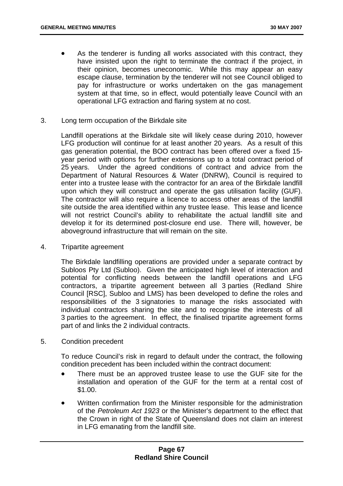- As the tenderer is funding all works associated with this contract, they have insisted upon the right to terminate the contract if the project, in their opinion, becomes uneconomic. While this may appear an easy escape clause, termination by the tenderer will not see Council obliged to pay for infrastructure or works undertaken on the gas management system at that time, so in effect, would potentially leave Council with an operational LFG extraction and flaring system at no cost.
- 3. Long term occupation of the Birkdale site

Landfill operations at the Birkdale site will likely cease during 2010, however LFG production will continue for at least another 20 years. As a result of this gas generation potential, the BOO contract has been offered over a fixed 15 year period with options for further extensions up to a total contract period of 25 years. Under the agreed conditions of contract and advice from the Department of Natural Resources & Water (DNRW), Council is required to enter into a trustee lease with the contractor for an area of the Birkdale landfill upon which they will construct and operate the gas utilisation facility (GUF). The contractor will also require a licence to access other areas of the landfill site outside the area identified within any trustee lease. This lease and licence will not restrict Council's ability to rehabilitate the actual landfill site and develop it for its determined post-closure end use. There will, however, be aboveground infrastructure that will remain on the site.

4. Tripartite agreement

The Birkdale landfilling operations are provided under a separate contract by Subloos Pty Ltd (Subloo). Given the anticipated high level of interaction and potential for conflicting needs between the landfill operations and LFG contractors, a tripartite agreement between all 3 parties (Redland Shire Council [RSC], Subloo and LMS) has been developed to define the roles and responsibilities of the 3 signatories to manage the risks associated with individual contractors sharing the site and to recognise the interests of all 3 parties to the agreement. In effect, the finalised tripartite agreement forms part of and links the 2 individual contracts.

5. Condition precedent

To reduce Council's risk in regard to default under the contract, the following condition precedent has been included within the contract document:

- There must be an approved trustee lease to use the GUF site for the installation and operation of the GUF for the term at a rental cost of \$1.00.
- Written confirmation from the Minister responsible for the administration of the *Petroleum Act 1923* or the Minister's department to the effect that the Crown in right of the State of Queensland does not claim an interest in LFG emanating from the landfill site.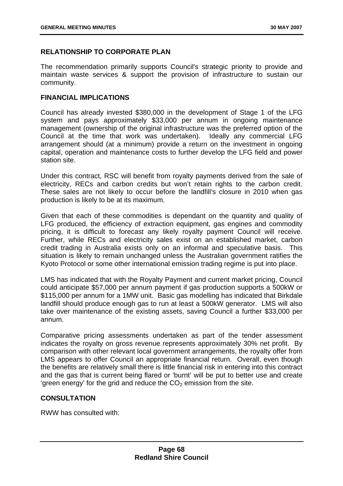# **RELATIONSHIP TO CORPORATE PLAN**

The recommendation primarily supports Council's strategic priority to provide and maintain waste services & support the provision of infrastructure to sustain our community.

## **FINANCIAL IMPLICATIONS**

Council has already invested \$380,000 in the development of Stage 1 of the LFG system and pays approximately \$33,000 per annum in ongoing maintenance management (ownership of the original infrastructure was the preferred option of the Council at the time that work was undertaken). Ideally any commercial LFG arrangement should (at a minimum) provide a return on the investment in ongoing capital, operation and maintenance costs to further develop the LFG field and power station site.

Under this contract, RSC will benefit from royalty payments derived from the sale of electricity, RECs and carbon credits but won't retain rights to the carbon credit. These sales are not likely to occur before the landfill's closure in 2010 when gas production is likely to be at its maximum.

Given that each of these commodities is dependant on the quantity and quality of LFG produced, the efficiency of extraction equipment, gas engines and commodity pricing, it is difficult to forecast any likely royalty payment Council will receive. Further, while RECs and electricity sales exist on an established market, carbon credit trading in Australia exists only on an informal and speculative basis. This situation is likely to remain unchanged unless the Australian government ratifies the Kyoto Protocol or some other international emission trading regime is put into place.

LMS has indicated that with the Royalty Payment and current market pricing, Council could anticipate \$57,000 per annum payment if gas production supports a 500kW or \$115,000 per annum for a 1MW unit. Basic gas modelling has indicated that Birkdale landfill should produce enough gas to run at least a 500kW generator. LMS will also take over maintenance of the existing assets, saving Council a further \$33,000 per annum.

Comparative pricing assessments undertaken as part of the tender assessment indicates the royalty on gross revenue represents approximately 30% net profit. By comparison with other relevant local government arrangements, the royalty offer from LMS appears to offer Council an appropriate financial return. Overall, even though the benefits are relatively small there is little financial risk in entering into this contract and the gas that is current being flared or 'burnt' will be put to better use and create 'green energy' for the grid and reduce the  $CO<sub>2</sub>$  emission from the site.

# **CONSULTATION**

RWW has consulted with: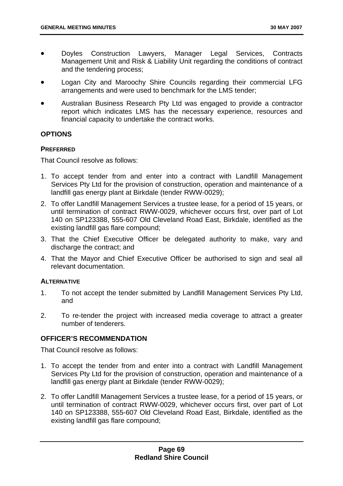- Doyles Construction Lawyers, Manager Legal Services, Contracts Management Unit and Risk & Liability Unit regarding the conditions of contract and the tendering process;
- Logan City and Maroochy Shire Councils regarding their commercial LFG arrangements and were used to benchmark for the LMS tender;
- Australian Business Research Pty Ltd was engaged to provide a contractor report which indicates LMS has the necessary experience, resources and financial capacity to undertake the contract works.

## **OPTIONS**

### **PREFERRED**

That Council resolve as follows:

- 1. To accept tender from and enter into a contract with Landfill Management Services Pty Ltd for the provision of construction, operation and maintenance of a landfill gas energy plant at Birkdale (tender RWW-0029);
- 2. To offer Landfill Management Services a trustee lease, for a period of 15 years, or until termination of contract RWW-0029, whichever occurs first, over part of Lot 140 on SP123388, 555-607 Old Cleveland Road East, Birkdale, identified as the existing landfill gas flare compound;
- 3. That the Chief Executive Officer be delegated authority to make, vary and discharge the contract; and
- 4. That the Mayor and Chief Executive Officer be authorised to sign and seal all relevant documentation.

### **ALTERNATIVE**

- 1. To not accept the tender submitted by Landfill Management Services Pty Ltd, and
- 2. To re-tender the project with increased media coverage to attract a greater number of tenderers.

# **OFFICER'S RECOMMENDATION**

That Council resolve as follows:

- 1. To accept the tender from and enter into a contract with Landfill Management Services Pty Ltd for the provision of construction, operation and maintenance of a landfill gas energy plant at Birkdale (tender RWW-0029);
- 2. To offer Landfill Management Services a trustee lease, for a period of 15 years, or until termination of contract RWW-0029, whichever occurs first, over part of Lot 140 on SP123388, 555-607 Old Cleveland Road East, Birkdale, identified as the existing landfill gas flare compound;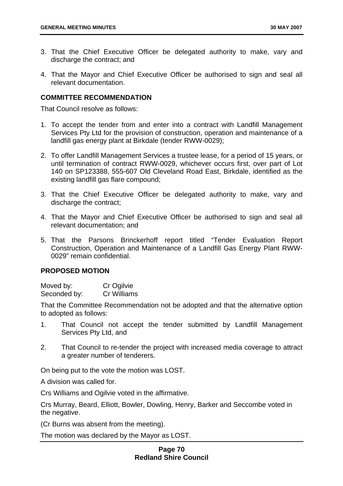- 3. That the Chief Executive Officer be delegated authority to make, vary and discharge the contract; and
- 4. That the Mayor and Chief Executive Officer be authorised to sign and seal all relevant documentation.

### **COMMITTEE RECOMMENDATION**

That Council resolve as follows:

- 1. To accept the tender from and enter into a contract with Landfill Management Services Pty Ltd for the provision of construction, operation and maintenance of a landfill gas energy plant at Birkdale (tender RWW-0029);
- 2. To offer Landfill Management Services a trustee lease, for a period of 15 years, or until termination of contract RWW-0029, whichever occurs first, over part of Lot 140 on SP123388, 555-607 Old Cleveland Road East, Birkdale, identified as the existing landfill gas flare compound;
- 3. That the Chief Executive Officer be delegated authority to make, vary and discharge the contract;
- 4. That the Mayor and Chief Executive Officer be authorised to sign and seal all relevant documentation; and
- 5. That the Parsons Brinckerhoff report titled "Tender Evaluation Report Construction, Operation and Maintenance of a Landfill Gas Energy Plant RWW-0029" remain confidential.

#### **PROPOSED MOTION**

| Moved by:    | Cr Ogilvie  |
|--------------|-------------|
| Seconded by: | Cr Williams |

That the Committee Recommendation not be adopted and that the alternative option to adopted as follows:

- 1. That Council not accept the tender submitted by Landfill Management Services Pty Ltd, and
- 2. That Council to re-tender the project with increased media coverage to attract a greater number of tenderers.

On being put to the vote the motion was LOST.

A division was called for.

Crs Williams and Ogilvie voted in the affirmative.

Crs Murray, Beard, Elliott, Bowler, Dowling, Henry, Barker and Seccombe voted in the negative.

(Cr Burns was absent from the meeting).

The motion was declared by the Mayor as LOST.

## **Page 70 Redland Shire Council**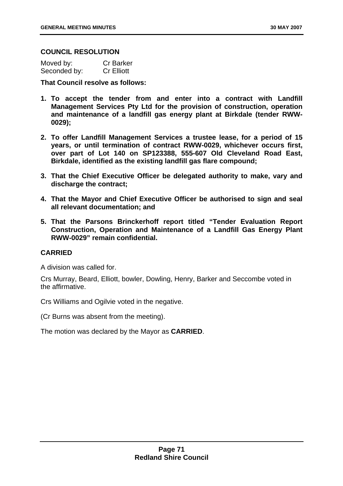#### **COUNCIL RESOLUTION**

| Moved by:    | <b>Cr Barker</b>  |
|--------------|-------------------|
| Seconded by: | <b>Cr Elliott</b> |

**That Council resolve as follows:** 

- **1. To accept the tender from and enter into a contract with Landfill Management Services Pty Ltd for the provision of construction, operation and maintenance of a landfill gas energy plant at Birkdale (tender RWW-0029);**
- **2. To offer Landfill Management Services a trustee lease, for a period of 15 years, or until termination of contract RWW-0029, whichever occurs first, over part of Lot 140 on SP123388, 555-607 Old Cleveland Road East, Birkdale, identified as the existing landfill gas flare compound;**
- **3. That the Chief Executive Officer be delegated authority to make, vary and discharge the contract;**
- **4. That the Mayor and Chief Executive Officer be authorised to sign and seal all relevant documentation; and**
- **5. That the Parsons Brinckerhoff report titled "Tender Evaluation Report Construction, Operation and Maintenance of a Landfill Gas Energy Plant RWW-0029" remain confidential.**

# **CARRIED**

A division was called for.

Crs Murray, Beard, Elliott, bowler, Dowling, Henry, Barker and Seccombe voted in the affirmative.

Crs Williams and Ogilvie voted in the negative.

(Cr Burns was absent from the meeting).

The motion was declared by the Mayor as **CARRIED**.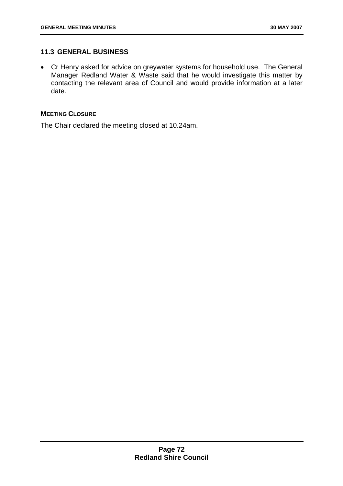# **11.3 GENERAL BUSINESS**

• Cr Henry asked for advice on greywater systems for household use. The General Manager Redland Water & Waste said that he would investigate this matter by contacting the relevant area of Council and would provide information at a later date.

## **MEETING CLOSURE**

The Chair declared the meeting closed at 10.24am.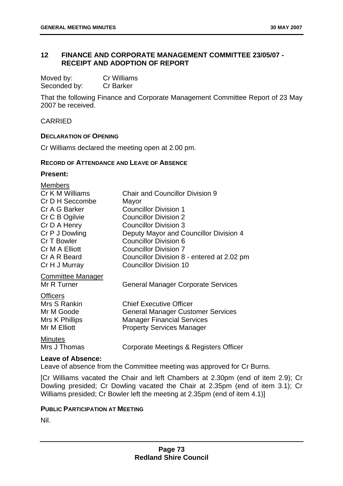## **12 FINANCE AND CORPORATE MANAGEMENT COMMITTEE 23/05/07 - RECEIPT AND ADOPTION OF REPORT**

| Moved by:    | Cr Williams      |
|--------------|------------------|
| Seconded by: | <b>Cr Barker</b> |

That the following Finance and Corporate Management Committee Report of 23 May 2007 be received.

CARRIED

#### **DECLARATION OF OPENING**

Cr Williams declared the meeting open at 2.00 pm.

#### **RECORD OF ATTENDANCE AND LEAVE OF ABSENCE**

# **Present:**

| <b>Members</b>           |                                            |
|--------------------------|--------------------------------------------|
| Cr K M Williams          | <b>Chair and Councillor Division 9</b>     |
| Cr D H Seccombe          | Mayor                                      |
| Cr A G Barker            | <b>Councillor Division 1</b>               |
| Cr C B Ogilvie           | <b>Councillor Division 2</b>               |
| Cr D A Henry             | <b>Councillor Division 3</b>               |
| Cr P J Dowling           | Deputy Mayor and Councillor Division 4     |
| Cr T Bowler              | <b>Councillor Division 6</b>               |
| Cr M A Elliott           | <b>Councillor Division 7</b>               |
| Cr A R Beard             | Councillor Division 8 - entered at 2.02 pm |
| Cr H J Murray            | <b>Councillor Division 10</b>              |
| <b>Committee Manager</b> |                                            |
| Mr R Turner              | <b>General Manager Corporate Services</b>  |
| <b>Officers</b>          |                                            |
| Mrs S Rankin             | <b>Chief Executive Officer</b>             |
| Mr M Goode               | <b>General Manager Customer Services</b>   |
| Mrs K Phillips           | <b>Manager Financial Services</b>          |
| Mr M Elliott             | <b>Property Services Manager</b>           |
| <b>Minutes</b>           |                                            |
| Mrs J Thomas             | Corporate Meetings & Registers Officer     |

#### **Leave of Absence:**

Leave of absence from the Committee meeting was approved for Cr Burns.

[Cr Williams vacated the Chair and left Chambers at 2.30pm (end of item 2.9); Cr Dowling presided; Cr Dowling vacated the Chair at 2.35pm (end of item 3.1); Cr Williams presided; Cr Bowler left the meeting at 2.35pm (end of item 4.1)]

### **PUBLIC PARTICIPATION AT MEETING**

Nil.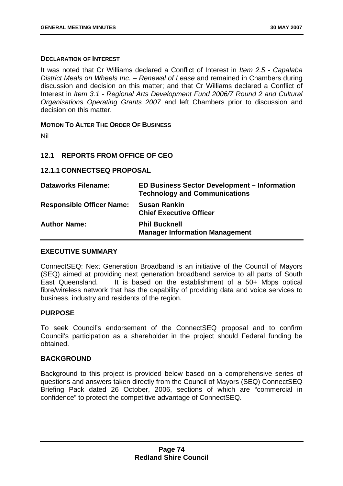### **DECLARATION OF INTEREST**

It was noted that Cr Williams declared a Conflict of Interest in *Item 2.5 - Capalaba District Meals on Wheels Inc. – Renewal of Lease* and remained in Chambers during discussion and decision on this matter; and that Cr Williams declared a Conflict of Interest in *Item 3.1 - Regional Arts Development Fund 2006/7 Round 2 and Cultural Organisations Operating Grants 2007* and left Chambers prior to discussion and decision on this matter.

**MOTION TO ALTER THE ORDER OF BUSINESS**

Nil

## **12.1 REPORTS FROM OFFICE OF CEO**

## **12.1.1 CONNECTSEQ PROPOSAL**

| <b>Dataworks Filename:</b>       | <b>ED Business Sector Development - Information</b><br><b>Technology and Communications</b> |
|----------------------------------|---------------------------------------------------------------------------------------------|
| <b>Responsible Officer Name:</b> | <b>Susan Rankin</b><br><b>Chief Executive Officer</b>                                       |
| <b>Author Name:</b>              | <b>Phil Bucknell</b><br><b>Manager Information Management</b>                               |

### **EXECUTIVE SUMMARY**

ConnectSEQ: Next Generation Broadband is an initiative of the Council of Mayors (SEQ) aimed at providing next generation broadband service to all parts of South East Queensland. It is based on the establishment of a 50+ Mbps optical fibre/wireless network that has the capability of providing data and voice services to business, industry and residents of the region.

### **PURPOSE**

To seek Council's endorsement of the ConnectSEQ proposal and to confirm Council's participation as a shareholder in the project should Federal funding be obtained.

### **BACKGROUND**

Background to this project is provided below based on a comprehensive series of questions and answers taken directly from the Council of Mayors (SEQ) ConnectSEQ Briefing Pack dated 26 October, 2006, sections of which are "commercial in confidence" to protect the competitive advantage of ConnectSEQ.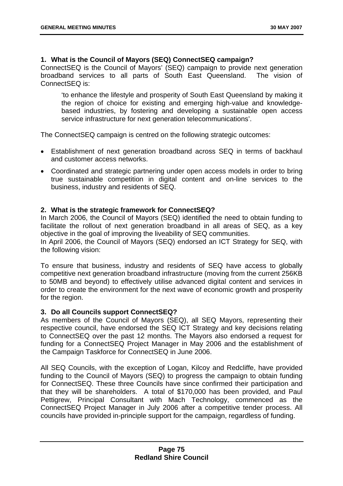## **1. What is the Council of Mayors (SEQ) ConnectSEQ campaign?**

ConnectSEQ is the Council of Mayors' (SEQ) campaign to provide next generation broadband services to all parts of South East Queensland. The vision of ConnectSEQ is:

'to enhance the lifestyle and prosperity of South East Queensland by making it the region of choice for existing and emerging high-value and knowledgebased industries, by fostering and developing a sustainable open access service infrastructure for next generation telecommunications'.

The ConnectSEQ campaign is centred on the following strategic outcomes:

- Establishment of next generation broadband across SEQ in terms of backhaul and customer access networks.
- Coordinated and strategic partnering under open access models in order to bring true sustainable competition in digital content and on-line services to the business, industry and residents of SEQ.

## **2. What is the strategic framework for ConnectSEQ?**

In March 2006, the Council of Mayors (SEQ) identified the need to obtain funding to facilitate the rollout of next generation broadband in all areas of SEQ, as a key objective in the goal of improving the liveability of SEQ communities.

In April 2006, the Council of Mayors (SEQ) endorsed an ICT Strategy for SEQ, with the following vision:

To ensure that business, industry and residents of SEQ have access to globally competitive next generation broadband infrastructure (moving from the current 256KB to 50MB and beyond) to effectively utilise advanced digital content and services in order to create the environment for the next wave of economic growth and prosperity for the region.

### **3. Do all Councils support ConnectSEQ?**

As members of the Council of Mayors (SEQ), all SEQ Mayors, representing their respective council, have endorsed the SEQ ICT Strategy and key decisions relating to ConnectSEQ over the past 12 months. The Mayors also endorsed a request for funding for a ConnectSEQ Project Manager in May 2006 and the establishment of the Campaign Taskforce for ConnectSEQ in June 2006.

All SEQ Councils, with the exception of Logan, Kilcoy and Redcliffe, have provided funding to the Council of Mayors (SEQ) to progress the campaign to obtain funding for ConnectSEQ. These three Councils have since confirmed their participation and that they will be shareholders. A total of \$170,000 has been provided, and Paul Pettigrew, Principal Consultant with Mach Technology, commenced as the ConnectSEQ Project Manager in July 2006 after a competitive tender process. All councils have provided in-principle support for the campaign, regardless of funding.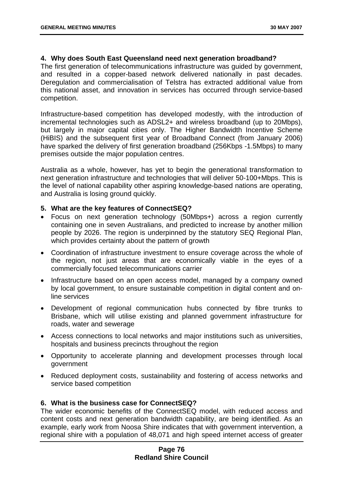### **4. Why does South East Queensland need next generation broadband?**

The first generation of telecommunications infrastructure was guided by government, and resulted in a copper-based network delivered nationally in past decades. Deregulation and commercialisation of Telstra has extracted additional value from this national asset, and innovation in services has occurred through service-based competition.

Infrastructure-based competition has developed modestly, with the introduction of incremental technologies such as ADSL2+ and wireless broadband (up to 20Mbps), but largely in major capital cities only. The Higher Bandwidth Incentive Scheme (HiBIS) and the subsequent first year of Broadband Connect (from January 2006) have sparked the delivery of first generation broadband (256Kbps -1.5Mbps) to many premises outside the major population centres.

Australia as a whole, however, has yet to begin the generational transformation to next generation infrastructure and technologies that will deliver 50-100+Mbps. This is the level of national capability other aspiring knowledge-based nations are operating, and Australia is losing ground quickly.

#### **5. What are the key features of ConnectSEQ?**

- Focus on next generation technology (50Mbps+) across a region currently containing one in seven Australians, and predicted to increase by another million people by 2026. The region is underpinned by the statutory SEQ Regional Plan, which provides certainty about the pattern of growth
- Coordination of infrastructure investment to ensure coverage across the whole of the region, not just areas that are economically viable in the eyes of a commercially focused telecommunications carrier
- Infrastructure based on an open access model, managed by a company owned by local government, to ensure sustainable competition in digital content and online services
- Development of regional communication hubs connected by fibre trunks to Brisbane, which will utilise existing and planned government infrastructure for roads, water and sewerage
- Access connections to local networks and major institutions such as universities, hospitals and business precincts throughout the region
- Opportunity to accelerate planning and development processes through local government
- Reduced deployment costs, sustainability and fostering of access networks and service based competition

### **6. What is the business case for ConnectSEQ?**

The wider economic benefits of the ConnectSEQ model, with reduced access and content costs and next generation bandwidth capability, are being identified. As an example, early work from Noosa Shire indicates that with government intervention, a regional shire with a population of 48,071 and high speed internet access of greater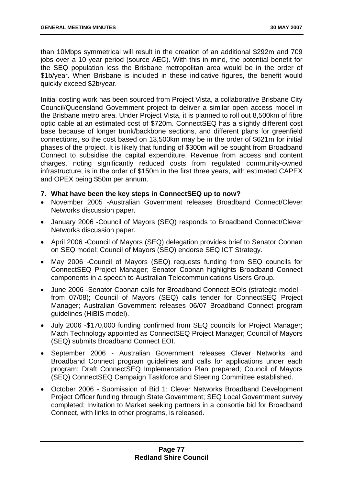than 10Mbps symmetrical will result in the creation of an additional \$292m and 709 jobs over a 10 year period (source AEC). With this in mind, the potential benefit for the SEQ population less the Brisbane metropolitan area would be in the order of \$1b/year. When Brisbane is included in these indicative figures, the benefit would quickly exceed \$2b/year.

Initial costing work has been sourced from Project Vista, a collaborative Brisbane City Council/Queensland Government project to deliver a similar open access model in the Brisbane metro area. Under Project Vista, it is planned to roll out 8,500km of fibre optic cable at an estimated cost of \$720m. ConnectSEQ has a slightly different cost base because of longer trunk/backbone sections, and different plans for greenfield connections, so the cost based on 13,500km may be in the order of \$621m for initial phases of the project. It is likely that funding of \$300m will be sought from Broadband Connect to subsidise the capital expenditure. Revenue from access and content charges, noting significantly reduced costs from regulated community-owned infrastructure, is in the order of \$150m in the first three years, with estimated CAPEX and OPEX being \$50m per annum.

- **7. What have been the key steps in ConnectSEQ up to now?**
- November 2005 -Australian Government releases Broadband Connect/Clever Networks discussion paper.
- January 2006 -Council of Mayors (SEQ) responds to Broadband Connect/Clever Networks discussion paper.
- April 2006 -Council of Mayors (SEQ) delegation provides brief to Senator Coonan on SEQ model; Council of Mayors (SEQ) endorse SEQ ICT Strategy.
- May 2006 -Council of Mayors (SEQ) requests funding from SEQ councils for ConnectSEQ Project Manager; Senator Coonan highlights Broadband Connect components in a speech to Australian Telecommunications Users Group.
- June 2006 -Senator Coonan calls for Broadband Connect EOIs (strategic model from 07/08); Council of Mayors (SEQ) calls tender for ConnectSEQ Project Manager; Australian Government releases 06/07 Broadband Connect program guidelines (HiBIS model).
- July 2006 -\$170,000 funding confirmed from SEQ councils for Project Manager; Mach Technology appointed as ConnectSEQ Project Manager; Council of Mayors (SEQ) submits Broadband Connect EOI.
- September 2006 Australian Government releases Clever Networks and Broadband Connect program guidelines and calls for applications under each program; Draft ConnectSEQ Implementation Plan prepared; Council of Mayors (SEQ) ConnectSEQ Campaign Taskforce and Steering Committee established.
- October 2006 Submission of Bid 1: Clever Networks Broadband Development Project Officer funding through State Government; SEQ Local Government survey completed; Invitation to Market seeking partners in a consortia bid for Broadband Connect, with links to other programs, is released.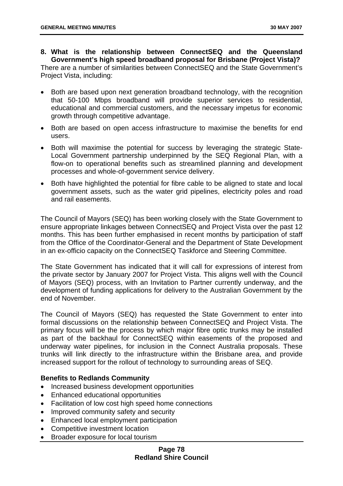# **8. What is the relationship between ConnectSEQ and the Queensland Government's high speed broadband proposal for Brisbane (Project Vista)?**

There are a number of similarities between ConnectSEQ and the State Government's Project Vista, including:

- Both are based upon next generation broadband technology, with the recognition that 50-100 Mbps broadband will provide superior services to residential, educational and commercial customers, and the necessary impetus for economic growth through competitive advantage.
- Both are based on open access infrastructure to maximise the benefits for end users.
- Both will maximise the potential for success by leveraging the strategic State-Local Government partnership underpinned by the SEQ Regional Plan, with a flow-on to operational benefits such as streamlined planning and development processes and whole-of-government service delivery.
- Both have highlighted the potential for fibre cable to be aligned to state and local government assets, such as the water grid pipelines, electricity poles and road and rail easements.

The Council of Mayors (SEQ) has been working closely with the State Government to ensure appropriate linkages between ConnectSEQ and Project Vista over the past 12 months. This has been further emphasised in recent months by participation of staff from the Office of the Coordinator-General and the Department of State Development in an ex-officio capacity on the ConnectSEQ Taskforce and Steering Committee.

The State Government has indicated that it will call for expressions of interest from the private sector by January 2007 for Project Vista. This aligns well with the Council of Mayors (SEQ) process, with an Invitation to Partner currently underway, and the development of funding applications for delivery to the Australian Government by the end of November.

The Council of Mayors (SEQ) has requested the State Government to enter into formal discussions on the relationship between ConnectSEQ and Project Vista. The primary focus will be the process by which major fibre optic trunks may be installed as part of the backhaul for ConnectSEQ within easements of the proposed and underway water pipelines, for inclusion in the Connect Australia proposals. These trunks will link directly to the infrastructure within the Brisbane area, and provide increased support for the rollout of technology to surrounding areas of SEQ.

# **Benefits to Redlands Community**

- Increased business development opportunities
- Enhanced educational opportunities
- Facilitation of low cost high speed home connections
- Improved community safety and security
- Enhanced local employment participation
- Competitive investment location
- Broader exposure for local tourism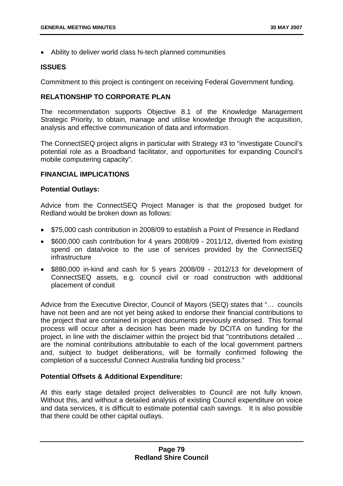• Ability to deliver world class hi-tech planned communities

#### **ISSUES**

Commitment to this project is contingent on receiving Federal Government funding.

### **RELATIONSHIP TO CORPORATE PLAN**

The recommendation supports Objective 8.1 of the Knowledge Management Strategic Priority, to obtain, manage and utilise knowledge through the acquisition, analysis and effective communication of data and information.

The ConnectSEQ project aligns in particular with Strategy #3 to "investigate Council's potential role as a Broadband facilitator, and opportunities for expanding Council's mobile computering capacity".

#### **FINANCIAL IMPLICATIONS**

#### **Potential Outlays:**

Advice from the ConnectSEQ Project Manager is that the proposed budget for Redland would be broken down as follows:

- \$75,000 cash contribution in 2008/09 to establish a Point of Presence in Redland
- \$600,000 cash contribution for 4 years 2008/09 2011/12, diverted from existing spend on data/voice to the use of services provided by the ConnectSEQ infrastructure
- \$880,000 in-kind and cash for 5 years 2008/09 2012/13 for development of ConnectSEQ assets, e.g. council civil or road construction with additional placement of conduit

Advice from the Executive Director, Council of Mayors (SEQ) states that "… councils have not been and are not yet being asked to endorse their financial contributions to the project that are contained in project documents previously endorsed. This formal process will occur after a decision has been made by DCITA on funding for the project, in line with the disclaimer within the project bid that "contributions detailed ... are the nominal contributions attributable to each of the local government partners and, subject to budget deliberations, will be formally confirmed following the completion of a successful Connect Australia funding bid process."

### **Potential Offsets & Additional Expenditure:**

At this early stage detailed project deliverables to Council are not fully known. Without this, and without a detailed analysis of existing Council expenditure on voice and data services, it is difficult to estimate potential cash savings. It is also possible that there could be other capital outlays.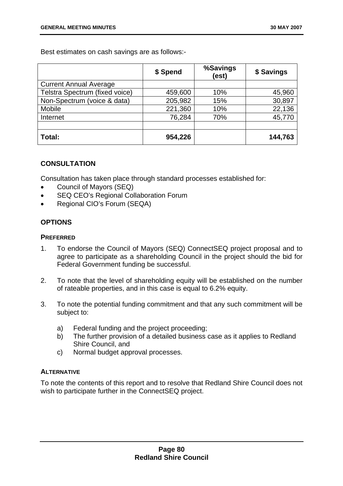Best estimates on cash savings are as follows:-

|                                | \$ Spend | %Savings<br>(est) | \$ Savings |
|--------------------------------|----------|-------------------|------------|
| <b>Current Annual Average</b>  |          |                   |            |
| Telstra Spectrum (fixed voice) | 459,600  | 10%               | 45,960     |
| Non-Spectrum (voice & data)    | 205,982  | 15%               | 30,897     |
| <b>Mobile</b>                  | 221,360  | 10%               | 22,136     |
| Internet                       | 76,284   | 70%               | 45,770     |
|                                |          |                   |            |
| Total:                         | 954,226  |                   | 144,763    |

# **CONSULTATION**

Consultation has taken place through standard processes established for:

- Council of Mayors (SEQ)
- SEQ CEO's Regional Collaboration Forum
- Regional CIO's Forum (SEQA)

# **OPTIONS**

## **PREFERRED**

- 1. To endorse the Council of Mayors (SEQ) ConnectSEQ project proposal and to agree to participate as a shareholding Council in the project should the bid for Federal Government funding be successful.
- 2. To note that the level of shareholding equity will be established on the number of rateable properties, and in this case is equal to 6.2% equity.
- 3. To note the potential funding commitment and that any such commitment will be subject to:
	- a) Federal funding and the project proceeding;
	- b) The further provision of a detailed business case as it applies to Redland Shire Council, and
	- c) Normal budget approval processes.

# **ALTERNATIVE**

To note the contents of this report and to resolve that Redland Shire Council does not wish to participate further in the ConnectSEQ project.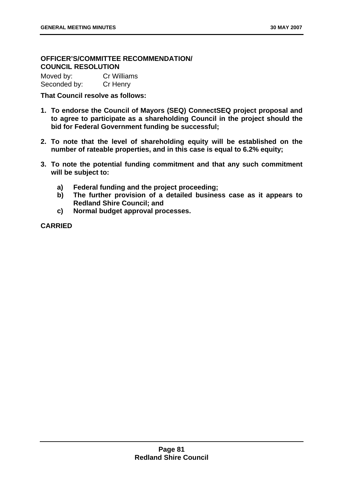# **OFFICER'S/COMMITTEE RECOMMENDATION/ COUNCIL RESOLUTION**

Moved by: Cr Williams Seconded by: Cr Henry

**That Council resolve as follows:** 

- **1. To endorse the Council of Mayors (SEQ) ConnectSEQ project proposal and to agree to participate as a shareholding Council in the project should the bid for Federal Government funding be successful;**
- **2. To note that the level of shareholding equity will be established on the number of rateable properties, and in this case is equal to 6.2% equity;**
- **3. To note the potential funding commitment and that any such commitment will be subject to:** 
	- **a) Federal funding and the project proceeding;**
	- **b) The further provision of a detailed business case as it appears to Redland Shire Council; and**
	- **c) Normal budget approval processes.**

**CARRIED**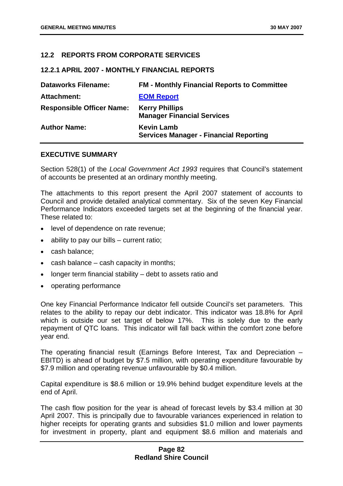## **12.2 REPORTS FROM CORPORATE SERVICES**

### **12.2.1 APRIL 2007 - MONTHLY FINANCIAL REPORTS**

| <b>Dataworks Filename:</b>       | <b>FM - Monthly Financial Reports to Committee</b>                 |
|----------------------------------|--------------------------------------------------------------------|
| <b>Attachment:</b>               | <b>EOM Report</b>                                                  |
| <b>Responsible Officer Name:</b> | <b>Kerry Phillips</b><br><b>Manager Financial Services</b>         |
| <b>Author Name:</b>              | <b>Kevin Lamb</b><br><b>Services Manager - Financial Reporting</b> |

### **EXECUTIVE SUMMARY**

Section 528(1) of the *Local Government Act 1993* requires that Council's statement of accounts be presented at an ordinary monthly meeting.

The attachments to this report present the April 2007 statement of accounts to Council and provide detailed analytical commentary. Six of the seven Key Financial Performance Indicators exceeded targets set at the beginning of the financial year. These related to:

- level of dependence on rate revenue;
- ability to pay our bills  $-$  current ratio;
- cash balance;
- cash balance cash capacity in months;
- longer term financial stability debt to assets ratio and
- operating performance

One key Financial Performance Indicator fell outside Council's set parameters. This relates to the ability to repay our debt indicator. This indicator was 18.8% for April which is outside our set target of below 17%. This is solely due to the early repayment of QTC loans. This indicator will fall back within the comfort zone before year end.

The operating financial result (Earnings Before Interest, Tax and Depreciation – EBITD) is ahead of budget by \$7.5 million, with operating expenditure favourable by \$7.9 million and operating revenue unfavourable by \$0.4 million.

Capital expenditure is \$8.6 million or 19.9% behind budget expenditure levels at the end of April.

The cash flow position for the year is ahead of forecast levels by \$3.4 million at 30 April 2007. This is principally due to favourable variances experienced in relation to higher receipts for operating grants and subsidies \$1.0 million and lower payments for investment in property, plant and equipment \$8.6 million and materials and

## **Page 82 Redland Shire Council**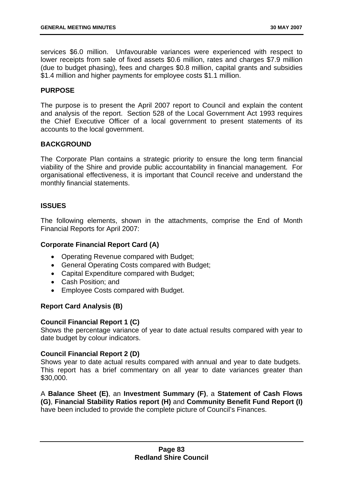services \$6.0 million. Unfavourable variances were experienced with respect to lower receipts from sale of fixed assets \$0.6 million, rates and charges \$7.9 million (due to budget phasing), fees and charges \$0.8 million, capital grants and subsidies \$1.4 million and higher payments for employee costs \$1.1 million.

### **PURPOSE**

The purpose is to present the April 2007 report to Council and explain the content and analysis of the report. Section 528 of the Local Government Act 1993 requires the Chief Executive Officer of a local government to present statements of its accounts to the local government.

### **BACKGROUND**

The Corporate Plan contains a strategic priority to ensure the long term financial viability of the Shire and provide public accountability in financial management. For organisational effectiveness, it is important that Council receive and understand the monthly financial statements.

### **ISSUES**

The following elements, shown in the attachments, comprise the End of Month Financial Reports for April 2007:

### **Corporate Financial Report Card (A)**

- Operating Revenue compared with Budget;
- General Operating Costs compared with Budget;
- Capital Expenditure compared with Budget;
- Cash Position; and
- Employee Costs compared with Budget.

### **Report Card Analysis (B)**

### **Council Financial Report 1 (C)**

Shows the percentage variance of year to date actual results compared with year to date budget by colour indicators.

### **Council Financial Report 2 (D)**

Shows year to date actual results compared with annual and year to date budgets. This report has a brief commentary on all year to date variances greater than \$30,000.

A **Balance Sheet (E)**, an **Investment Summary (F)**, a **Statement of Cash Flows (G)**, **Financial Stability Ratios report (H)** and **Community Benefit Fund Report (I)** have been included to provide the complete picture of Council's Finances.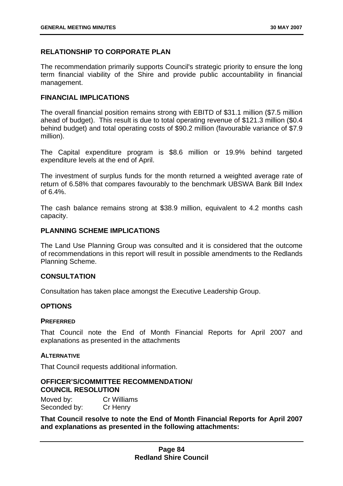## **RELATIONSHIP TO CORPORATE PLAN**

The recommendation primarily supports Council's strategic priority to ensure the long term financial viability of the Shire and provide public accountability in financial management.

### **FINANCIAL IMPLICATIONS**

The overall financial position remains strong with EBITD of \$31.1 million (\$7.5 million ahead of budget). This result is due to total operating revenue of \$121.3 million (\$0.4 behind budget) and total operating costs of \$90.2 million (favourable variance of \$7.9 million).

The Capital expenditure program is \$8.6 million or 19.9% behind targeted expenditure levels at the end of April.

The investment of surplus funds for the month returned a weighted average rate of return of 6.58% that compares favourably to the benchmark UBSWA Bank Bill Index of  $6.4\%$ .

The cash balance remains strong at \$38.9 million, equivalent to 4.2 months cash capacity.

## **PLANNING SCHEME IMPLICATIONS**

The Land Use Planning Group was consulted and it is considered that the outcome of recommendations in this report will result in possible amendments to the Redlands Planning Scheme.

### **CONSULTATION**

Consultation has taken place amongst the Executive Leadership Group.

### **OPTIONS**

#### **PREFERRED**

That Council note the End of Month Financial Reports for April 2007 and explanations as presented in the attachments

#### **ALTERNATIVE**

That Council requests additional information.

### **OFFICER'S/COMMITTEE RECOMMENDATION/ COUNCIL RESOLUTION**

Moved by: Cr Williams Seconded by: Cr Henry

**That Council resolve to note the End of Month Financial Reports for April 2007 and explanations as presented in the following attachments:**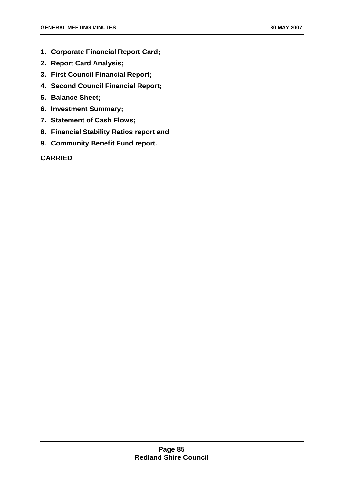- **1. Corporate Financial Report Card;**
- **2. Report Card Analysis;**
- **3. First Council Financial Report;**
- **4. Second Council Financial Report;**
- **5. Balance Sheet;**
- **6. Investment Summary;**
- **7. Statement of Cash Flows;**
- **8. Financial Stability Ratios report and**
- **9. Community Benefit Fund report.**

# **CARRIED**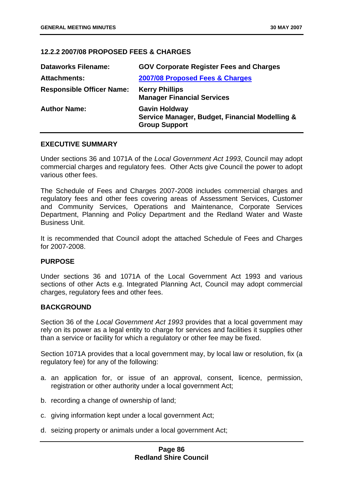## **12.2.2 2007/08 PROPOSED FEES & CHARGES**

| <b>Dataworks Filename:</b>       | <b>GOV Corporate Register Fees and Charges</b>                                                 |
|----------------------------------|------------------------------------------------------------------------------------------------|
| <b>Attachments:</b>              | 2007/08 Proposed Fees & Charges                                                                |
| <b>Responsible Officer Name:</b> | <b>Kerry Phillips</b><br><b>Manager Financial Services</b>                                     |
| <b>Author Name:</b>              | <b>Gavin Holdway</b><br>Service Manager, Budget, Financial Modelling &<br><b>Group Support</b> |

#### **EXECUTIVE SUMMARY**

Under sections 36 and 1071A of the *Local Government Act 1993*, Council may adopt commercial charges and regulatory fees. Other Acts give Council the power to adopt various other fees.

The Schedule of Fees and Charges 2007-2008 includes commercial charges and regulatory fees and other fees covering areas of Assessment Services, Customer and Community Services, Operations and Maintenance, Corporate Services Department, Planning and Policy Department and the Redland Water and Waste Business Unit.

It is recommended that Council adopt the attached Schedule of Fees and Charges for 2007-2008.

### **PURPOSE**

Under sections 36 and 1071A of the Local Government Act 1993 and various sections of other Acts e.g. Integrated Planning Act, Council may adopt commercial charges, regulatory fees and other fees.

## **BACKGROUND**

Section 36 of the *Local Government Act 1993* provides that a local government may rely on its power as a legal entity to charge for services and facilities it supplies other than a service or facility for which a regulatory or other fee may be fixed.

Section 1071A provides that a local government may, by local law or resolution, fix (a regulatory fee) for any of the following:

- a. an application for, or issue of an approval, consent, licence, permission, registration or other authority under a local government Act;
- b. recording a change of ownership of land;
- c. giving information kept under a local government Act;
- d. seizing property or animals under a local government Act;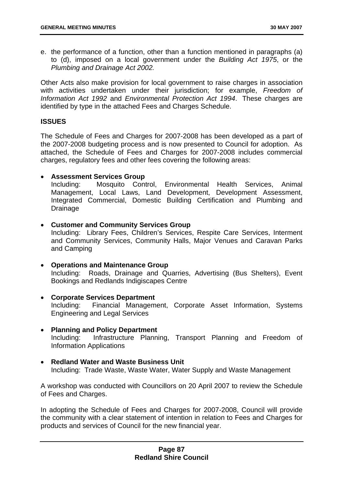e. the performance of a function, other than a function mentioned in paragraphs (a) to (d), imposed on a local government under the *Building Act 1975*, or the *Plumbing and Drainage Act 2002.* 

Other Acts also make provision for local government to raise charges in association with activities undertaken under their jurisdiction; for example, *Freedom of Information Act 1992* and *Environmental Protection Act 1994*. These charges are identified by type in the attached Fees and Charges Schedule.

#### **ISSUES**

The Schedule of Fees and Charges for 2007-2008 has been developed as a part of the 2007-2008 budgeting process and is now presented to Council for adoption. As attached, the Schedule of Fees and Charges for 2007-2008 includes commercial charges, regulatory fees and other fees covering the following areas:

#### • **Assessment Services Group**

Including: Mosquito Control, Environmental Health Services, Animal Management, Local Laws, Land Development, Development Assessment, Integrated Commercial, Domestic Building Certification and Plumbing and Drainage

#### • **Customer and Community Services Group**

Including: Library Fees, Children's Services, Respite Care Services, Interment and Community Services, Community Halls, Major Venues and Caravan Parks and Camping

- **Operations and Maintenance Group**  Including: Roads, Drainage and Quarries, Advertising (Bus Shelters), Event Bookings and Redlands Indigiscapes Centre
- **Corporate Services Department**  Including: Financial Management, Corporate Asset Information, Systems Engineering and Legal Services
- **Planning and Policy Department**  Including: Infrastructure Planning, Transport Planning and Freedom of Information Applications
- **Redland Water and Waste Business Unit**  Including: Trade Waste, Waste Water, Water Supply and Waste Management

A workshop was conducted with Councillors on 20 April 2007 to review the Schedule of Fees and Charges.

In adopting the Schedule of Fees and Charges for 2007-2008, Council will provide the community with a clear statement of intention in relation to Fees and Charges for products and services of Council for the new financial year.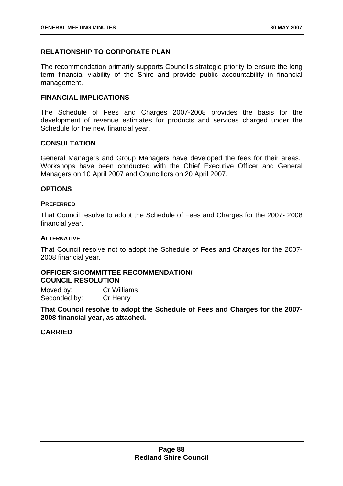# **RELATIONSHIP TO CORPORATE PLAN**

The recommendation primarily supports Council's strategic priority to ensure the long term financial viability of the Shire and provide public accountability in financial management.

## **FINANCIAL IMPLICATIONS**

The Schedule of Fees and Charges 2007-2008 provides the basis for the development of revenue estimates for products and services charged under the Schedule for the new financial year.

## **CONSULTATION**

General Managers and Group Managers have developed the fees for their areas. Workshops have been conducted with the Chief Executive Officer and General Managers on 10 April 2007 and Councillors on 20 April 2007.

## **OPTIONS**

### **PREFERRED**

That Council resolve to adopt the Schedule of Fees and Charges for the 2007- 2008 financial year.

### **ALTERNATIVE**

That Council resolve not to adopt the Schedule of Fees and Charges for the 2007- 2008 financial year.

## **OFFICER'S/COMMITTEE RECOMMENDATION/ COUNCIL RESOLUTION**

Moved by: Cr Williams Seconded by: Cr Henry

**That Council resolve to adopt the Schedule of Fees and Charges for the 2007- 2008 financial year, as attached.** 

**CARRIED**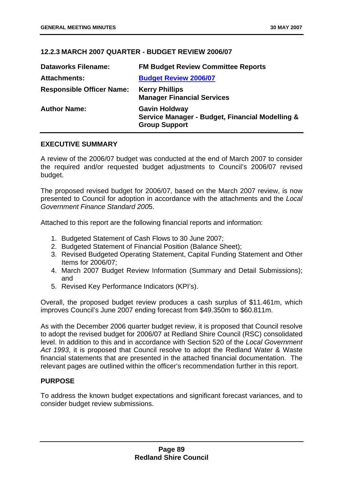# **12.2.3 MARCH 2007 QUARTER - BUDGET REVIEW 2006/07**

| <b>Dataworks Filename:</b>       | <b>FM Budget Review Committee Reports</b>                                                       |
|----------------------------------|-------------------------------------------------------------------------------------------------|
| <b>Attachments:</b>              | <b>Budget Review 2006/07</b>                                                                    |
| <b>Responsible Officer Name:</b> | <b>Kerry Phillips</b><br><b>Manager Financial Services</b>                                      |
| <b>Author Name:</b>              | <b>Gavin Holdway</b><br>Service Manager - Budget, Financial Modelling &<br><b>Group Support</b> |

## **EXECUTIVE SUMMARY**

A review of the 2006/07 budget was conducted at the end of March 2007 to consider the required and/or requested budget adjustments to Council's 2006/07 revised budget.

The proposed revised budget for 2006/07, based on the March 2007 review, is now presented to Council for adoption in accordance with the attachments and the *Local Government Finance Standard 200*5.

Attached to this report are the following financial reports and information:

- 1. Budgeted Statement of Cash Flows to 30 June 2007;
- 2. Budgeted Statement of Financial Position (Balance Sheet);
- 3. Revised Budgeted Operating Statement, Capital Funding Statement and Other Items for 2006/07;
- 4. March 2007 Budget Review Information (Summary and Detail Submissions); and
- 5. Revised Key Performance Indicators (KPI's).

Overall, the proposed budget review produces a cash surplus of \$11.461m, which improves Council's June 2007 ending forecast from \$49.350m to \$60.811m.

As with the December 2006 quarter budget review, it is proposed that Council resolve to adopt the revised budget for 2006/07 at Redland Shire Council (RSC) consolidated level. In addition to this and in accordance with Section 520 of the *Local Government Act 1993*, it is proposed that Council resolve to adopt the Redland Water & Waste financial statements that are presented in the attached financial documentation. The relevant pages are outlined within the officer's recommendation further in this report.

# **PURPOSE**

To address the known budget expectations and significant forecast variances, and to consider budget review submissions.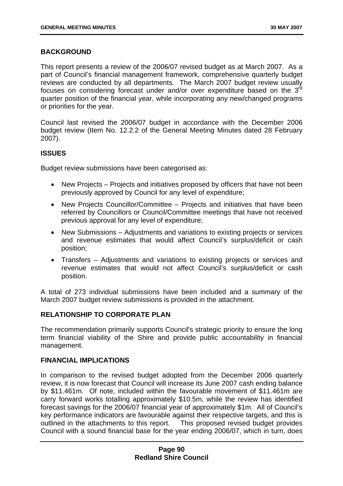## **BACKGROUND**

This report presents a review of the 2006/07 revised budget as at March 2007. As a part of Council's financial management framework, comprehensive quarterly budget reviews are conducted by all departments. The March 2007 budget review usually focuses on considering forecast under and/or over expenditure based on the 3<sup>rd</sup> quarter position of the financial year, while incorporating any new/changed programs or priorities for the year.

Council last revised the 2006/07 budget in accordance with the December 2006 budget review (Item No. 12.2.2 of the General Meeting Minutes dated 28 February 2007).

## **ISSUES**

Budget review submissions have been categorised as:

- New Projects Projects and initiatives proposed by officers that have not been previously approved by Council for any level of expenditure;
- New Projects Councillor/Committee Projects and initiatives that have been referred by Councillors or Council/Committee meetings that have not received previous approval for any level of expenditure;
- New Submissions Adjustments and variations to existing projects or services and revenue estimates that would affect Council's surplus/deficit or cash position;
- Transfers Adjustments and variations to existing projects or services and revenue estimates that would not affect Council's surplus/deficit or cash position.

A total of 273 individual submissions have been included and a summary of the March 2007 budget review submissions is provided in the attachment.

### **RELATIONSHIP TO CORPORATE PLAN**

The recommendation primarily supports Council's strategic priority to ensure the long term financial viability of the Shire and provide public accountability in financial management.

### **FINANCIAL IMPLICATIONS**

In comparison to the revised budget adopted from the December 2006 quarterly review, it is now forecast that Council will increase its June 2007 cash ending balance by \$11.461m. Of note, included within the favourable movement of \$11.461m are carry forward works totalling approximately \$10.5m, while the review has identified forecast savings for the 2006/07 financial year of approximately \$1m. All of Council's key performance indicators are favourable against their respective targets, and this is outlined in the attachments to this report. This proposed revised budget provides Council with a sound financial base for the year ending 2006/07, which in turn, does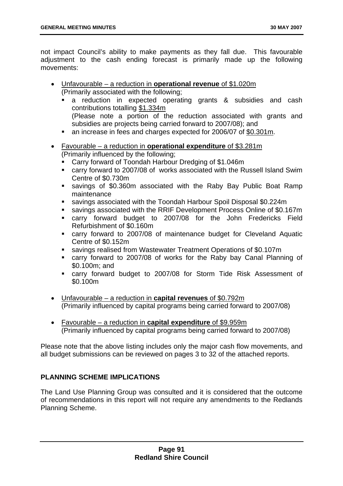not impact Council's ability to make payments as they fall due. This favourable adjustment to the cash ending forecast is primarily made up the following movements:

- Unfavourable a reduction in **operational revenue** of \$1.020m (Primarily associated with the following;
	- a reduction in expected operating grants & subsidies and cash contributions totalling \$1.334m (Please note a portion of the reduction associated with grants and subsidies are projects being carried forward to 2007/08); and
	- an increase in fees and charges expected for 2006/07 of \$0.301m.
- Favourable a reduction in **operational expenditure** of \$3.281m (Primarily influenced by the following;
	- Carry forward of Toondah Harbour Dredging of \$1.046m
	- carry forward to 2007/08 of works associated with the Russell Island Swim Centre of \$0.730m
	- savings of \$0.360m associated with the Raby Bay Public Boat Ramp maintenance
	- savings associated with the Toondah Harbour Spoil Disposal \$0.224m
	- savings associated with the RRIF Development Process Online of \$0.167m
	- carry forward budget to 2007/08 for the John Fredericks Field Refurbishment of \$0.160m
	- carry forward to 2007/08 of maintenance budget for Cleveland Aquatic Centre of \$0.152m
	- savings realised from Wastewater Treatment Operations of \$0.107m
	- carry forward to 2007/08 of works for the Raby bay Canal Planning of \$0.100m; and
	- carry forward budget to 2007/08 for Storm Tide Risk Assessment of \$0.100m
- Unfavourable a reduction in **capital revenues** of \$0.792m (Primarily influenced by capital programs being carried forward to 2007/08)
- Favourable a reduction in **capital expenditure** of \$9.959m (Primarily influenced by capital programs being carried forward to 2007/08)

Please note that the above listing includes only the major cash flow movements, and all budget submissions can be reviewed on pages 3 to 32 of the attached reports.

# **PLANNING SCHEME IMPLICATIONS**

The Land Use Planning Group was consulted and it is considered that the outcome of recommendations in this report will not require any amendments to the Redlands Planning Scheme.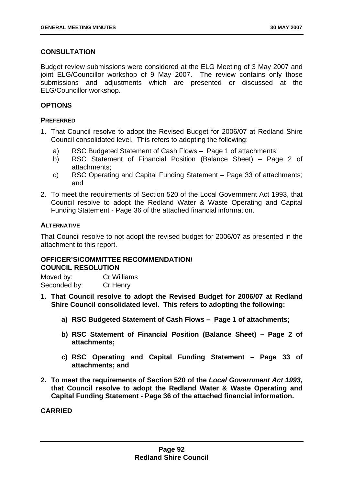# **CONSULTATION**

Budget review submissions were considered at the ELG Meeting of 3 May 2007 and joint ELG/Councillor workshop of 9 May 2007. The review contains only those submissions and adjustments which are presented or discussed at the ELG/Councillor workshop.

### **OPTIONS**

#### **PREFERRED**

- 1. That Council resolve to adopt the Revised Budget for 2006/07 at Redland Shire Council consolidated level. This refers to adopting the following:
	- a) RSC Budgeted Statement of Cash Flows Page 1 of attachments;
	- b) RSC Statement of Financial Position (Balance Sheet) Page 2 of attachments;
	- c) RSC Operating and Capital Funding Statement Page 33 of attachments; and
- 2. To meet the requirements of Section 520 of the Local Government Act 1993, that Council resolve to adopt the Redland Water & Waste Operating and Capital Funding Statement - Page 36 of the attached financial information.

### **ALTERNATIVE**

That Council resolve to not adopt the revised budget for 2006/07 as presented in the attachment to this report.

# **OFFICER'S/COMMITTEE RECOMMENDATION/ COUNCIL RESOLUTION**

Moved by: Cr Williams Seconded by: Cr Henry

- **1. That Council resolve to adopt the Revised Budget for 2006/07 at Redland Shire Council consolidated level. This refers to adopting the following:** 
	- **a) RSC Budgeted Statement of Cash Flows Page 1 of attachments;**
	- **b) RSC Statement of Financial Position (Balance Sheet) Page 2 of attachments;**
	- **c) RSC Operating and Capital Funding Statement Page 33 of attachments; and**
- **2. To meet the requirements of Section 520 of the** *Local Government Act 1993***, that Council resolve to adopt the Redland Water & Waste Operating and Capital Funding Statement - Page 36 of the attached financial information.**

**CARRIED**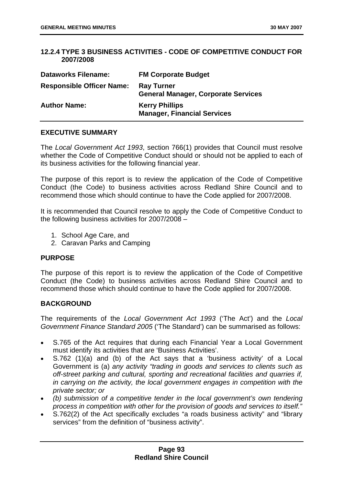## **12.2.4 TYPE 3 BUSINESS ACTIVITIES - CODE OF COMPETITIVE CONDUCT FOR 2007/2008**

| <b>Dataworks Filename:</b>       | <b>FM Corporate Budget</b>                                      |
|----------------------------------|-----------------------------------------------------------------|
| <b>Responsible Officer Name:</b> | <b>Ray Turner</b><br><b>General Manager, Corporate Services</b> |
| <b>Author Name:</b>              | <b>Kerry Phillips</b><br><b>Manager, Financial Services</b>     |

## **EXECUTIVE SUMMARY**

The *Local Government Act 1993*, section 766(1) provides that Council must resolve whether the Code of Competitive Conduct should or should not be applied to each of its business activities for the following financial year.

The purpose of this report is to review the application of the Code of Competitive Conduct (the Code) to business activities across Redland Shire Council and to recommend those which should continue to have the Code applied for 2007/2008.

It is recommended that Council resolve to apply the Code of Competitive Conduct to the following business activities for 2007/2008 –

- 1. School Age Care, and
- 2. Caravan Parks and Camping

# **PURPOSE**

The purpose of this report is to review the application of the Code of Competitive Conduct (the Code) to business activities across Redland Shire Council and to recommend those which should continue to have the Code applied for 2007/2008.

### **BACKGROUND**

The requirements of the *Local Government Act 1993* ('The Act') and the *Local Government Finance Standard 2005* ('The Standard') can be summarised as follows:

- S.765 of the Act requires that during each Financial Year a Local Government must identify its activities that are 'Business Activities'.
- S.762 (1)(a) and (b) of the Act says that a 'business activity' of a Local Government is (a) *any activity "trading in goods and services to clients such as off-street parking and cultural, sporting and recreational facilities and quarries if, in carrying on the activity, the local government engages in competition with the private sector; or*
- *(b) submission of a competitive tender in the local government's own tendering process in competition with other for the provision of goods and services to itself."*
- S.762(2) of the Act specifically excludes "a roads business activity" and "library services" from the definition of "business activity".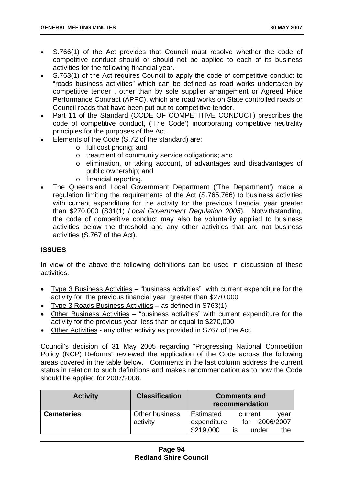- S.766(1) of the Act provides that Council must resolve whether the code of competitive conduct should or should not be applied to each of its business activities for the following financial year.
- S.763(1) of the Act requires Council to apply the code of competitive conduct to "roads business activities" which can be defined as road works undertaken by competitive tender , other than by sole supplier arrangement or Agreed Price Performance Contract (APPC), which are road works on State controlled roads or Council roads that have been put out to competitive tender.
- Part 11 of the Standard (CODE OF COMPETITIVE CONDUCT) prescribes the code of competitive conduct, ('The Code') incorporating competitive neutrality principles for the purposes of the Act.
- Elements of the Code (S.72 of the standard) are:
	- o full cost pricing; and
	- o treatment of community service obligations; and
	- o elimination, or taking account, of advantages and disadvantages of public ownership; and
	- o financial reporting.
- The Queensland Local Government Department ('The Department') made a regulation limiting the requirements of the Act (S.765,766) to business activities with current expenditure for the activity for the previous financial year greater than \$270,000 (S31(1) *Local Government Regulation 2005*). Notwithstanding, the code of competitive conduct may also be voluntarily applied to business activities below the threshold and any other activities that are not business activities (S.767 of the Act).

# **ISSUES**

In view of the above the following definitions can be used in discussion of these activities.

- Type 3 Business Activities "business activities" with current expenditure for the activity for the previous financial year greater than \$270,000
- Type 3 Roads Business Activities as defined in S763(1)
- Other Business Activities "business activities" with current expenditure for the activity for the previous year less than or equal to \$270,000
- Other Activities any other activity as provided in S767 of the Act.

Council's decision of 31 May 2005 regarding "Progressing National Competition Policy (NCP) Reforms" reviewed the application of the Code across the following areas covered in the table below. Comments in the last column address the current status in relation to such definitions and makes recommendation as to how the Code should be applied for 2007/2008.

| <b>Activity</b>   | <b>Classification</b>      |                          | <b>Comments and</b><br>recommendation |
|-------------------|----------------------------|--------------------------|---------------------------------------|
| <b>Cemeteries</b> | Other business<br>activity | Estimated<br>expenditure | current<br>vear<br>2006/2007<br>for   |
|                   |                            | \$219,000                | under<br>the<br>IS                    |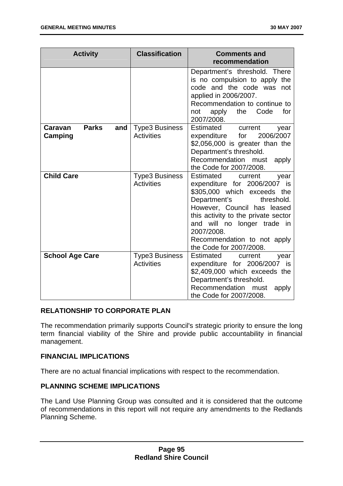| <b>Activity</b>                           | <b>Classification</b>                      | <b>Comments and</b><br>recommendation                                                                                                                                                                                                                                                                  |
|-------------------------------------------|--------------------------------------------|--------------------------------------------------------------------------------------------------------------------------------------------------------------------------------------------------------------------------------------------------------------------------------------------------------|
|                                           |                                            | Department's threshold. There<br>is no compulsion to apply the<br>code and the code was not<br>applied in 2006/2007.<br>Recommendation to continue to<br>Code<br>the<br>for<br>apply<br>not<br>2007/2008.                                                                                              |
| <b>Parks</b><br>Caravan<br>and<br>Camping | <b>Type3 Business</b><br><b>Activities</b> | Estimated current<br>year<br>2006/2007<br>expenditure<br>for<br>\$2,056,000 is greater than the<br>Department's threshold.<br>Recommendation must<br>apply<br>the Code for 2007/2008.                                                                                                                  |
| <b>Child Care</b>                         | <b>Type3 Business</b><br><b>Activities</b> | Estimated<br>current<br>year<br>expenditure for 2006/2007 is<br>\$305,000 which exceeds the<br>Department's<br>threshold.<br>However, Council has leased<br>this activity to the private sector<br>and will no longer trade in<br>2007/2008.<br>Recommendation to not apply<br>the Code for 2007/2008. |
| <b>School Age Care</b>                    | <b>Type3 Business</b><br><b>Activities</b> | Estimated<br>current<br>year<br>expenditure for 2006/2007 is<br>\$2,409,000 which exceeds the<br>Department's threshold.<br>Recommendation<br>must<br>apply<br>the Code for 2007/2008.                                                                                                                 |

### **RELATIONSHIP TO CORPORATE PLAN**

The recommendation primarily supports Council's strategic priority to ensure the long term financial viability of the Shire and provide public accountability in financial management.

### **FINANCIAL IMPLICATIONS**

There are no actual financial implications with respect to the recommendation.

## **PLANNING SCHEME IMPLICATIONS**

The Land Use Planning Group was consulted and it is considered that the outcome of recommendations in this report will not require any amendments to the Redlands Planning Scheme.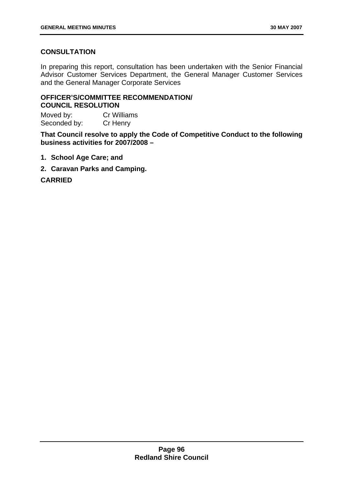# **CONSULTATION**

In preparing this report, consultation has been undertaken with the Senior Financial Advisor Customer Services Department, the General Manager Customer Services and the General Manager Corporate Services

# **OFFICER'S/COMMITTEE RECOMMENDATION/ COUNCIL RESOLUTION**

Moved by: Cr Williams Seconded by: Cr Henry

**That Council resolve to apply the Code of Competitive Conduct to the following business activities for 2007/2008 –** 

- **1. School Age Care; and**
- **2. Caravan Parks and Camping.**

**CARRIED**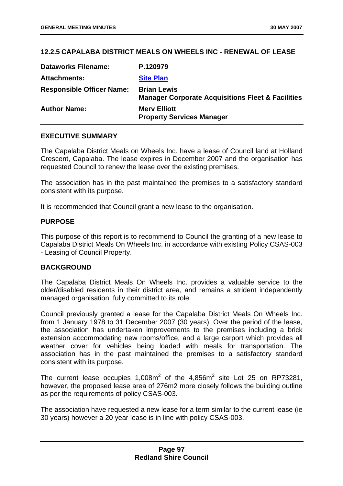## **12.2.5 CAPALABA DISTRICT MEALS ON WHEELS INC - RENEWAL OF LEASE**

| <b>Dataworks Filename:</b>       | P.120979                                                                           |
|----------------------------------|------------------------------------------------------------------------------------|
| <b>Attachments:</b>              | <b>Site Plan</b>                                                                   |
| <b>Responsible Officer Name:</b> | <b>Brian Lewis</b><br><b>Manager Corporate Acquisitions Fleet &amp; Facilities</b> |
| <b>Author Name:</b>              | <b>Merv Elliott</b><br><b>Property Services Manager</b>                            |

### **EXECUTIVE SUMMARY**

The Capalaba District Meals on Wheels Inc. have a lease of Council land at Holland Crescent, Capalaba. The lease expires in December 2007 and the organisation has requested Council to renew the lease over the existing premises.

The association has in the past maintained the premises to a satisfactory standard consistent with its purpose.

It is recommended that Council grant a new lease to the organisation.

#### **PURPOSE**

This purpose of this report is to recommend to Council the granting of a new lease to Capalaba District Meals On Wheels Inc. in accordance with existing Policy CSAS-003 - Leasing of Council Property.

#### **BACKGROUND**

The Capalaba District Meals On Wheels Inc. provides a valuable service to the older/disabled residents in their district area, and remains a strident independently managed organisation, fully committed to its role.

Council previously granted a lease for the Capalaba District Meals On Wheels Inc. from 1 January 1978 to 31 December 2007 (30 years). Over the period of the lease, the association has undertaken improvements to the premises including a brick extension accommodating new rooms/office, and a large carport which provides all weather cover for vehicles being loaded with meals for transportation. The association has in the past maintained the premises to a satisfactory standard consistent with its purpose.

The current lease occupies  $1,008m^2$  of the  $4,856m^2$  site Lot 25 on RP73281, however, the proposed lease area of 276m2 more closely follows the building outline as per the requirements of policy CSAS-003.

The association have requested a new lease for a term similar to the current lease (ie 30 years) however a 20 year lease is in line with policy CSAS-003.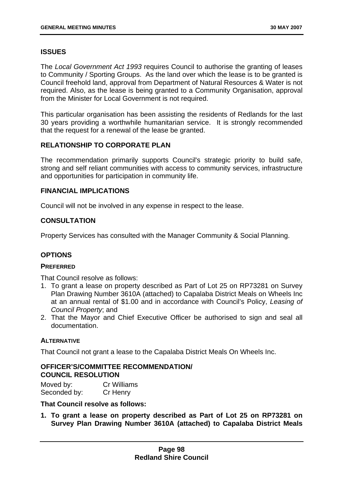# **ISSUES**

The *Local Government Act 1993* requires Council to authorise the granting of leases to Community / Sporting Groups. As the land over which the lease is to be granted is Council freehold land, approval from Department of Natural Resources & Water is not required. Also, as the lease is being granted to a Community Organisation, approval from the Minister for Local Government is not required.

This particular organisation has been assisting the residents of Redlands for the last 30 years providing a worthwhile humanitarian service. It is strongly recommended that the request for a renewal of the lease be granted.

# **RELATIONSHIP TO CORPORATE PLAN**

The recommendation primarily supports Council's strategic priority to build safe, strong and self reliant communities with access to community services, infrastructure and opportunities for participation in community life.

## **FINANCIAL IMPLICATIONS**

Council will not be involved in any expense in respect to the lease.

# **CONSULTATION**

Property Services has consulted with the Manager Community & Social Planning.

# **OPTIONS**

### **PREFERRED**

That Council resolve as follows:

- 1. To grant a lease on property described as Part of Lot 25 on RP73281 on Survey Plan Drawing Number 3610A (attached) to Capalaba District Meals on Wheels Inc at an annual rental of \$1.00 and in accordance with Council's Policy, *Leasing of Council Property*; and
- 2. That the Mayor and Chief Executive Officer be authorised to sign and seal all documentation.

### **ALTERNATIVE**

That Council not grant a lease to the Capalaba District Meals On Wheels Inc.

# **OFFICER'S/COMMITTEE RECOMMENDATION/ COUNCIL RESOLUTION**

Moved by: Cr Williams Seconded by: Cr Henry

## **That Council resolve as follows:**

**1. To grant a lease on property described as Part of Lot 25 on RP73281 on Survey Plan Drawing Number 3610A (attached) to Capalaba District Meals**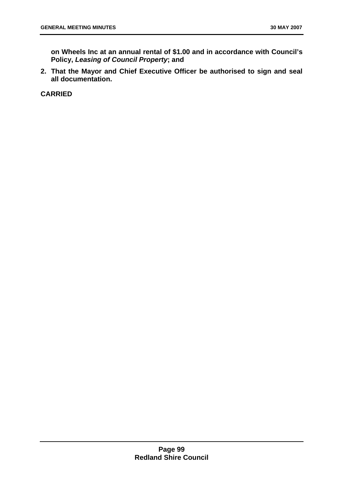**on Wheels Inc at an annual rental of \$1.00 and in accordance with Council's Policy,** *Leasing of Council Property***; and** 

**2. That the Mayor and Chief Executive Officer be authorised to sign and seal all documentation.** 

**CARRIED**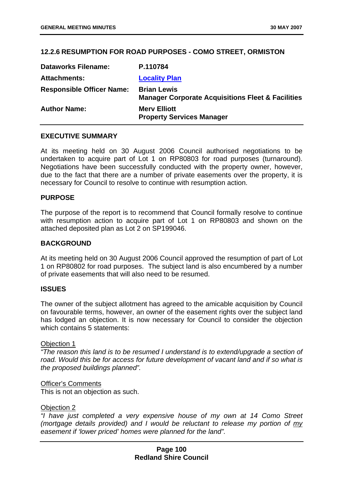## **12.2.6 RESUMPTION FOR ROAD PURPOSES - COMO STREET, ORMISTON**

| <b>Dataworks Filename:</b>       | P.110784                                                                           |
|----------------------------------|------------------------------------------------------------------------------------|
| <b>Attachments:</b>              | <b>Locality Plan</b>                                                               |
| <b>Responsible Officer Name:</b> | <b>Brian Lewis</b><br><b>Manager Corporate Acquisitions Fleet &amp; Facilities</b> |
| <b>Author Name:</b>              | <b>Mery Elliott</b><br><b>Property Services Manager</b>                            |

### **EXECUTIVE SUMMARY**

At its meeting held on 30 August 2006 Council authorised negotiations to be undertaken to acquire part of Lot 1 on RP80803 for road purposes (turnaround). Negotiations have been successfully conducted with the property owner, however, due to the fact that there are a number of private easements over the property, it is necessary for Council to resolve to continue with resumption action.

### **PURPOSE**

The purpose of the report is to recommend that Council formally resolve to continue with resumption action to acquire part of Lot 1 on RP80803 and shown on the attached deposited plan as Lot 2 on SP199046.

#### **BACKGROUND**

At its meeting held on 30 August 2006 Council approved the resumption of part of Lot 1 on RP80802 for road purposes. The subject land is also encumbered by a number of private easements that will also need to be resumed.

### **ISSUES**

The owner of the subject allotment has agreed to the amicable acquisition by Council on favourable terms, however, an owner of the easement rights over the subject land has lodged an objection. It is now necessary for Council to consider the objection which contains 5 statements:

#### Objection 1

*"The reason this land is to be resumed I understand is to extend/upgrade a section of road. Would this be for access for future development of vacant land and if so what is the proposed buildings planned".* 

#### Officer's Comments

This is not an objection as such.

#### Objection 2

*"I have just completed a very expensive house of my own at 14 Como Street (mortgage details provided) and I would be reluctant to release my portion of my easement if 'lower priced' homes were planned for the land".*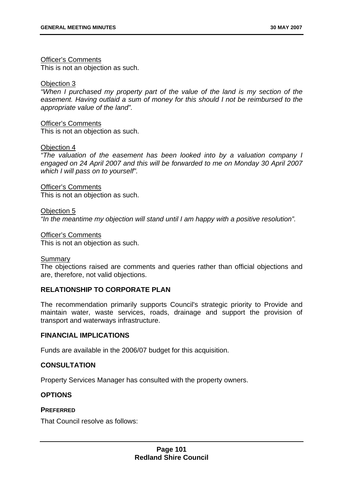### Officer's Comments

This is not an objection as such.

### Objection 3

*"When I purchased my property part of the value of the land is my section of the easement. Having outlaid a sum of money for this should I not be reimbursed to the appropriate value of the land".* 

Officer's Comments This is not an objection as such.

#### Objection 4

*"The valuation of the easement has been looked into by a valuation company I engaged on 24 April 2007 and this will be forwarded to me on Monday 30 April 2007 which I will pass on to yourself".* 

Officer's Comments This is not an objection as such.

Objection 5 *"In the meantime my objection will stand until I am happy with a positive resolution".* 

Officer's Comments This is not an objection as such.

### Summary

The objections raised are comments and queries rather than official objections and are, therefore, not valid objections.

# **RELATIONSHIP TO CORPORATE PLAN**

The recommendation primarily supports Council's strategic priority to Provide and maintain water, waste services, roads, drainage and support the provision of transport and waterways infrastructure.

### **FINANCIAL IMPLICATIONS**

Funds are available in the 2006/07 budget for this acquisition.

### **CONSULTATION**

Property Services Manager has consulted with the property owners.

# **OPTIONS**

### **PREFERRED**

That Council resolve as follows: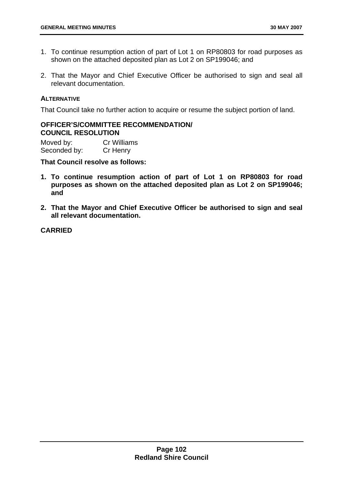- 1. To continue resumption action of part of Lot 1 on RP80803 for road purposes as shown on the attached deposited plan as Lot 2 on SP199046; and
- 2. That the Mayor and Chief Executive Officer be authorised to sign and seal all relevant documentation.

### **ALTERNATIVE**

That Council take no further action to acquire or resume the subject portion of land.

## **OFFICER'S/COMMITTEE RECOMMENDATION/ COUNCIL RESOLUTION**

Moved by: Cr Williams Seconded by: Cr Henry

#### **That Council resolve as follows:**

- **1. To continue resumption action of part of Lot 1 on RP80803 for road purposes as shown on the attached deposited plan as Lot 2 on SP199046; and**
- **2. That the Mayor and Chief Executive Officer be authorised to sign and seal all relevant documentation.**

# **CARRIED**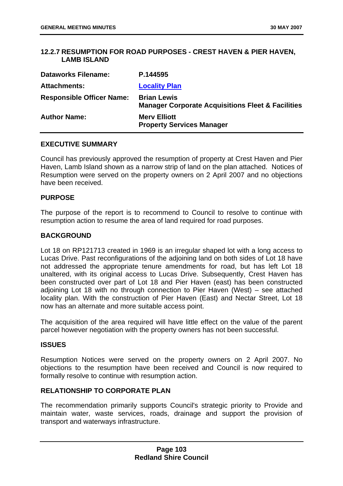## **12.2.7 RESUMPTION FOR ROAD PURPOSES - CREST HAVEN & PIER HAVEN, LAMB ISLAND**

| <b>Dataworks Filename:</b>       | P.144595                                                                           |
|----------------------------------|------------------------------------------------------------------------------------|
| <b>Attachments:</b>              | <b>Locality Plan</b>                                                               |
| <b>Responsible Officer Name:</b> | <b>Brian Lewis</b><br><b>Manager Corporate Acquisitions Fleet &amp; Facilities</b> |
| <b>Author Name:</b>              | <b>Mery Elliott</b><br><b>Property Services Manager</b>                            |

### **EXECUTIVE SUMMARY**

Council has previously approved the resumption of property at Crest Haven and Pier Haven, Lamb Island shown as a narrow strip of land on the plan attached. Notices of Resumption were served on the property owners on 2 April 2007 and no objections have been received.

#### **PURPOSE**

The purpose of the report is to recommend to Council to resolve to continue with resumption action to resume the area of land required for road purposes.

### **BACKGROUND**

Lot 18 on RP121713 created in 1969 is an irregular shaped lot with a long access to Lucas Drive. Past reconfigurations of the adjoining land on both sides of Lot 18 have not addressed the appropriate tenure amendments for road, but has left Lot 18 unaltered, with its original access to Lucas Drive. Subsequently, Crest Haven has been constructed over part of Lot 18 and Pier Haven (east) has been constructed adjoining Lot 18 with no through connection to Pier Haven (West) – see attached locality plan. With the construction of Pier Haven (East) and Nectar Street, Lot 18 now has an alternate and more suitable access point.

The acquisition of the area required will have little effect on the value of the parent parcel however negotiation with the property owners has not been successful.

#### **ISSUES**

Resumption Notices were served on the property owners on 2 April 2007. No objections to the resumption have been received and Council is now required to formally resolve to continue with resumption action.

### **RELATIONSHIP TO CORPORATE PLAN**

The recommendation primarily supports Council's strategic priority to Provide and maintain water, waste services, roads, drainage and support the provision of transport and waterways infrastructure.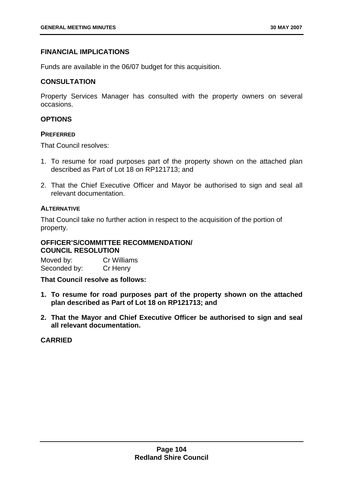## **FINANCIAL IMPLICATIONS**

Funds are available in the 06/07 budget for this acquisition.

### **CONSULTATION**

Property Services Manager has consulted with the property owners on several occasions.

## **OPTIONS**

#### **PREFERRED**

That Council resolves:

- 1. To resume for road purposes part of the property shown on the attached plan described as Part of Lot 18 on RP121713; and
- 2. That the Chief Executive Officer and Mayor be authorised to sign and seal all relevant documentation.

### **ALTERNATIVE**

That Council take no further action in respect to the acquisition of the portion of property.

#### **OFFICER'S/COMMITTEE RECOMMENDATION/ COUNCIL RESOLUTION**

Moved by: Cr Williams Seconded by: Cr Henry

**That Council resolve as follows:** 

- **1. To resume for road purposes part of the property shown on the attached plan described as Part of Lot 18 on RP121713; and**
- **2. That the Mayor and Chief Executive Officer be authorised to sign and seal all relevant documentation.**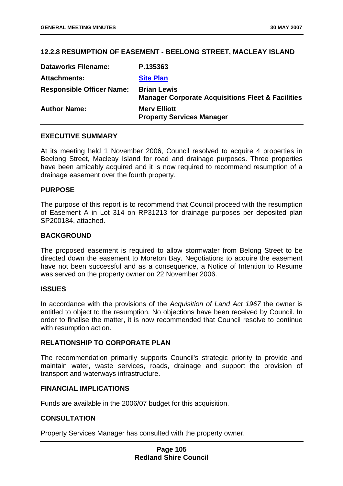## <span id="page-109-0"></span>**12.2.8 RESUMPTION OF EASEMENT - BEELONG STREET, MACLEAY ISLAND**

| <b>Dataworks Filename:</b>       | P.135363                                                                           |
|----------------------------------|------------------------------------------------------------------------------------|
| <b>Attachments:</b>              | <b>Site Plan</b>                                                                   |
| <b>Responsible Officer Name:</b> | <b>Brian Lewis</b><br><b>Manager Corporate Acquisitions Fleet &amp; Facilities</b> |
| <b>Author Name:</b>              | <b>Merv Elliott</b><br><b>Property Services Manager</b>                            |

## **EXECUTIVE SUMMARY**

At its meeting held 1 November 2006, Council resolved to acquire 4 properties in Beelong Street, Macleay Island for road and drainage purposes. Three properties have been amicably acquired and it is now required to recommend resumption of a drainage easement over the fourth property.

#### **PURPOSE**

The purpose of this report is to recommend that Council proceed with the resumption of Easement A in Lot 314 on RP31213 for drainage purposes per deposited plan SP200184, attached.

#### **BACKGROUND**

The proposed easement is required to allow stormwater from Belong Street to be directed down the easement to Moreton Bay. Negotiations to acquire the easement have not been successful and as a consequence, a Notice of Intention to Resume was served on the property owner on 22 November 2006.

### **ISSUES**

In accordance with the provisions of the *Acquisition of Land Act 1967* the owner is entitled to object to the resumption. No objections have been received by Council. In order to finalise the matter, it is now recommended that Council resolve to continue with resumption action.

### **RELATIONSHIP TO CORPORATE PLAN**

The recommendation primarily supports Council's strategic priority to provide and maintain water, waste services, roads, drainage and support the provision of transport and waterways infrastructure.

# **FINANCIAL IMPLICATIONS**

Funds are available in the 2006/07 budget for this acquisition.

### **CONSULTATION**

Property Services Manager has consulted with the property owner.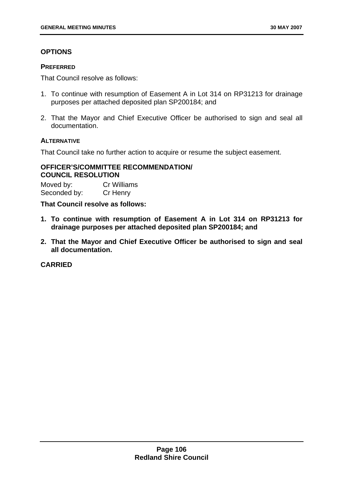# **OPTIONS**

## **PREFERRED**

That Council resolve as follows:

- 1. To continue with resumption of Easement A in Lot 314 on RP31213 for drainage purposes per attached deposited plan SP200184; and
- 2. That the Mayor and Chief Executive Officer be authorised to sign and seal all documentation.

## **ALTERNATIVE**

That Council take no further action to acquire or resume the subject easement.

## **OFFICER'S/COMMITTEE RECOMMENDATION/ COUNCIL RESOLUTION**

Moved by: Cr Williams Seconded by: Cr Henry

**That Council resolve as follows:** 

- **1. To continue with resumption of Easement A in Lot 314 on RP31213 for drainage purposes per attached deposited plan SP200184; and**
- **2. That the Mayor and Chief Executive Officer be authorised to sign and seal all documentation.**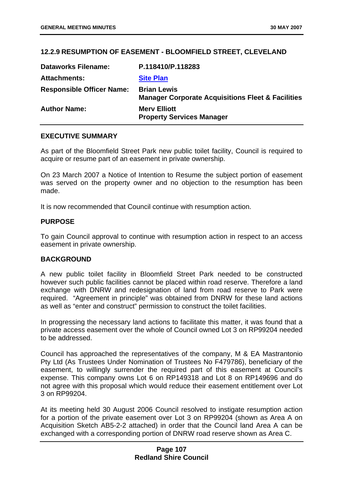## **12.2.9 RESUMPTION OF EASEMENT - BLOOMFIELD STREET, CLEVELAND**

| <b>Dataworks Filename:</b>       | P.118410/P.118283                                                                  |
|----------------------------------|------------------------------------------------------------------------------------|
| <b>Attachments:</b>              | <b>Site Plan</b>                                                                   |
| <b>Responsible Officer Name:</b> | <b>Brian Lewis</b><br><b>Manager Corporate Acquisitions Fleet &amp; Facilities</b> |
| <b>Author Name:</b>              | <b>Mery Elliott</b><br><b>Property Services Manager</b>                            |

### **EXECUTIVE SUMMARY**

As part of the Bloomfield Street Park new public toilet facility, Council is required to acquire or resume part of an easement in private ownership.

On 23 March 2007 a Notice of Intention to Resume the subject portion of easement was served on the property owner and no objection to the resumption has been made.

It is now recommended that Council continue with resumption action.

#### **PURPOSE**

To gain Council approval to continue with resumption action in respect to an access easement in private ownership.

### **BACKGROUND**

A new public toilet facility in Bloomfield Street Park needed to be constructed however such public facilities cannot be placed within road reserve. Therefore a land exchange with DNRW and redesignation of land from road reserve to Park were required. "Agreement in principle" was obtained from DNRW for these land actions as well as "enter and construct" permission to construct the toilet facilities.

In progressing the necessary land actions to facilitate this matter, it was found that a private access easement over the whole of Council owned Lot 3 on RP99204 needed to be addressed.

Council has approached the representatives of the company, M & EA Mastrantonio Pty Ltd (As Trustees Under Nomination of Trustees No F479786), beneficiary of the easement, to willingly surrender the required part of this easement at Council's expense. This company owns Lot 6 on RP149318 and Lot 8 on RP149696 and do not agree with this proposal which would reduce their easement entitlement over Lot 3 on RP99204.

At its meeting held 30 August 2006 Council resolved to instigate resumption action for a portion of the private easement over Lot 3 on RP99204 (shown as Area A on Acquisition Sketch AB5-2-2 attached) in order that the Council land Area A can be exchanged with a corresponding portion of DNRW road reserve shown as Area C.

### **Page 107 Redland Shire Council**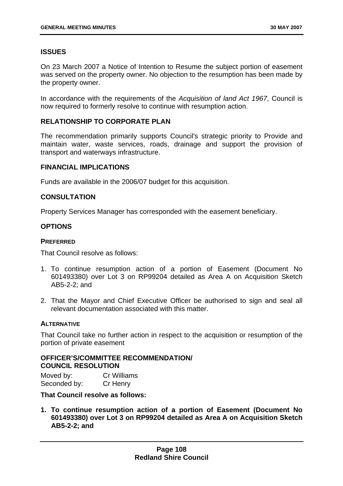# <span id="page-112-0"></span>**ISSUES**

On 23 March 2007 a Notice of Intention to Resume the subject portion of easement was served on the property owner. No objection to the resumption has been made by the property owner.

In accordance with the requirements of the *Acquisition of land Act 1967*, Council is now required to formerly resolve to continue with resumption action.

# **RELATIONSHIP TO CORPORATE PLAN**

The recommendation primarily supports Council's strategic priority to Provide and maintain water, waste services, roads, drainage and support the provision of transport and waterways infrastructure.

### **FINANCIAL IMPLICATIONS**

Funds are available in the 2006/07 budget for this acquisition.

## **CONSULTATION**

Property Services Manager has corresponded with the easement beneficiary.

## **OPTIONS**

#### **PREFERRED**

That Council resolve as follows:

- 1. To continue resumption action of a portion of Easement (Document No 601493380) over Lot 3 on RP99204 detailed as Area A on Acquisition Sketch AB5-2-2; and
- 2. That the Mayor and Chief Executive Officer be authorised to sign and seal all relevant documentation associated with this matter.

### **ALTERNATIVE**

That Council take no further action in respect to the acquisition or resumption of the portion of private easement

# **OFFICER'S/COMMITTEE RECOMMENDATION/ COUNCIL RESOLUTION**

Moved by: Cr Williams Seconded by: Cr Henry

### **That Council resolve as follows:**

**1. To continue resumption action of a portion of Easement (Document No 601493380) over Lot 3 on RP99204 detailed as Area A on Acquisition Sketch AB5-2-2; and**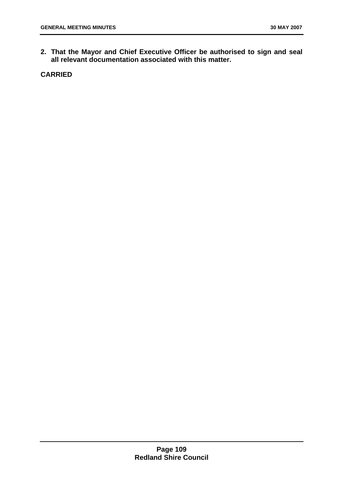**2. That the Mayor and Chief Executive Officer be authorised to sign and seal all relevant documentation associated with this matter.**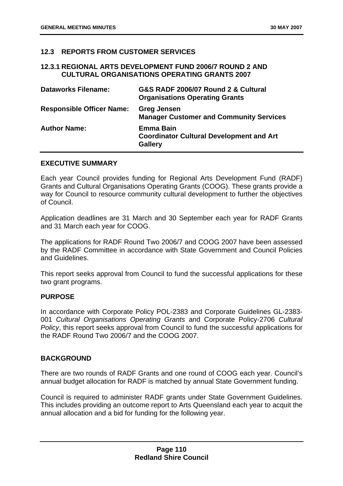## <span id="page-114-0"></span>**12.3 REPORTS FROM CUSTOMER SERVICES**

### **12.3.1 REGIONAL ARTS DEVELOPMENT FUND 2006/7 ROUND 2 AND CULTURAL ORGANISATIONS OPERATING GRANTS 2007**

| <b>Dataworks Filename:</b>       | G&S RADF 2006/07 Round 2 & Cultural<br><b>Organisations Operating Grants</b>          |
|----------------------------------|---------------------------------------------------------------------------------------|
| <b>Responsible Officer Name:</b> | <b>Greg Jensen</b><br><b>Manager Customer and Community Services</b>                  |
| <b>Author Name:</b>              | <b>Emma Bain</b><br><b>Coordinator Cultural Development and Art</b><br><b>Gallery</b> |

### **EXECUTIVE SUMMARY**

Each year Council provides funding for Regional Arts Development Fund (RADF) Grants and Cultural Organisations Operating Grants (COOG). These grants provide a way for Council to resource community cultural development to further the objectives of Council.

Application deadlines are 31 March and 30 September each year for RADF Grants and 31 March each year for COOG.

The applications for RADF Round Two 2006/7 and COOG 2007 have been assessed by the RADF Committee in accordance with State Government and Council Policies and Guidelines.

This report seeks approval from Council to fund the successful applications for these two grant programs.

### **PURPOSE**

In accordance with Corporate Policy POL-2383 and Corporate Guidelines GL-2383- 001 *Cultural Organisations Operating Grants* and Corporate Policy-2706 *Cultural Policy*, this report seeks approval from Council to fund the successful applications for the RADF Round Two 2006/7 and the COOG 2007.

### **BACKGROUND**

There are two rounds of RADF Grants and one round of COOG each year. Council's annual budget allocation for RADF is matched by annual State Government funding.

Council is required to administer RADF grants under State Government Guidelines. This includes providing an outcome report to Arts Queensland each year to acquit the annual allocation and a bid for funding for the following year.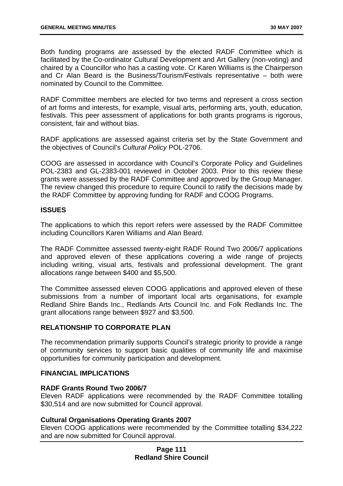Both funding programs are assessed by the elected RADF Committee which is facilitated by the Co-ordinator Cultural Development and Art Gallery (non-voting) and chaired by a Councillor who has a casting vote. Cr Karen Williams is the Chairperson and Cr Alan Beard is the Business/Tourism/Festivals representative – both were nominated by Council to the Committee.

RADF Committee members are elected for two terms and represent a cross section of art forms and interests, for example, visual arts, performing arts, youth, education, festivals. This peer assessment of applications for both grants programs is rigorous, consistent, fair and without bias.

RADF applications are assessed against criteria set by the State Government and the objectives of Council's *Cultural Policy* POL-2706.

COOG are assessed in accordance with Council's Corporate Policy and Guidelines POL-2383 and GL-2383-001 reviewed in October 2003. Prior to this review these grants were assessed by the RADF Committee and approved by the Group Manager. The review changed this procedure to require Council to ratify the decisions made by the RADF Committee by approving funding for RADF and COOG Programs.

### **ISSUES**

The applications to which this report refers were assessed by the RADF Committee including Councillors Karen Williams and Alan Beard.

The RADF Committee assessed twenty-eight RADF Round Two 2006/7 applications and approved eleven of these applications covering a wide range of projects including writing, visual arts, festivals and professional development. The grant allocations range between \$400 and \$5,500.

The Committee assessed eleven COOG applications and approved eleven of these submissions from a number of important local arts organisations, for example Redland Shire Bands Inc., Redlands Arts Council Inc. and Folk Redlands Inc. The grant allocations range between \$927 and \$3,500.

### **RELATIONSHIP TO CORPORATE PLAN**

The recommendation primarily supports Council's strategic priority to provide a range of community services to support basic qualities of community life and maximise opportunities for community participation and development.

### **FINANCIAL IMPLICATIONS**

### **RADF Grants Round Two 2006/7**

Eleven RADF applications were recommended by the RADF Committee totalling \$30,514 and are now submitted for Council approval.

### **Cultural Organisations Operating Grants 2007**

Eleven COOG applications were recommended by the Committee totalling \$34,222 and are now submitted for Council approval.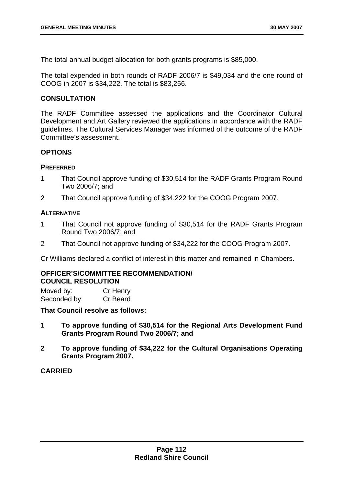<span id="page-116-0"></span>The total annual budget allocation for both grants programs is \$85,000.

The total expended in both rounds of RADF 2006/7 is \$49,034 and the one round of COOG in 2007 is \$34,222. The total is \$83,256.

## **CONSULTATION**

The RADF Committee assessed the applications and the Coordinator Cultural Development and Art Gallery reviewed the applications in accordance with the RADF guidelines. The Cultural Services Manager was informed of the outcome of the RADF Committee's assessment.

### **OPTIONS**

### **PREFERRED**

- 1 That Council approve funding of \$30,514 for the RADF Grants Program Round Two 2006/7; and
- 2 That Council approve funding of \$34,222 for the COOG Program 2007.

### **ALTERNATIVE**

- 1 That Council not approve funding of \$30,514 for the RADF Grants Program Round Two 2006/7; and
- 2 That Council not approve funding of \$34,222 for the COOG Program 2007.

Cr Williams declared a conflict of interest in this matter and remained in Chambers.

### **OFFICER'S/COMMITTEE RECOMMENDATION/ COUNCIL RESOLUTION**

| Moved by:    | Cr Henry |
|--------------|----------|
| Seconded by: | Cr Beard |

**That Council resolve as follows:** 

- **1 To approve funding of \$30,514 for the Regional Arts Development Fund Grants Program Round Two 2006/7; and**
- **2 To approve funding of \$34,222 for the Cultural Organisations Operating Grants Program 2007.**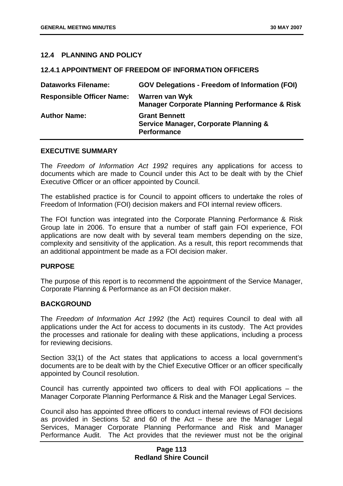## **12.4 PLANNING AND POLICY**

### **12.4.1 APPOINTMENT OF FREEDOM OF INFORMATION OFFICERS**

| <b>Dataworks Filename:</b>       | <b>GOV Delegations - Freedom of Information (FOI)</b>                                          |
|----------------------------------|------------------------------------------------------------------------------------------------|
| <b>Responsible Officer Name:</b> | Warren van Wyk<br><b>Manager Corporate Planning Performance &amp; Risk</b>                     |
| <b>Author Name:</b>              | <b>Grant Bennett</b><br><b>Service Manager, Corporate Planning &amp;</b><br><b>Performance</b> |

#### **EXECUTIVE SUMMARY**

The *Freedom of Information Act 1992* requires any applications for access to documents which are made to Council under this Act to be dealt with by the Chief Executive Officer or an officer appointed by Council.

The established practice is for Council to appoint officers to undertake the roles of Freedom of Information (FOI) decision makers and FOI internal review officers.

The FOI function was integrated into the Corporate Planning Performance & Risk Group late in 2006. To ensure that a number of staff gain FOI experience, FOI applications are now dealt with by several team members depending on the size, complexity and sensitivity of the application. As a result, this report recommends that an additional appointment be made as a FOI decision maker.

### **PURPOSE**

The purpose of this report is to recommend the appointment of the Service Manager, Corporate Planning & Performance as an FOI decision maker.

### **BACKGROUND**

The *Freedom of Information Act 1992* (the Act) requires Council to deal with all applications under the Act for access to documents in its custody. The Act provides the processes and rationale for dealing with these applications, including a process for reviewing decisions.

Section 33(1) of the Act states that applications to access a local government's documents are to be dealt with by the Chief Executive Officer or an officer specifically appointed by Council resolution.

Council has currently appointed two officers to deal with FOI applications – the Manager Corporate Planning Performance & Risk and the Manager Legal Services.

Council also has appointed three officers to conduct internal reviews of FOI decisions as provided in Sections 52 and 60 of the Act – these are the Manager Legal Services, Manager Corporate Planning Performance and Risk and Manager Performance Audit. The Act provides that the reviewer must not be the original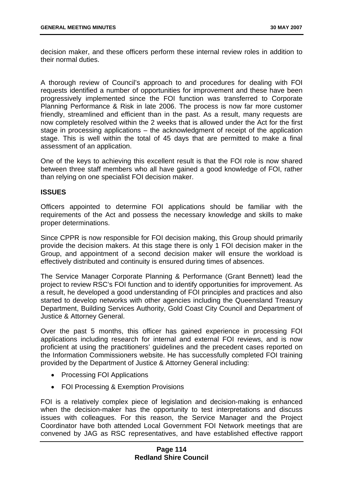decision maker, and these officers perform these internal review roles in addition to their normal duties.

A thorough review of Council's approach to and procedures for dealing with FOI requests identified a number of opportunities for improvement and these have been progressively implemented since the FOI function was transferred to Corporate Planning Performance & Risk in late 2006. The process is now far more customer friendly, streamlined and efficient than in the past. As a result, many requests are now completely resolved within the 2 weeks that is allowed under the Act for the first stage in processing applications – the acknowledgment of receipt of the application stage. This is well within the total of 45 days that are permitted to make a final assessment of an application.

One of the keys to achieving this excellent result is that the FOI role is now shared between three staff members who all have gained a good knowledge of FOI, rather than relying on one specialist FOI decision maker.

#### **ISSUES**

Officers appointed to determine FOI applications should be familiar with the requirements of the Act and possess the necessary knowledge and skills to make proper determinations.

Since CPPR is now responsible for FOI decision making, this Group should primarily provide the decision makers. At this stage there is only 1 FOI decision maker in the Group, and appointment of a second decision maker will ensure the workload is effectively distributed and continuity is ensured during times of absences.

The Service Manager Corporate Planning & Performance (Grant Bennett) lead the project to review RSC's FOI function and to identify opportunities for improvement. As a result, he developed a good understanding of FOI principles and practices and also started to develop networks with other agencies including the Queensland Treasury Department, Building Services Authority, Gold Coast City Council and Department of Justice & Attorney General.

Over the past 5 months, this officer has gained experience in processing FOI applications including research for internal and external FOI reviews, and is now proficient at using the practitioners' guidelines and the precedent cases reported on the Information Commissioners website. He has successfully completed FOI training provided by the Department of Justice & Attorney General including:

- Processing FOI Applications
- FOI Processing & Exemption Provisions

FOI is a relatively complex piece of legislation and decision-making is enhanced when the decision-maker has the opportunity to test interpretations and discuss issues with colleagues. For this reason, the Service Manager and the Project Coordinator have both attended Local Government FOI Network meetings that are convened by JAG as RSC representatives, and have established effective rapport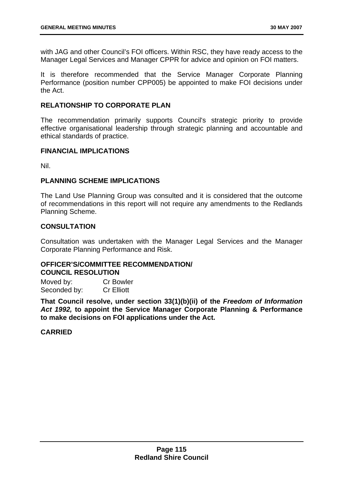<span id="page-119-0"></span>with JAG and other Council's FOI officers. Within RSC, they have ready access to the Manager Legal Services and Manager CPPR for advice and opinion on FOI matters.

It is therefore recommended that the Service Manager Corporate Planning Performance (position number CPP005) be appointed to make FOI decisions under the Act.

### **RELATIONSHIP TO CORPORATE PLAN**

The recommendation primarily supports Council's strategic priority to provide effective organisational leadership through strategic planning and accountable and ethical standards of practice.

### **FINANCIAL IMPLICATIONS**

Nil.

### **PLANNING SCHEME IMPLICATIONS**

The Land Use Planning Group was consulted and it is considered that the outcome of recommendations in this report will not require any amendments to the Redlands Planning Scheme.

## **CONSULTATION**

Consultation was undertaken with the Manager Legal Services and the Manager Corporate Planning Performance and Risk.

#### **OFFICER'S/COMMITTEE RECOMMENDATION/ COUNCIL RESOLUTION**

Moved by: Cr Bowler Seconded by: Cr Elliott

**That Council resolve, under section 33(1)(b)(ii) of the** *Freedom of Information Act 1992,* **to appoint the Service Manager Corporate Planning & Performance to make decisions on FOI applications under the Act.**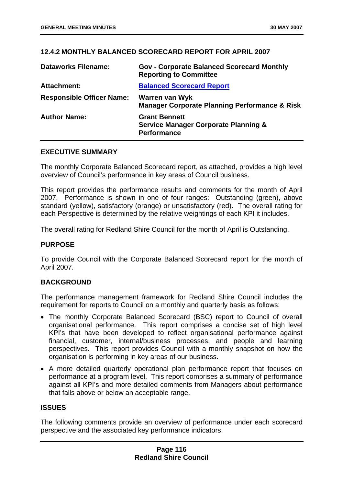# **12.4.2 MONTHLY BALANCED SCORECARD REPORT FOR APRIL 2007**

| <b>Dataworks Filename:</b>       | <b>Gov - Corporate Balanced Scorecard Monthly</b><br><b>Reporting to Committee</b>            |
|----------------------------------|-----------------------------------------------------------------------------------------------|
| <b>Attachment:</b>               | <b>Balanced Scorecard Report</b>                                                              |
| <b>Responsible Officer Name:</b> | Warren van Wyk<br><b>Manager Corporate Planning Performance &amp; Risk</b>                    |
| <b>Author Name:</b>              | <b>Grant Bennett</b><br><b>Service Manager Corporate Planning &amp;</b><br><b>Performance</b> |

## **EXECUTIVE SUMMARY**

The monthly Corporate Balanced Scorecard report, as attached, provides a high level overview of Council's performance in key areas of Council business.

This report provides the performance results and comments for the month of April 2007. Performance is shown in one of four ranges: Outstanding (green), above standard (yellow), satisfactory (orange) or unsatisfactory (red). The overall rating for each Perspective is determined by the relative weightings of each KPI it includes.

The overall rating for Redland Shire Council for the month of April is Outstanding.

## **PURPOSE**

To provide Council with the Corporate Balanced Scorecard report for the month of April 2007.

# **BACKGROUND**

The performance management framework for Redland Shire Council includes the requirement for reports to Council on a monthly and quarterly basis as follows:

- The monthly Corporate Balanced Scorecard (BSC) report to Council of overall organisational performance. This report comprises a concise set of high level KPI's that have been developed to reflect organisational performance against financial, customer, internal/business processes, and people and learning perspectives. This report provides Council with a monthly snapshot on how the organisation is performing in key areas of our business.
- A more detailed quarterly operational plan performance report that focuses on performance at a program level. This report comprises a summary of performance against all KPI's and more detailed comments from Managers about performance that falls above or below an acceptable range.

### **ISSUES**

The following comments provide an overview of performance under each scorecard perspective and the associated key performance indicators.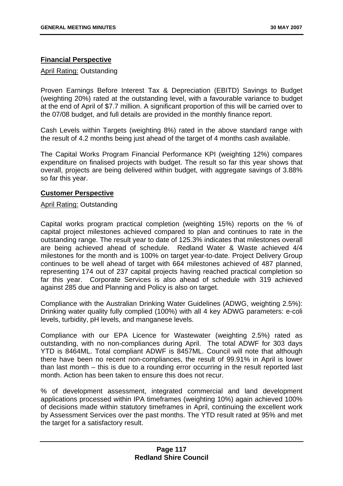# **Financial Perspective**

### April Rating: Outstanding

Proven Earnings Before Interest Tax & Depreciation (EBITD) Savings to Budget (weighting 20%) rated at the outstanding level, with a favourable variance to budget at the end of April of \$7.7 million. A significant proportion of this will be carried over to the 07/08 budget, and full details are provided in the monthly finance report.

Cash Levels within Targets (weighting 8%) rated in the above standard range with the result of 4.2 months being just ahead of the target of 4 months cash available.

The Capital Works Program Financial Performance KPI (weighting 12%) compares expenditure on finalised projects with budget. The result so far this year shows that overall, projects are being delivered within budget, with aggregate savings of 3.88% so far this year.

### **Customer Perspective**

## April Rating: Outstanding

Capital works program practical completion (weighting 15%) reports on the % of capital project milestones achieved compared to plan and continues to rate in the outstanding range. The result year to date of 125.3% indicates that milestones overall are being achieved ahead of schedule. Redland Water & Waste achieved 4/4 milestones for the month and is 100% on target year-to-date. Project Delivery Group continues to be well ahead of target with 664 milestones achieved of 487 planned, representing 174 out of 237 capital projects having reached practical completion so far this year. Corporate Services is also ahead of schedule with 319 achieved against 285 due and Planning and Policy is also on target.

Compliance with the Australian Drinking Water Guidelines (ADWG, weighting 2.5%): Drinking water quality fully complied (100%) with all 4 key ADWG parameters: e-coli levels, turbidity, pH levels, and manganese levels.

Compliance with our EPA Licence for Wastewater (weighting 2.5%) rated as outstanding, with no non-compliances during April. The total ADWF for 303 days YTD is 8464ML. Total compliant ADWF is 8457ML. Council will note that although there have been no recent non-compliances, the result of 99.91% in April is lower than last month – this is due to a rounding error occurring in the result reported last month. Action has been taken to ensure this does not recur.

% of development assessment, integrated commercial and land development applications processed within IPA timeframes (weighting 10%) again achieved 100% of decisions made within statutory timeframes in April, continuing the excellent work by Assessment Services over the past months. The YTD result rated at 95% and met the target for a satisfactory result.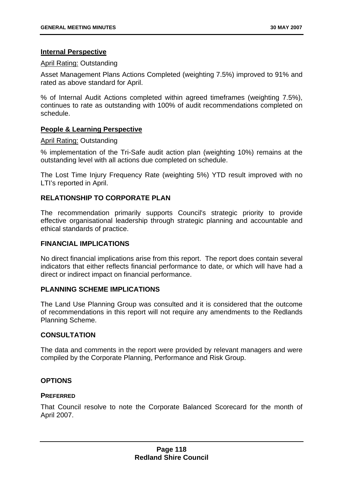### **Internal Perspective**

### April Rating: Outstanding

Asset Management Plans Actions Completed (weighting 7.5%) improved to 91% and rated as above standard for April.

% of Internal Audit Actions completed within agreed timeframes (weighting 7.5%), continues to rate as outstanding with 100% of audit recommendations completed on schedule.

# **People & Learning Perspective**

### April Rating: Outstanding

% implementation of the Tri-Safe audit action plan (weighting 10%) remains at the outstanding level with all actions due completed on schedule.

The Lost Time Injury Frequency Rate (weighting 5%) YTD result improved with no LTI's reported in April.

## **RELATIONSHIP TO CORPORATE PLAN**

The recommendation primarily supports Council's strategic priority to provide effective organisational leadership through strategic planning and accountable and ethical standards of practice.

### **FINANCIAL IMPLICATIONS**

No direct financial implications arise from this report. The report does contain several indicators that either reflects financial performance to date, or which will have had a direct or indirect impact on financial performance.

### **PLANNING SCHEME IMPLICATIONS**

The Land Use Planning Group was consulted and it is considered that the outcome of recommendations in this report will not require any amendments to the Redlands Planning Scheme.

### **CONSULTATION**

The data and comments in the report were provided by relevant managers and were [c](#page-5-0)ompiled by the Corporate Planning, Performance and Risk Group.

### **[OPTIONS](#page-5-0)**

### **[PREFERRED](#page-5-0)**

[That Council resolve to note the Corporate Balanced Scorecard for the month of](#page-5-0)  [April 2007.](#page-5-0)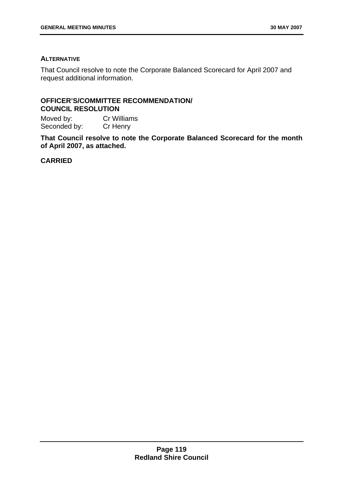## <span id="page-123-0"></span>**[ALTERNATIVE](#page-6-0)**

[That Council resolve to note the Corporate Balanced Scorecard for April 2007 and](#page-6-0)  [request additional information.](#page-6-0) 

# **[OFFICER'S/COMMITTEE RECOMMENDATION/](#page-6-0)  [COUNCIL RESOLUTION](#page-6-0)**

[Moved by: Cr Williams](#page-6-0)  Seconded by: Cr Henry

**[That Council resolve to note the Corporate Balanced Scorecard for the month](#page-6-0)  [of April 2007, as attached.](#page-6-0)**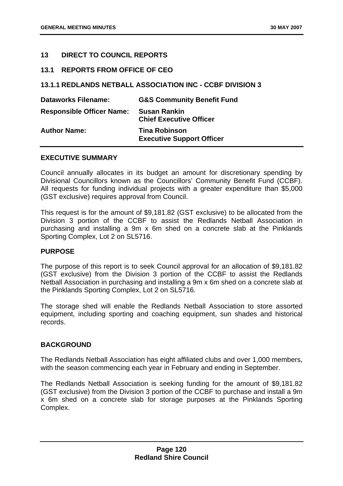## **[13 DIRECT TO COUNCIL REPORTS](#page-8-0)**

### **[13.1 REPORTS FROM OFFICE OF CEO](#page-8-0)**

## **[13.1.1 REDLANDS NETBALL ASSOCIATION INC - CCBF DIVISION 3](#page-8-0)**

| <b>Dataworks Filename:</b>       | <b>G&amp;S Community Benefit Fund</b>                    |
|----------------------------------|----------------------------------------------------------|
| <b>Responsible Officer Name:</b> | <b>Susan Rankin</b><br><b>Chief Executive Officer</b>    |
| <b>Author Name:</b>              | <b>Tina Robinson</b><br><b>Executive Support Officer</b> |

### **[EXECUTIVE SUMMARY](#page-9-0)**

[Council annually allocates in its budget an amount for discretionary spending by](#page-10-0)  [Divisional Councillors known as the Councillors' Community Benefit Fund \(CCBF\).](#page-10-0)  [All requests for funding individual projects with a greater expenditure than \\$5,000](#page-10-0)  [\(GST exclusive\) requires approval from Council.](#page-10-0) 

[This request is for the amount of \\$9,181.82 \(GST exclusive\) to be allocated from the](#page-11-0)  [Division 3 portion of the CCBF to assist the Redlands Netball Association in](#page-11-0)  [purchasing and installing a 9m x 6m shed on a concrete slab at the Pinklands](#page-11-0)  [Sporting Complex, Lot 2 on SL5716.](#page-11-0) 

### **[PURPOSE](#page-14-0)**

[The purpose of this report is to seek Council approval for an allocation of \\$9,181.82](#page-14-0)  [\(GST exclusive\) from the Division 3 portion of the CCBF to assist the Redlands](#page-14-0)  [Netball Association in purchasing and installing a 9m x 6m shed on a concrete slab at](#page-14-0)  [the Pinklands Sporting Complex, Lot 2 on SL5716.](#page-14-0) 

[The storage shed will enable the Redlands Netball Association to store assorted](#page-17-0)  [equipment, including sporting and coaching equipment, sun shades and historical](#page-17-0)  [records.](#page-17-0) 

### **[BACKGROUND](#page-23-0)**

[The Redlands Netball Association has eight affiliated clubs and over 1,000 members,](#page-27-0)  [with the season commencing each year in February and ending in September.](#page-27-0) 

[The Redlands Netball Association is seeking funding for the amount of \\$9,181.82](#page-41-0)  [\(GST exclusive\) from the Division 3 portion of the CCBF to purchase and install a 9m](#page-41-0)  [x 6m shed on a concrete slab for storage purposes at the Pinklands Sporting](#page-41-0)  [Complex.](#page-41-0)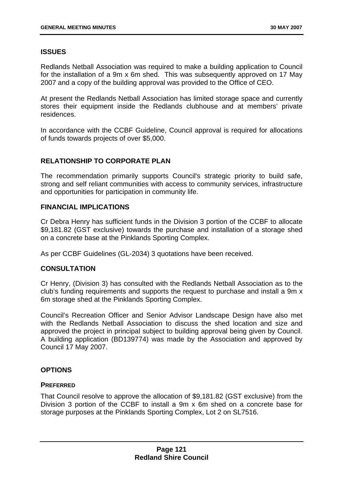# **[ISSUES](#page-54-0)**

[Redlands Netball Association was required to make a building application to Council](#page-54-0)  [for the installation of a 9m x 6m shed. This was subsequently approved on 17 May](#page-54-0)  [2007 and a copy of the building approval was provided to the Office of CEO.](#page-54-0) 

[At present the Redlands Netball Association has limited storage space and currently](#page-65-0)  [stores their equipment inside the Redlands clubhouse and at members' private](#page-65-0)  [residences.](#page-65-0) 

[In accordance with the CCBF Guideline, Council approval is required for allocations](#page-66-0)  [of funds towards projects of over \\$5,000.](#page-66-0) 

# **[RELATIONSHIP TO CORPORATE PLAN](#page-69-0)**

[The recommendation primarily supports Council's strategic priority to build safe,](#page-73-0)  [strong and self reliant communities with access to community services, infrastructure](#page-73-0)  [and opportunities for participation in community life.](#page-73-0) 

# **[FINANCIAL IMPLICATIONS](#page-81-0)**

[Cr Debra Henry has sufficient funds in the Division 3 portion of the CCBF to allocate](#page-82-0)  [\\$9,181.82 \(GST exclusive\) towards the purchase and installation of a storage shed](#page-82-0)  [on a concrete base at the Pinklands Sporting Complex.](#page-82-0) 

[As per CCBF Guidelines \(GL-2034\) 3 quotations have been received.](#page-83-0) 

# **[CONSULTATION](#page-91-0)**

[Cr Henry, \(Division 3\) has consulted with the Redlands Netball Association as to the](#page-91-0)  [club's funding requirements and supports the request to purchase and install a 9m x](#page-91-0)  [6m storage shed at the Pinklands Sporting Complex.](#page-91-0) 

[Council's Recreation Officer and Senior Advisor Landscape Design have also met](#page-98-0)  [with the Redlands Netball Association to discuss the shed location and size and](#page-98-0)  [approved the project in principal subject to building approval being given by Council.](#page-98-0)  [A building application \(BD139774\) was made by the Association and approved by](#page-98-0)  [Council 17 May 2007.](#page-98-0) 

# **[OPTIONS](#page-106-0)**

### **[PREFERRED](#page-109-0)**

[That Council resolve to approve the allocation of \\$9,181.82 \(GST exclusive\) from the](#page-112-0)  [Division 3 portion of the CCBF to install a 9m x 6m shed on a concrete base for](#page-112-0)  [storage purposes at the Pinklands Sporting Complex, Lot 2 on SL7516.](#page-112-0)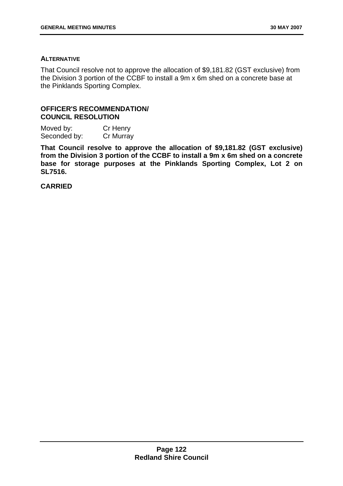## <span id="page-126-0"></span>**[ALTERNATIVE](#page-116-0)**

[That Council resolve not to approve the allocation of \\$9,181.82 \(GST exclusive\) from](#page-119-0)  [the Division 3 portion of the CCBF to install a 9m x 6m shed on a concrete base at](#page-119-0)  [the Pinklands Sporting Complex.](#page-119-0) 

# **[OFFICER'S RECOMMENDATION/](#page-123-0)  [COUNCIL RESOLUTION](#page-123-0)**

Moved by: Cr Henry Seconded by: Cr Murray

**[That Council resolve to approve the allocation of \\$9,181.82 \(GST exclusive\)](#page-126-0)  [from the Division 3 portion of the CCBF to install a 9m x 6m shed on a concrete](#page-126-0)  [base for storage purposes at the Pinklands Sporting Complex, Lot 2 on](#page-126-0)  [SL7516.](#page-126-0)**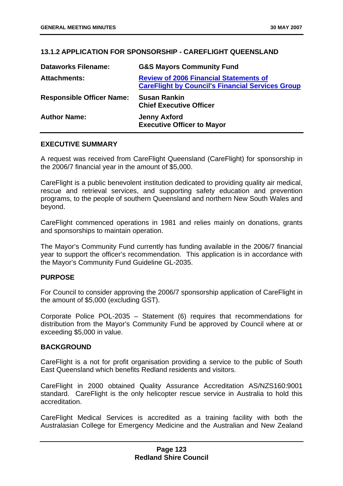# **13.1.2 APPLICATION FOR SPONSORSHIP - CAREFLIGHT QUEENSLAND**

| <b>Dataworks Filename:</b>       | <b>G&amp;S Mayors Community Fund</b>                                                                     |
|----------------------------------|----------------------------------------------------------------------------------------------------------|
| <b>Attachments:</b>              | <b>Review of 2006 Financial Statements of</b><br><b>CareFlight by Council's Financial Services Group</b> |
| <b>Responsible Officer Name:</b> | <b>Susan Rankin</b><br><b>Chief Executive Officer</b>                                                    |
| <b>Author Name:</b>              | <b>Jenny Axford</b><br><b>Executive Officer to Mayor</b>                                                 |

### **EXECUTIVE SUMMARY**

A request was received from CareFlight Queensland (CareFlight) for sponsorship in the 2006/7 financial year in the amount of \$5,000.

CareFlight is a public benevolent institution dedicated to providing quality air medical, rescue and retrieval services, and supporting safety education and prevention programs, to the people of southern Queensland and northern New South Wales and beyond.

CareFlight commenced operations in 1981 and relies mainly on donations, grants and sponsorships to maintain operation.

The Mayor's Community Fund currently has funding available in the 2006/7 financial year to support the officer's recommendation. This application is in accordance with the Mayor's Community Fund Guideline GL-2035.

### **PURPOSE**

For Council to consider approving the 2006/7 sponsorship application of CareFlight in the amount of \$5,000 (excluding GST).

Corporate Police POL-2035 – Statement (6) requires that recommendations for distribution from the Mayor's Community Fund be approved by Council where at or exceeding \$5,000 in value.

### **BACKGROUND**

CareFlight is a not for profit organisation providing a service to the public of South East Queensland which benefits Redland residents and visitors.

CareFlight in 2000 obtained Quality Assurance Accreditation AS/NZS160:9001 standard. CareFlight is the only helicopter rescue service in Australia to hold this accreditation.

CareFlight Medical Services is accredited as a training facility with both the Australasian College for Emergency Medicine and the Australian and New Zealand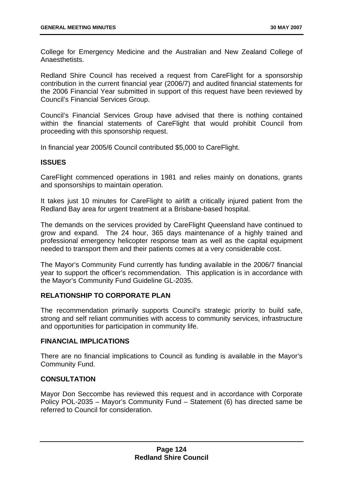College for Emergency Medicine and the Australian and New Zealand College of Anaesthetists.

Redland Shire Council has received a request from CareFlight for a sponsorship contribution in the current financial year (2006/7) and audited financial statements for the 2006 Financial Year submitted in support of this request have been reviewed by Council's Financial Services Group.

Council's Financial Services Group have advised that there is nothing contained within the financial statements of CareFlight that would prohibit Council from proceeding with this sponsorship request.

In financial year 2005/6 Council contributed \$5,000 to CareFlight.

### **ISSUES**

CareFlight commenced operations in 1981 and relies mainly on donations, grants and sponsorships to maintain operation.

It takes just 10 minutes for CareFlight to airlift a critically injured patient from the Redland Bay area for urgent treatment at a Brisbane-based hospital.

The demands on the services provided by CareFlight Queensland have continued to grow and expand. The 24 hour, 365 days maintenance of a highly trained and professional emergency helicopter response team as well as the capital equipment needed to transport them and their patients comes at a very considerable cost.

The Mayor's Community Fund currently has funding available in the 2006/7 financial year to support the officer's recommendation. This application is in accordance with the Mayor's Community Fund Guideline GL-2035.

### **RELATIONSHIP TO CORPORATE PLAN**

The recommendation primarily supports Council's strategic priority to build safe, strong and self reliant communities with access to community services, infrastructure and opportunities for participation in community life.

### **FINANCIAL IMPLICATIONS**

There are no financial implications to Council as funding is available in the Mayor's Community Fund.

# **CONSULTATION**

Mayor Don Seccombe has reviewed this request and in accordance with Corporate Policy POL-2035 – Mayor's Community Fund – Statement (6) has directed same be referred to Council for consideration.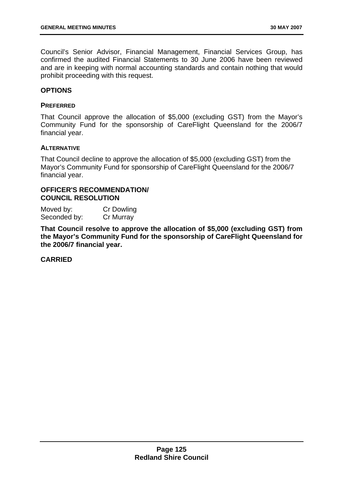Council's Senior Advisor, Financial Management, Financial Services Group, has confirmed the audited Financial Statements to 30 June 2006 have been reviewed and are in keeping with normal accounting standards and contain nothing that would prohibit proceeding with this request.

### **OPTIONS**

#### **PREFERRED**

That Council approve the allocation of \$5,000 (excluding GST) from the Mayor's Community Fund for the sponsorship of CareFlight Queensland for the 2006/7 financial year.

### **ALTERNATIVE**

That Council decline to approve the allocation of \$5,000 (excluding GST) from the Mayor's Community Fund for sponsorship of CareFlight Queensland for the 2006/7 financial year.

# **OFFICER'S RECOMMENDATION/ COUNCIL RESOLUTION**

Moved by: Cr Dowling Seconded by: Cr Murray

**That Council resolve to approve the allocation of \$5,000 (excluding GST) from the Mayor's Community Fund for the sponsorship of CareFlight Queensland for the 2006/7 financial year.**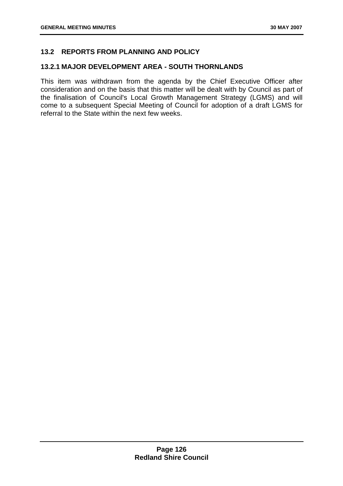# **13.2 REPORTS FROM PLANNING AND POLICY**

## **13.2.1 MAJOR DEVELOPMENT AREA - SOUTH THORNLANDS**

This item was withdrawn from the agenda by the Chief Executive Officer after consideration and on the basis that this matter will be dealt with by Council as part of the finalisation of Council's Local Growth Management Strategy (LGMS) and will come to a subsequent Special Meeting of Council for adoption of a draft LGMS for referral to the State within the next few weeks.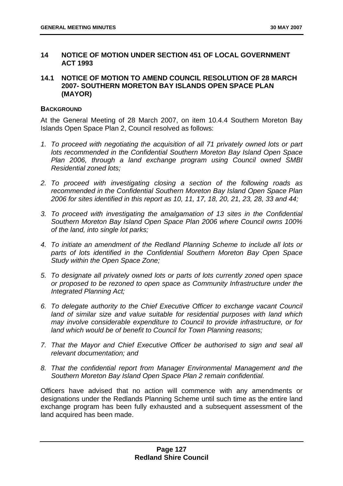## <span id="page-131-0"></span>**14 NOTICE OF MOTION UNDER SECTION 451 OF LOCAL GOVERNMENT ACT 1993**

# **14.1 NOTICE OF MOTION TO AMEND COUNCIL RESOLUTION OF 28 MARCH 2007- SOUTHERN MORETON BAY ISLANDS OPEN SPACE PLAN (MAYOR)**

### **BACKGROUND**

At the General Meeting of 28 March 2007, on item 10.4.4 Southern Moreton Bay Islands Open Space Plan 2, Council resolved as follows:

- *1. To proceed with negotiating the acquisition of all 71 privately owned lots or part lots recommended in the Confidential Southern Moreton Bay Island Open Space Plan 2006, through a land exchange program using Council owned SMBI Residential zoned lots;*
- *2. To proceed with investigating closing a section of the following roads as recommended in the Confidential Southern Moreton Bay Island Open Space Plan 2006 for sites identified in this report as 10, 11, 17, 18, 20, 21, 23, 28, 33 and 44;*
- *3. To proceed with investigating the amalgamation of 13 sites in the Confidential Southern Moreton Bay Island Open Space Plan 2006 where Council owns 100% of the land, into single lot parks;*
- *4. To initiate an amendment of the Redland Planning Scheme to include all lots or parts of lots identified in the Confidential Southern Moreton Bay Open Space Study within the Open Space Zone;*
- *5. To designate all privately owned lots or parts of lots currently zoned open space or proposed to be rezoned to open space as Community Infrastructure under the Integrated Planning Act;*
- *6. To delegate authority to the Chief Executive Officer to exchange vacant Council*  land of similar size and value suitable for residential purposes with land which *may involve considerable expenditure to Council to provide infrastructure, or for land which would be of benefit to Council for Town Planning reasons;*
- *7. That the Mayor and Chief Executive Officer be authorised to sign and seal all relevant documentation; and*
- *8. That the confidential report from Manager Environmental Management and the Southern Moreton Bay Island Open Space Plan 2 remain confidential.*

Officers have advised that no action will commence with any amendments or designations under the Redlands Planning Scheme until such time as the entire land exchange program has been fully exhausted and a subsequent assessment of the land acquired has been made.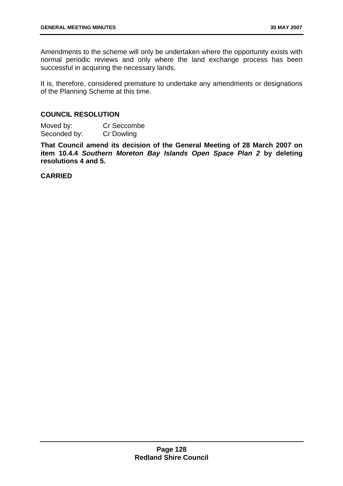Amendments to the scheme will only be undertaken where the opportunity exists with normal periodic reviews and only where the land exchange process has been successful in acquiring the necessary lands.

It is, therefore, considered premature to undertake any amendments or designations of the Planning Scheme at this time.

## **COUNCIL RESOLUTION**

Moved by: Cr Seccombe Seconded by: Cr Dowling

**That Council amend its decision of the General Meeting of 28 March 2007 on item 10.4.4** *Southern Moreton Bay Islands Open Space Plan 2* **by deleting resolutions 4 and 5.**